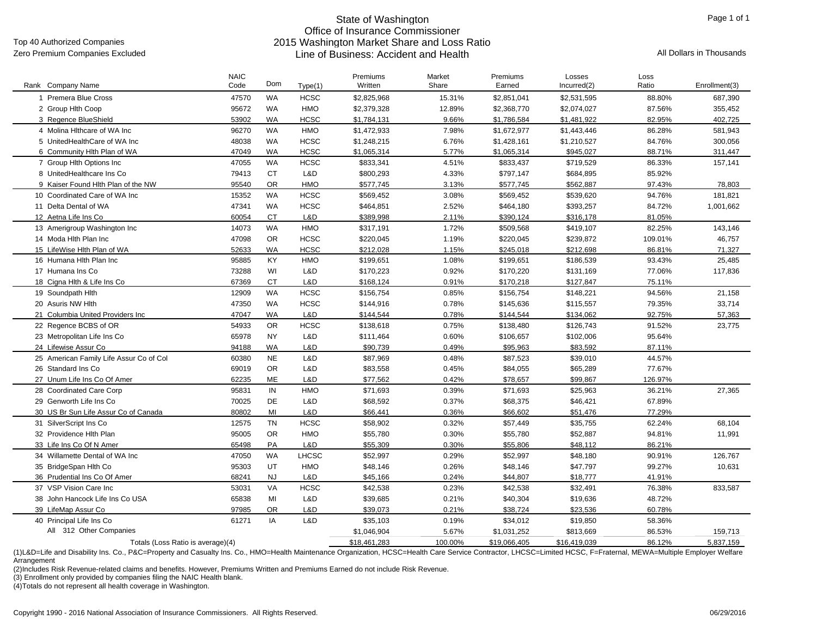Top 40 Authorized Companies

#### State of Washington Office of Insurance Commissioner 2015 Washington Market Share and Loss Ratio Zero Premium Companies Excluded **All Dollars in Thousands** Line of Business: Accident and Health

| WA<br>1 Premera Blue Cross<br>47570<br><b>HCSC</b><br>\$2.825.968<br>15.31%<br>\$2,851,041<br>\$2,531,595<br>88.80%<br>687.390<br>95672<br>WA<br>HMO<br>2 Group Hith Coop<br>\$2,379,328<br>12.89%<br>\$2,368,770<br>\$2,074,027<br>87.56%<br>355,452<br>53902<br><b>HCSC</b><br>3 Regence BlueShield<br>WA<br>9.66%<br>\$1,786,584<br>82.95%<br>402,725<br>\$1,784,131<br>\$1,481,922<br>4 Molina Hithcare of WA Inc<br>96270<br>WA<br><b>HMO</b><br>\$1,472,933<br>7.98%<br>86.28%<br>\$1,672,977<br>\$1,443,446<br>581,943<br>5 UnitedHealthCare of WA Inc<br>48038<br><b>WA</b><br><b>HCSC</b><br>\$1,428,161<br>84.76%<br>300,056<br>\$1,248,215<br>6.76%<br>\$1,210,527<br><b>WA</b><br>6 Community Hlth Plan of WA<br>47049<br><b>HCSC</b><br>\$1,065,314<br>5.77%<br>\$1,065,314<br>\$945,027<br>88.71%<br>311.447<br>7 Group Hlth Options Inc<br>WA<br><b>HCSC</b><br>\$833,341<br>47055<br>4.51%<br>\$833,437<br>\$719,529<br>86.33%<br>157,141<br><b>CT</b><br>L&D<br>79413<br>\$800,293<br>\$797,147<br>8 UnitedHealthcare Ins Co<br>4.33%<br>\$684,895<br>85.92%<br>95540<br><b>OR</b><br><b>HMO</b><br>\$577.745<br>\$562.887<br>78.803<br>9 Kaiser Found Hlth Plan of the NW<br>3.13%<br>\$577.745<br>97.43%<br>15352<br>WA<br><b>HCSC</b><br>10 Coordinated Care of WA Inc<br>\$569,452<br>3.08%<br>\$569,452<br>\$539,620<br>94.76%<br>181,821<br>WA<br>11 Delta Dental of WA<br>47341<br><b>HCSC</b><br>\$464,851<br>2.52%<br>\$464,180<br>\$393,257<br>84.72%<br>1,001,662<br>60054<br><b>CT</b><br>L&D<br>\$389.998<br>2.11%<br>\$390,124<br>12 Aetna Life Ins Co<br>\$316,178<br>81.05%<br>WA<br><b>HMO</b><br>13 Amerigroup Washington Inc<br>14073<br>\$317,191<br>1.72%<br>\$509,568<br>\$419,107<br>82.25%<br>143,146<br><b>OR</b><br><b>HCSC</b><br>14 Moda Hith Plan Inc<br>47098<br>\$220,045<br>1.19%<br>\$220,045<br>\$239,872<br>109.01%<br>46,757<br><b>WA</b><br>15 LifeWise Hlth Plan of WA<br>52633<br><b>HCSC</b><br>\$212,028<br>1.15%<br>\$245,018<br>\$212,698<br>86.81%<br>71,327<br>16 Humana Hith Plan Inc<br>95885<br>KY<br><b>HMO</b><br>\$199,651<br>1.08%<br>\$186,539<br>93.43%<br>25.485<br>\$199,651<br>WI<br>17 Humana Ins Co<br>73288<br>L&D<br>\$170,223<br>0.92%<br>\$170,220<br>\$131,169<br>77.06%<br>117,836<br><b>CT</b><br>L&D<br>18 Cigna Hlth & Life Ins Co<br>67369<br>\$168,124<br>0.91%<br>\$170,218<br>\$127,847<br>75.11%<br>HCSC<br>WA<br>\$156,754<br>94.56%<br>19 Soundpath Hith<br>12909<br>0.85%<br>\$156,754<br>\$148,221<br>21,158<br>20 Asuris NW Hlth<br>47350<br>WA<br><b>HCSC</b><br>0.78%<br>\$115,557<br>79.35%<br>33,714<br>\$144,916<br>\$145,636<br>47047<br><b>WA</b><br>L&D<br>92.75%<br>21 Columbia United Providers Inc<br>\$144,544<br>0.78%<br>\$144,544<br>\$134,062<br>57,363<br><b>OR</b><br>22 Regence BCBS of OR<br>54933<br><b>HCSC</b><br>\$138,618<br>0.75%<br>\$138,480<br>\$126,743<br>91.52%<br>23,775<br>65978<br><b>NY</b><br>L&D<br>0.60%<br>\$102,006<br>95.64%<br>23 Metropolitan Life Ins Co<br>\$111,464<br>\$106,657<br><b>WA</b><br>24 Lifewise Assur Co<br>94188<br>L&D<br>\$90,739<br>\$95,963<br>\$83,592<br>87.11%<br>0.49%<br>25 American Family Life Assur Co of Col<br><b>NE</b><br>L&D<br>0.48%<br>\$87,523<br>\$39,010<br>44.57%<br>60380<br>\$87,969<br>69019<br><b>OR</b><br>L&D<br>\$65,289<br>26 Standard Ins Co<br>\$83,558<br>0.45%<br>\$84,055<br>77.67%<br>62235<br><b>ME</b><br>L&D<br>\$77,562<br>\$78,657<br>\$99,867<br>126.97%<br>27 Unum Life Ins Co Of Amer<br>0.42%<br>IN<br>95831<br><b>HMO</b><br>27,365<br>28 Coordinated Care Corp<br>\$71,693<br>0.39%<br>\$71,693<br>\$25,963<br>36.21%<br>DE<br>29 Genworth Life Ins Co<br>70025<br>L&D<br>\$68,592<br>0.37%<br>\$68,375<br>\$46,421<br>67.89%<br>80802<br>MI<br>L&D<br>\$66,441<br>77.29%<br>30 US Br Sun Life Assur Co of Canada<br>0.36%<br>\$66,602<br>\$51,476<br><b>TN</b><br>12575<br><b>HCSC</b><br>\$58,902<br>\$35,755<br>62.24%<br>31 SilverScript Ins Co<br>0.32%<br>\$57,449<br>68.104<br>95005<br><b>OR</b><br><b>HMO</b><br>\$55,780<br>\$55,780<br>\$52,887<br>32 Providence Hith Plan<br>0.30%<br>94.81%<br>11,991<br>L&D<br>33 Life Ins Co Of N Amer<br>65498<br>PA<br>\$55,309<br>0.30%<br>\$55,806<br>\$48,112<br>86.21%<br>34 Willamette Dental of WA Inc<br>WA<br><b>LHCSC</b><br>\$52,997<br>\$52,997<br>47050<br>0.29%<br>\$48,180<br>90.91%<br>126,767<br>UT<br>95303<br><b>HMO</b><br>35 BridgeSpan Hlth Co<br>\$48,146<br>0.26%<br>\$48,146<br>\$47,797<br>99.27%<br>10,631<br><b>NJ</b><br>36 Prudential Ins Co Of Amer<br>68241<br>L&D<br>\$45,166<br>0.24%<br>\$44,807<br>\$18,777<br>41.91%<br><b>HCSC</b><br>37 VSP Vision Care Inc<br>53031<br>VA<br>\$42,538<br>0.23%<br>\$42,538<br>\$32,491<br>76.38%<br>833,587<br>65838<br>MI<br>L&D<br>\$39,685<br>\$40,304<br>\$19,636<br>48.72%<br>38 John Hancock Life Ins Co USA<br>0.21%<br><b>OR</b><br>39 LifeMap Assur Co<br>97985<br>L&D<br>\$39,073<br>0.21%<br>\$38,724<br>\$23,536<br>60.78%<br>40 Principal Life Ins Co<br>IA<br>L&D<br>61271<br>0.19% | Rank Company Name | <b>NAIC</b><br>Code | Dom | Type(1) | Premiums<br>Written | Market<br>Share | Premiums<br>Earned | Losses<br>Incurred(2) | Loss<br>Ratio | Enrollment(3) |
|---------------------------------------------------------------------------------------------------------------------------------------------------------------------------------------------------------------------------------------------------------------------------------------------------------------------------------------------------------------------------------------------------------------------------------------------------------------------------------------------------------------------------------------------------------------------------------------------------------------------------------------------------------------------------------------------------------------------------------------------------------------------------------------------------------------------------------------------------------------------------------------------------------------------------------------------------------------------------------------------------------------------------------------------------------------------------------------------------------------------------------------------------------------------------------------------------------------------------------------------------------------------------------------------------------------------------------------------------------------------------------------------------------------------------------------------------------------------------------------------------------------------------------------------------------------------------------------------------------------------------------------------------------------------------------------------------------------------------------------------------------------------------------------------------------------------------------------------------------------------------------------------------------------------------------------------------------------------------------------------------------------------------------------------------------------------------------------------------------------------------------------------------------------------------------------------------------------------------------------------------------------------------------------------------------------------------------------------------------------------------------------------------------------------------------------------------------------------------------------------------------------------------------------------------------------------------------------------------------------------------------------------------------------------------------------------------------------------------------------------------------------------------------------------------------------------------------------------------------------------------------------------------------------------------------------------------------------------------------------------------------------------------------------------------------------------------------------------------------------------------------------------------------------------------------------------------------------------------------------------------------------------------------------------------------------------------------------------------------------------------------------------------------------------------------------------------------------------------------------------------------------------------------------------------------------------------------------------------------------------------------------------------------------------------------------------------------------------------------------------------------------------------------------------------------------------------------------------------------------------------------------------------------------------------------------------------------------------------------------------------------------------------------------------------------------------------------------------------------------------------------------------------------------------------------------------------------------------------------------------------------------------------------------------------------------------------------------------------------------------------------------------------------------------------------------------------------------------------------------------------------------------------------------------------------------------------------------------------------------------------------------------------------------------------------------------------------------------------------------------------------------------------------------------------------------------------------------------------------------------------------------------------------------------------------------------------------------------------------------------------------------------------------------|-------------------|---------------------|-----|---------|---------------------|-----------------|--------------------|-----------------------|---------------|---------------|
|                                                                                                                                                                                                                                                                                                                                                                                                                                                                                                                                                                                                                                                                                                                                                                                                                                                                                                                                                                                                                                                                                                                                                                                                                                                                                                                                                                                                                                                                                                                                                                                                                                                                                                                                                                                                                                                                                                                                                                                                                                                                                                                                                                                                                                                                                                                                                                                                                                                                                                                                                                                                                                                                                                                                                                                                                                                                                                                                                                                                                                                                                                                                                                                                                                                                                                                                                                                                                                                                                                                                                                                                                                                                                                                                                                                                                                                                                                                                                                                                                                                                                                                                                                                                                                                                                                                                                                                                                                                                                                                                                                                                                                                                                                                                                                                                                                                                                                                                                                                                                                       |                   |                     |     |         |                     |                 |                    |                       |               |               |
|                                                                                                                                                                                                                                                                                                                                                                                                                                                                                                                                                                                                                                                                                                                                                                                                                                                                                                                                                                                                                                                                                                                                                                                                                                                                                                                                                                                                                                                                                                                                                                                                                                                                                                                                                                                                                                                                                                                                                                                                                                                                                                                                                                                                                                                                                                                                                                                                                                                                                                                                                                                                                                                                                                                                                                                                                                                                                                                                                                                                                                                                                                                                                                                                                                                                                                                                                                                                                                                                                                                                                                                                                                                                                                                                                                                                                                                                                                                                                                                                                                                                                                                                                                                                                                                                                                                                                                                                                                                                                                                                                                                                                                                                                                                                                                                                                                                                                                                                                                                                                                       |                   |                     |     |         |                     |                 |                    |                       |               |               |
|                                                                                                                                                                                                                                                                                                                                                                                                                                                                                                                                                                                                                                                                                                                                                                                                                                                                                                                                                                                                                                                                                                                                                                                                                                                                                                                                                                                                                                                                                                                                                                                                                                                                                                                                                                                                                                                                                                                                                                                                                                                                                                                                                                                                                                                                                                                                                                                                                                                                                                                                                                                                                                                                                                                                                                                                                                                                                                                                                                                                                                                                                                                                                                                                                                                                                                                                                                                                                                                                                                                                                                                                                                                                                                                                                                                                                                                                                                                                                                                                                                                                                                                                                                                                                                                                                                                                                                                                                                                                                                                                                                                                                                                                                                                                                                                                                                                                                                                                                                                                                                       |                   |                     |     |         |                     |                 |                    |                       |               |               |
|                                                                                                                                                                                                                                                                                                                                                                                                                                                                                                                                                                                                                                                                                                                                                                                                                                                                                                                                                                                                                                                                                                                                                                                                                                                                                                                                                                                                                                                                                                                                                                                                                                                                                                                                                                                                                                                                                                                                                                                                                                                                                                                                                                                                                                                                                                                                                                                                                                                                                                                                                                                                                                                                                                                                                                                                                                                                                                                                                                                                                                                                                                                                                                                                                                                                                                                                                                                                                                                                                                                                                                                                                                                                                                                                                                                                                                                                                                                                                                                                                                                                                                                                                                                                                                                                                                                                                                                                                                                                                                                                                                                                                                                                                                                                                                                                                                                                                                                                                                                                                                       |                   |                     |     |         |                     |                 |                    |                       |               |               |
|                                                                                                                                                                                                                                                                                                                                                                                                                                                                                                                                                                                                                                                                                                                                                                                                                                                                                                                                                                                                                                                                                                                                                                                                                                                                                                                                                                                                                                                                                                                                                                                                                                                                                                                                                                                                                                                                                                                                                                                                                                                                                                                                                                                                                                                                                                                                                                                                                                                                                                                                                                                                                                                                                                                                                                                                                                                                                                                                                                                                                                                                                                                                                                                                                                                                                                                                                                                                                                                                                                                                                                                                                                                                                                                                                                                                                                                                                                                                                                                                                                                                                                                                                                                                                                                                                                                                                                                                                                                                                                                                                                                                                                                                                                                                                                                                                                                                                                                                                                                                                                       |                   |                     |     |         |                     |                 |                    |                       |               |               |
|                                                                                                                                                                                                                                                                                                                                                                                                                                                                                                                                                                                                                                                                                                                                                                                                                                                                                                                                                                                                                                                                                                                                                                                                                                                                                                                                                                                                                                                                                                                                                                                                                                                                                                                                                                                                                                                                                                                                                                                                                                                                                                                                                                                                                                                                                                                                                                                                                                                                                                                                                                                                                                                                                                                                                                                                                                                                                                                                                                                                                                                                                                                                                                                                                                                                                                                                                                                                                                                                                                                                                                                                                                                                                                                                                                                                                                                                                                                                                                                                                                                                                                                                                                                                                                                                                                                                                                                                                                                                                                                                                                                                                                                                                                                                                                                                                                                                                                                                                                                                                                       |                   |                     |     |         |                     |                 |                    |                       |               |               |
|                                                                                                                                                                                                                                                                                                                                                                                                                                                                                                                                                                                                                                                                                                                                                                                                                                                                                                                                                                                                                                                                                                                                                                                                                                                                                                                                                                                                                                                                                                                                                                                                                                                                                                                                                                                                                                                                                                                                                                                                                                                                                                                                                                                                                                                                                                                                                                                                                                                                                                                                                                                                                                                                                                                                                                                                                                                                                                                                                                                                                                                                                                                                                                                                                                                                                                                                                                                                                                                                                                                                                                                                                                                                                                                                                                                                                                                                                                                                                                                                                                                                                                                                                                                                                                                                                                                                                                                                                                                                                                                                                                                                                                                                                                                                                                                                                                                                                                                                                                                                                                       |                   |                     |     |         |                     |                 |                    |                       |               |               |
|                                                                                                                                                                                                                                                                                                                                                                                                                                                                                                                                                                                                                                                                                                                                                                                                                                                                                                                                                                                                                                                                                                                                                                                                                                                                                                                                                                                                                                                                                                                                                                                                                                                                                                                                                                                                                                                                                                                                                                                                                                                                                                                                                                                                                                                                                                                                                                                                                                                                                                                                                                                                                                                                                                                                                                                                                                                                                                                                                                                                                                                                                                                                                                                                                                                                                                                                                                                                                                                                                                                                                                                                                                                                                                                                                                                                                                                                                                                                                                                                                                                                                                                                                                                                                                                                                                                                                                                                                                                                                                                                                                                                                                                                                                                                                                                                                                                                                                                                                                                                                                       |                   |                     |     |         |                     |                 |                    |                       |               |               |
|                                                                                                                                                                                                                                                                                                                                                                                                                                                                                                                                                                                                                                                                                                                                                                                                                                                                                                                                                                                                                                                                                                                                                                                                                                                                                                                                                                                                                                                                                                                                                                                                                                                                                                                                                                                                                                                                                                                                                                                                                                                                                                                                                                                                                                                                                                                                                                                                                                                                                                                                                                                                                                                                                                                                                                                                                                                                                                                                                                                                                                                                                                                                                                                                                                                                                                                                                                                                                                                                                                                                                                                                                                                                                                                                                                                                                                                                                                                                                                                                                                                                                                                                                                                                                                                                                                                                                                                                                                                                                                                                                                                                                                                                                                                                                                                                                                                                                                                                                                                                                                       |                   |                     |     |         |                     |                 |                    |                       |               |               |
|                                                                                                                                                                                                                                                                                                                                                                                                                                                                                                                                                                                                                                                                                                                                                                                                                                                                                                                                                                                                                                                                                                                                                                                                                                                                                                                                                                                                                                                                                                                                                                                                                                                                                                                                                                                                                                                                                                                                                                                                                                                                                                                                                                                                                                                                                                                                                                                                                                                                                                                                                                                                                                                                                                                                                                                                                                                                                                                                                                                                                                                                                                                                                                                                                                                                                                                                                                                                                                                                                                                                                                                                                                                                                                                                                                                                                                                                                                                                                                                                                                                                                                                                                                                                                                                                                                                                                                                                                                                                                                                                                                                                                                                                                                                                                                                                                                                                                                                                                                                                                                       |                   |                     |     |         |                     |                 |                    |                       |               |               |
|                                                                                                                                                                                                                                                                                                                                                                                                                                                                                                                                                                                                                                                                                                                                                                                                                                                                                                                                                                                                                                                                                                                                                                                                                                                                                                                                                                                                                                                                                                                                                                                                                                                                                                                                                                                                                                                                                                                                                                                                                                                                                                                                                                                                                                                                                                                                                                                                                                                                                                                                                                                                                                                                                                                                                                                                                                                                                                                                                                                                                                                                                                                                                                                                                                                                                                                                                                                                                                                                                                                                                                                                                                                                                                                                                                                                                                                                                                                                                                                                                                                                                                                                                                                                                                                                                                                                                                                                                                                                                                                                                                                                                                                                                                                                                                                                                                                                                                                                                                                                                                       |                   |                     |     |         |                     |                 |                    |                       |               |               |
|                                                                                                                                                                                                                                                                                                                                                                                                                                                                                                                                                                                                                                                                                                                                                                                                                                                                                                                                                                                                                                                                                                                                                                                                                                                                                                                                                                                                                                                                                                                                                                                                                                                                                                                                                                                                                                                                                                                                                                                                                                                                                                                                                                                                                                                                                                                                                                                                                                                                                                                                                                                                                                                                                                                                                                                                                                                                                                                                                                                                                                                                                                                                                                                                                                                                                                                                                                                                                                                                                                                                                                                                                                                                                                                                                                                                                                                                                                                                                                                                                                                                                                                                                                                                                                                                                                                                                                                                                                                                                                                                                                                                                                                                                                                                                                                                                                                                                                                                                                                                                                       |                   |                     |     |         |                     |                 |                    |                       |               |               |
|                                                                                                                                                                                                                                                                                                                                                                                                                                                                                                                                                                                                                                                                                                                                                                                                                                                                                                                                                                                                                                                                                                                                                                                                                                                                                                                                                                                                                                                                                                                                                                                                                                                                                                                                                                                                                                                                                                                                                                                                                                                                                                                                                                                                                                                                                                                                                                                                                                                                                                                                                                                                                                                                                                                                                                                                                                                                                                                                                                                                                                                                                                                                                                                                                                                                                                                                                                                                                                                                                                                                                                                                                                                                                                                                                                                                                                                                                                                                                                                                                                                                                                                                                                                                                                                                                                                                                                                                                                                                                                                                                                                                                                                                                                                                                                                                                                                                                                                                                                                                                                       |                   |                     |     |         |                     |                 |                    |                       |               |               |
|                                                                                                                                                                                                                                                                                                                                                                                                                                                                                                                                                                                                                                                                                                                                                                                                                                                                                                                                                                                                                                                                                                                                                                                                                                                                                                                                                                                                                                                                                                                                                                                                                                                                                                                                                                                                                                                                                                                                                                                                                                                                                                                                                                                                                                                                                                                                                                                                                                                                                                                                                                                                                                                                                                                                                                                                                                                                                                                                                                                                                                                                                                                                                                                                                                                                                                                                                                                                                                                                                                                                                                                                                                                                                                                                                                                                                                                                                                                                                                                                                                                                                                                                                                                                                                                                                                                                                                                                                                                                                                                                                                                                                                                                                                                                                                                                                                                                                                                                                                                                                                       |                   |                     |     |         |                     |                 |                    |                       |               |               |
|                                                                                                                                                                                                                                                                                                                                                                                                                                                                                                                                                                                                                                                                                                                                                                                                                                                                                                                                                                                                                                                                                                                                                                                                                                                                                                                                                                                                                                                                                                                                                                                                                                                                                                                                                                                                                                                                                                                                                                                                                                                                                                                                                                                                                                                                                                                                                                                                                                                                                                                                                                                                                                                                                                                                                                                                                                                                                                                                                                                                                                                                                                                                                                                                                                                                                                                                                                                                                                                                                                                                                                                                                                                                                                                                                                                                                                                                                                                                                                                                                                                                                                                                                                                                                                                                                                                                                                                                                                                                                                                                                                                                                                                                                                                                                                                                                                                                                                                                                                                                                                       |                   |                     |     |         |                     |                 |                    |                       |               |               |
|                                                                                                                                                                                                                                                                                                                                                                                                                                                                                                                                                                                                                                                                                                                                                                                                                                                                                                                                                                                                                                                                                                                                                                                                                                                                                                                                                                                                                                                                                                                                                                                                                                                                                                                                                                                                                                                                                                                                                                                                                                                                                                                                                                                                                                                                                                                                                                                                                                                                                                                                                                                                                                                                                                                                                                                                                                                                                                                                                                                                                                                                                                                                                                                                                                                                                                                                                                                                                                                                                                                                                                                                                                                                                                                                                                                                                                                                                                                                                                                                                                                                                                                                                                                                                                                                                                                                                                                                                                                                                                                                                                                                                                                                                                                                                                                                                                                                                                                                                                                                                                       |                   |                     |     |         |                     |                 |                    |                       |               |               |
|                                                                                                                                                                                                                                                                                                                                                                                                                                                                                                                                                                                                                                                                                                                                                                                                                                                                                                                                                                                                                                                                                                                                                                                                                                                                                                                                                                                                                                                                                                                                                                                                                                                                                                                                                                                                                                                                                                                                                                                                                                                                                                                                                                                                                                                                                                                                                                                                                                                                                                                                                                                                                                                                                                                                                                                                                                                                                                                                                                                                                                                                                                                                                                                                                                                                                                                                                                                                                                                                                                                                                                                                                                                                                                                                                                                                                                                                                                                                                                                                                                                                                                                                                                                                                                                                                                                                                                                                                                                                                                                                                                                                                                                                                                                                                                                                                                                                                                                                                                                                                                       |                   |                     |     |         |                     |                 |                    |                       |               |               |
|                                                                                                                                                                                                                                                                                                                                                                                                                                                                                                                                                                                                                                                                                                                                                                                                                                                                                                                                                                                                                                                                                                                                                                                                                                                                                                                                                                                                                                                                                                                                                                                                                                                                                                                                                                                                                                                                                                                                                                                                                                                                                                                                                                                                                                                                                                                                                                                                                                                                                                                                                                                                                                                                                                                                                                                                                                                                                                                                                                                                                                                                                                                                                                                                                                                                                                                                                                                                                                                                                                                                                                                                                                                                                                                                                                                                                                                                                                                                                                                                                                                                                                                                                                                                                                                                                                                                                                                                                                                                                                                                                                                                                                                                                                                                                                                                                                                                                                                                                                                                                                       |                   |                     |     |         |                     |                 |                    |                       |               |               |
|                                                                                                                                                                                                                                                                                                                                                                                                                                                                                                                                                                                                                                                                                                                                                                                                                                                                                                                                                                                                                                                                                                                                                                                                                                                                                                                                                                                                                                                                                                                                                                                                                                                                                                                                                                                                                                                                                                                                                                                                                                                                                                                                                                                                                                                                                                                                                                                                                                                                                                                                                                                                                                                                                                                                                                                                                                                                                                                                                                                                                                                                                                                                                                                                                                                                                                                                                                                                                                                                                                                                                                                                                                                                                                                                                                                                                                                                                                                                                                                                                                                                                                                                                                                                                                                                                                                                                                                                                                                                                                                                                                                                                                                                                                                                                                                                                                                                                                                                                                                                                                       |                   |                     |     |         |                     |                 |                    |                       |               |               |
|                                                                                                                                                                                                                                                                                                                                                                                                                                                                                                                                                                                                                                                                                                                                                                                                                                                                                                                                                                                                                                                                                                                                                                                                                                                                                                                                                                                                                                                                                                                                                                                                                                                                                                                                                                                                                                                                                                                                                                                                                                                                                                                                                                                                                                                                                                                                                                                                                                                                                                                                                                                                                                                                                                                                                                                                                                                                                                                                                                                                                                                                                                                                                                                                                                                                                                                                                                                                                                                                                                                                                                                                                                                                                                                                                                                                                                                                                                                                                                                                                                                                                                                                                                                                                                                                                                                                                                                                                                                                                                                                                                                                                                                                                                                                                                                                                                                                                                                                                                                                                                       |                   |                     |     |         |                     |                 |                    |                       |               |               |
|                                                                                                                                                                                                                                                                                                                                                                                                                                                                                                                                                                                                                                                                                                                                                                                                                                                                                                                                                                                                                                                                                                                                                                                                                                                                                                                                                                                                                                                                                                                                                                                                                                                                                                                                                                                                                                                                                                                                                                                                                                                                                                                                                                                                                                                                                                                                                                                                                                                                                                                                                                                                                                                                                                                                                                                                                                                                                                                                                                                                                                                                                                                                                                                                                                                                                                                                                                                                                                                                                                                                                                                                                                                                                                                                                                                                                                                                                                                                                                                                                                                                                                                                                                                                                                                                                                                                                                                                                                                                                                                                                                                                                                                                                                                                                                                                                                                                                                                                                                                                                                       |                   |                     |     |         |                     |                 |                    |                       |               |               |
|                                                                                                                                                                                                                                                                                                                                                                                                                                                                                                                                                                                                                                                                                                                                                                                                                                                                                                                                                                                                                                                                                                                                                                                                                                                                                                                                                                                                                                                                                                                                                                                                                                                                                                                                                                                                                                                                                                                                                                                                                                                                                                                                                                                                                                                                                                                                                                                                                                                                                                                                                                                                                                                                                                                                                                                                                                                                                                                                                                                                                                                                                                                                                                                                                                                                                                                                                                                                                                                                                                                                                                                                                                                                                                                                                                                                                                                                                                                                                                                                                                                                                                                                                                                                                                                                                                                                                                                                                                                                                                                                                                                                                                                                                                                                                                                                                                                                                                                                                                                                                                       |                   |                     |     |         |                     |                 |                    |                       |               |               |
|                                                                                                                                                                                                                                                                                                                                                                                                                                                                                                                                                                                                                                                                                                                                                                                                                                                                                                                                                                                                                                                                                                                                                                                                                                                                                                                                                                                                                                                                                                                                                                                                                                                                                                                                                                                                                                                                                                                                                                                                                                                                                                                                                                                                                                                                                                                                                                                                                                                                                                                                                                                                                                                                                                                                                                                                                                                                                                                                                                                                                                                                                                                                                                                                                                                                                                                                                                                                                                                                                                                                                                                                                                                                                                                                                                                                                                                                                                                                                                                                                                                                                                                                                                                                                                                                                                                                                                                                                                                                                                                                                                                                                                                                                                                                                                                                                                                                                                                                                                                                                                       |                   |                     |     |         |                     |                 |                    |                       |               |               |
|                                                                                                                                                                                                                                                                                                                                                                                                                                                                                                                                                                                                                                                                                                                                                                                                                                                                                                                                                                                                                                                                                                                                                                                                                                                                                                                                                                                                                                                                                                                                                                                                                                                                                                                                                                                                                                                                                                                                                                                                                                                                                                                                                                                                                                                                                                                                                                                                                                                                                                                                                                                                                                                                                                                                                                                                                                                                                                                                                                                                                                                                                                                                                                                                                                                                                                                                                                                                                                                                                                                                                                                                                                                                                                                                                                                                                                                                                                                                                                                                                                                                                                                                                                                                                                                                                                                                                                                                                                                                                                                                                                                                                                                                                                                                                                                                                                                                                                                                                                                                                                       |                   |                     |     |         |                     |                 |                    |                       |               |               |
|                                                                                                                                                                                                                                                                                                                                                                                                                                                                                                                                                                                                                                                                                                                                                                                                                                                                                                                                                                                                                                                                                                                                                                                                                                                                                                                                                                                                                                                                                                                                                                                                                                                                                                                                                                                                                                                                                                                                                                                                                                                                                                                                                                                                                                                                                                                                                                                                                                                                                                                                                                                                                                                                                                                                                                                                                                                                                                                                                                                                                                                                                                                                                                                                                                                                                                                                                                                                                                                                                                                                                                                                                                                                                                                                                                                                                                                                                                                                                                                                                                                                                                                                                                                                                                                                                                                                                                                                                                                                                                                                                                                                                                                                                                                                                                                                                                                                                                                                                                                                                                       |                   |                     |     |         |                     |                 |                    |                       |               |               |
|                                                                                                                                                                                                                                                                                                                                                                                                                                                                                                                                                                                                                                                                                                                                                                                                                                                                                                                                                                                                                                                                                                                                                                                                                                                                                                                                                                                                                                                                                                                                                                                                                                                                                                                                                                                                                                                                                                                                                                                                                                                                                                                                                                                                                                                                                                                                                                                                                                                                                                                                                                                                                                                                                                                                                                                                                                                                                                                                                                                                                                                                                                                                                                                                                                                                                                                                                                                                                                                                                                                                                                                                                                                                                                                                                                                                                                                                                                                                                                                                                                                                                                                                                                                                                                                                                                                                                                                                                                                                                                                                                                                                                                                                                                                                                                                                                                                                                                                                                                                                                                       |                   |                     |     |         |                     |                 |                    |                       |               |               |
|                                                                                                                                                                                                                                                                                                                                                                                                                                                                                                                                                                                                                                                                                                                                                                                                                                                                                                                                                                                                                                                                                                                                                                                                                                                                                                                                                                                                                                                                                                                                                                                                                                                                                                                                                                                                                                                                                                                                                                                                                                                                                                                                                                                                                                                                                                                                                                                                                                                                                                                                                                                                                                                                                                                                                                                                                                                                                                                                                                                                                                                                                                                                                                                                                                                                                                                                                                                                                                                                                                                                                                                                                                                                                                                                                                                                                                                                                                                                                                                                                                                                                                                                                                                                                                                                                                                                                                                                                                                                                                                                                                                                                                                                                                                                                                                                                                                                                                                                                                                                                                       |                   |                     |     |         |                     |                 |                    |                       |               |               |
|                                                                                                                                                                                                                                                                                                                                                                                                                                                                                                                                                                                                                                                                                                                                                                                                                                                                                                                                                                                                                                                                                                                                                                                                                                                                                                                                                                                                                                                                                                                                                                                                                                                                                                                                                                                                                                                                                                                                                                                                                                                                                                                                                                                                                                                                                                                                                                                                                                                                                                                                                                                                                                                                                                                                                                                                                                                                                                                                                                                                                                                                                                                                                                                                                                                                                                                                                                                                                                                                                                                                                                                                                                                                                                                                                                                                                                                                                                                                                                                                                                                                                                                                                                                                                                                                                                                                                                                                                                                                                                                                                                                                                                                                                                                                                                                                                                                                                                                                                                                                                                       |                   |                     |     |         |                     |                 |                    |                       |               |               |
|                                                                                                                                                                                                                                                                                                                                                                                                                                                                                                                                                                                                                                                                                                                                                                                                                                                                                                                                                                                                                                                                                                                                                                                                                                                                                                                                                                                                                                                                                                                                                                                                                                                                                                                                                                                                                                                                                                                                                                                                                                                                                                                                                                                                                                                                                                                                                                                                                                                                                                                                                                                                                                                                                                                                                                                                                                                                                                                                                                                                                                                                                                                                                                                                                                                                                                                                                                                                                                                                                                                                                                                                                                                                                                                                                                                                                                                                                                                                                                                                                                                                                                                                                                                                                                                                                                                                                                                                                                                                                                                                                                                                                                                                                                                                                                                                                                                                                                                                                                                                                                       |                   |                     |     |         |                     |                 |                    |                       |               |               |
|                                                                                                                                                                                                                                                                                                                                                                                                                                                                                                                                                                                                                                                                                                                                                                                                                                                                                                                                                                                                                                                                                                                                                                                                                                                                                                                                                                                                                                                                                                                                                                                                                                                                                                                                                                                                                                                                                                                                                                                                                                                                                                                                                                                                                                                                                                                                                                                                                                                                                                                                                                                                                                                                                                                                                                                                                                                                                                                                                                                                                                                                                                                                                                                                                                                                                                                                                                                                                                                                                                                                                                                                                                                                                                                                                                                                                                                                                                                                                                                                                                                                                                                                                                                                                                                                                                                                                                                                                                                                                                                                                                                                                                                                                                                                                                                                                                                                                                                                                                                                                                       |                   |                     |     |         |                     |                 |                    |                       |               |               |
|                                                                                                                                                                                                                                                                                                                                                                                                                                                                                                                                                                                                                                                                                                                                                                                                                                                                                                                                                                                                                                                                                                                                                                                                                                                                                                                                                                                                                                                                                                                                                                                                                                                                                                                                                                                                                                                                                                                                                                                                                                                                                                                                                                                                                                                                                                                                                                                                                                                                                                                                                                                                                                                                                                                                                                                                                                                                                                                                                                                                                                                                                                                                                                                                                                                                                                                                                                                                                                                                                                                                                                                                                                                                                                                                                                                                                                                                                                                                                                                                                                                                                                                                                                                                                                                                                                                                                                                                                                                                                                                                                                                                                                                                                                                                                                                                                                                                                                                                                                                                                                       |                   |                     |     |         |                     |                 |                    |                       |               |               |
|                                                                                                                                                                                                                                                                                                                                                                                                                                                                                                                                                                                                                                                                                                                                                                                                                                                                                                                                                                                                                                                                                                                                                                                                                                                                                                                                                                                                                                                                                                                                                                                                                                                                                                                                                                                                                                                                                                                                                                                                                                                                                                                                                                                                                                                                                                                                                                                                                                                                                                                                                                                                                                                                                                                                                                                                                                                                                                                                                                                                                                                                                                                                                                                                                                                                                                                                                                                                                                                                                                                                                                                                                                                                                                                                                                                                                                                                                                                                                                                                                                                                                                                                                                                                                                                                                                                                                                                                                                                                                                                                                                                                                                                                                                                                                                                                                                                                                                                                                                                                                                       |                   |                     |     |         |                     |                 |                    |                       |               |               |
|                                                                                                                                                                                                                                                                                                                                                                                                                                                                                                                                                                                                                                                                                                                                                                                                                                                                                                                                                                                                                                                                                                                                                                                                                                                                                                                                                                                                                                                                                                                                                                                                                                                                                                                                                                                                                                                                                                                                                                                                                                                                                                                                                                                                                                                                                                                                                                                                                                                                                                                                                                                                                                                                                                                                                                                                                                                                                                                                                                                                                                                                                                                                                                                                                                                                                                                                                                                                                                                                                                                                                                                                                                                                                                                                                                                                                                                                                                                                                                                                                                                                                                                                                                                                                                                                                                                                                                                                                                                                                                                                                                                                                                                                                                                                                                                                                                                                                                                                                                                                                                       |                   |                     |     |         |                     |                 |                    |                       |               |               |
|                                                                                                                                                                                                                                                                                                                                                                                                                                                                                                                                                                                                                                                                                                                                                                                                                                                                                                                                                                                                                                                                                                                                                                                                                                                                                                                                                                                                                                                                                                                                                                                                                                                                                                                                                                                                                                                                                                                                                                                                                                                                                                                                                                                                                                                                                                                                                                                                                                                                                                                                                                                                                                                                                                                                                                                                                                                                                                                                                                                                                                                                                                                                                                                                                                                                                                                                                                                                                                                                                                                                                                                                                                                                                                                                                                                                                                                                                                                                                                                                                                                                                                                                                                                                                                                                                                                                                                                                                                                                                                                                                                                                                                                                                                                                                                                                                                                                                                                                                                                                                                       |                   |                     |     |         |                     |                 |                    |                       |               |               |
|                                                                                                                                                                                                                                                                                                                                                                                                                                                                                                                                                                                                                                                                                                                                                                                                                                                                                                                                                                                                                                                                                                                                                                                                                                                                                                                                                                                                                                                                                                                                                                                                                                                                                                                                                                                                                                                                                                                                                                                                                                                                                                                                                                                                                                                                                                                                                                                                                                                                                                                                                                                                                                                                                                                                                                                                                                                                                                                                                                                                                                                                                                                                                                                                                                                                                                                                                                                                                                                                                                                                                                                                                                                                                                                                                                                                                                                                                                                                                                                                                                                                                                                                                                                                                                                                                                                                                                                                                                                                                                                                                                                                                                                                                                                                                                                                                                                                                                                                                                                                                                       |                   |                     |     |         |                     |                 |                    |                       |               |               |
|                                                                                                                                                                                                                                                                                                                                                                                                                                                                                                                                                                                                                                                                                                                                                                                                                                                                                                                                                                                                                                                                                                                                                                                                                                                                                                                                                                                                                                                                                                                                                                                                                                                                                                                                                                                                                                                                                                                                                                                                                                                                                                                                                                                                                                                                                                                                                                                                                                                                                                                                                                                                                                                                                                                                                                                                                                                                                                                                                                                                                                                                                                                                                                                                                                                                                                                                                                                                                                                                                                                                                                                                                                                                                                                                                                                                                                                                                                                                                                                                                                                                                                                                                                                                                                                                                                                                                                                                                                                                                                                                                                                                                                                                                                                                                                                                                                                                                                                                                                                                                                       |                   |                     |     |         |                     |                 |                    |                       |               |               |
|                                                                                                                                                                                                                                                                                                                                                                                                                                                                                                                                                                                                                                                                                                                                                                                                                                                                                                                                                                                                                                                                                                                                                                                                                                                                                                                                                                                                                                                                                                                                                                                                                                                                                                                                                                                                                                                                                                                                                                                                                                                                                                                                                                                                                                                                                                                                                                                                                                                                                                                                                                                                                                                                                                                                                                                                                                                                                                                                                                                                                                                                                                                                                                                                                                                                                                                                                                                                                                                                                                                                                                                                                                                                                                                                                                                                                                                                                                                                                                                                                                                                                                                                                                                                                                                                                                                                                                                                                                                                                                                                                                                                                                                                                                                                                                                                                                                                                                                                                                                                                                       |                   |                     |     |         |                     |                 |                    |                       |               |               |
|                                                                                                                                                                                                                                                                                                                                                                                                                                                                                                                                                                                                                                                                                                                                                                                                                                                                                                                                                                                                                                                                                                                                                                                                                                                                                                                                                                                                                                                                                                                                                                                                                                                                                                                                                                                                                                                                                                                                                                                                                                                                                                                                                                                                                                                                                                                                                                                                                                                                                                                                                                                                                                                                                                                                                                                                                                                                                                                                                                                                                                                                                                                                                                                                                                                                                                                                                                                                                                                                                                                                                                                                                                                                                                                                                                                                                                                                                                                                                                                                                                                                                                                                                                                                                                                                                                                                                                                                                                                                                                                                                                                                                                                                                                                                                                                                                                                                                                                                                                                                                                       |                   |                     |     |         |                     |                 |                    |                       |               |               |
|                                                                                                                                                                                                                                                                                                                                                                                                                                                                                                                                                                                                                                                                                                                                                                                                                                                                                                                                                                                                                                                                                                                                                                                                                                                                                                                                                                                                                                                                                                                                                                                                                                                                                                                                                                                                                                                                                                                                                                                                                                                                                                                                                                                                                                                                                                                                                                                                                                                                                                                                                                                                                                                                                                                                                                                                                                                                                                                                                                                                                                                                                                                                                                                                                                                                                                                                                                                                                                                                                                                                                                                                                                                                                                                                                                                                                                                                                                                                                                                                                                                                                                                                                                                                                                                                                                                                                                                                                                                                                                                                                                                                                                                                                                                                                                                                                                                                                                                                                                                                                                       |                   |                     |     |         |                     |                 |                    |                       |               |               |
|                                                                                                                                                                                                                                                                                                                                                                                                                                                                                                                                                                                                                                                                                                                                                                                                                                                                                                                                                                                                                                                                                                                                                                                                                                                                                                                                                                                                                                                                                                                                                                                                                                                                                                                                                                                                                                                                                                                                                                                                                                                                                                                                                                                                                                                                                                                                                                                                                                                                                                                                                                                                                                                                                                                                                                                                                                                                                                                                                                                                                                                                                                                                                                                                                                                                                                                                                                                                                                                                                                                                                                                                                                                                                                                                                                                                                                                                                                                                                                                                                                                                                                                                                                                                                                                                                                                                                                                                                                                                                                                                                                                                                                                                                                                                                                                                                                                                                                                                                                                                                                       |                   |                     |     |         |                     |                 |                    |                       |               |               |
|                                                                                                                                                                                                                                                                                                                                                                                                                                                                                                                                                                                                                                                                                                                                                                                                                                                                                                                                                                                                                                                                                                                                                                                                                                                                                                                                                                                                                                                                                                                                                                                                                                                                                                                                                                                                                                                                                                                                                                                                                                                                                                                                                                                                                                                                                                                                                                                                                                                                                                                                                                                                                                                                                                                                                                                                                                                                                                                                                                                                                                                                                                                                                                                                                                                                                                                                                                                                                                                                                                                                                                                                                                                                                                                                                                                                                                                                                                                                                                                                                                                                                                                                                                                                                                                                                                                                                                                                                                                                                                                                                                                                                                                                                                                                                                                                                                                                                                                                                                                                                                       |                   |                     |     |         | \$35,103            |                 | \$34,012           | \$19,850              | 58.36%        |               |
| All 312 Other Companies<br>\$1,046,904<br>5.67%<br>\$1,031,252<br>\$813,669<br>86.53%<br>159,713                                                                                                                                                                                                                                                                                                                                                                                                                                                                                                                                                                                                                                                                                                                                                                                                                                                                                                                                                                                                                                                                                                                                                                                                                                                                                                                                                                                                                                                                                                                                                                                                                                                                                                                                                                                                                                                                                                                                                                                                                                                                                                                                                                                                                                                                                                                                                                                                                                                                                                                                                                                                                                                                                                                                                                                                                                                                                                                                                                                                                                                                                                                                                                                                                                                                                                                                                                                                                                                                                                                                                                                                                                                                                                                                                                                                                                                                                                                                                                                                                                                                                                                                                                                                                                                                                                                                                                                                                                                                                                                                                                                                                                                                                                                                                                                                                                                                                                                                      |                   |                     |     |         |                     |                 |                    |                       |               |               |
| 86.12%<br>\$18,461,283<br>100.00%<br>\$19,066,405<br>\$16,419,039<br>5,837,159<br>Totals (Loss Ratio is average)(4)                                                                                                                                                                                                                                                                                                                                                                                                                                                                                                                                                                                                                                                                                                                                                                                                                                                                                                                                                                                                                                                                                                                                                                                                                                                                                                                                                                                                                                                                                                                                                                                                                                                                                                                                                                                                                                                                                                                                                                                                                                                                                                                                                                                                                                                                                                                                                                                                                                                                                                                                                                                                                                                                                                                                                                                                                                                                                                                                                                                                                                                                                                                                                                                                                                                                                                                                                                                                                                                                                                                                                                                                                                                                                                                                                                                                                                                                                                                                                                                                                                                                                                                                                                                                                                                                                                                                                                                                                                                                                                                                                                                                                                                                                                                                                                                                                                                                                                                   |                   |                     |     |         |                     |                 |                    |                       |               |               |

(1)L&D=Life and Disability Ins. Co., P&C=Property and Casualty Ins. Co., HMO=Health Maintenance Organization, HCSC=Health Care Service Contractor, LHCSC=Limited HCSC, F=Fraternal, MEWA=Multiple Employer Welfare **Arrangement** 

(2)Includes Risk Revenue-related claims and benefits. However, Premiums Written and Premiums Earned do not include Risk Revenue.

(3) Enrollment only provided by companies filing the NAIC Health blank.

(4)Totals do not represent all health coverage in Washington.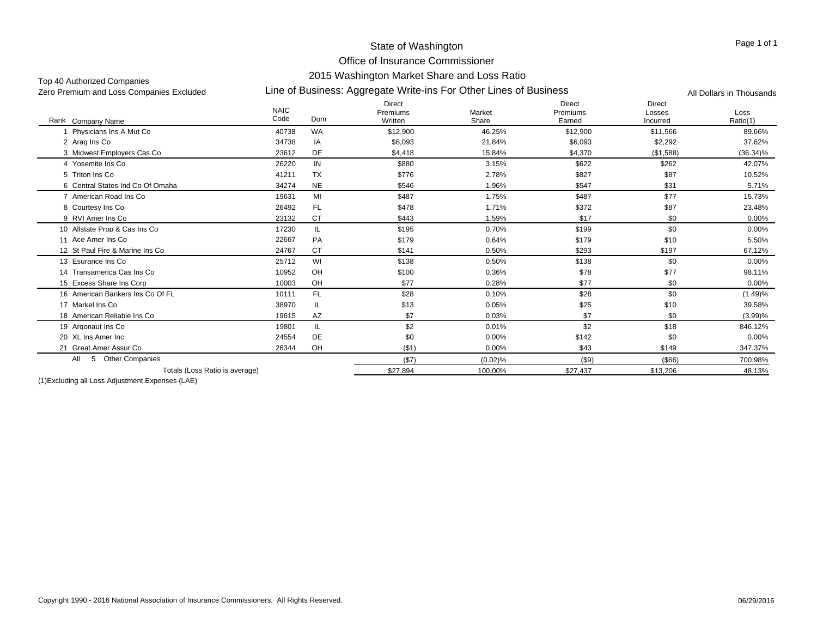#### State of Washington

#### Office of Insurance Commissioner 2015 Washington Market Share and Loss Ratio

Top 40 Authorized Companies<br>Zero Premium and Loss Companies Excluded

Line of Business: Aggregate Write-ins For Other Lines of Business Zero Premium and Loss Companies Excluded All Dollars in Thousands

| Rank Company Name                  | <b>NAIC</b><br>Code | Dom       | <b>Direct</b><br>Premiums<br>Written | Market<br>Share | <b>Direct</b><br>Premiums<br>Earned | <b>Direct</b><br>Losses<br>Incurred | Loss<br>Ratio(1) |
|------------------------------------|---------------------|-----------|--------------------------------------|-----------------|-------------------------------------|-------------------------------------|------------------|
| Physicians Ins A Mut Co            | 40738               | <b>WA</b> | \$12,900                             | 46.25%          | \$12,900                            | \$11,566                            | 89.66%           |
| 2 Arag Ins Co                      | 34738               | IA        | \$6,093                              | 21.84%          | \$6,093                             | \$2,292                             | 37.62%           |
| 3 Midwest Employers Cas Co         | 23612               | <b>DE</b> | \$4,418                              | 15.84%          | \$4,370                             | (\$1,588)                           | $(36.34)\%$      |
| 4 Yosemite Ins Co                  | 26220               | IN        | \$880                                | 3.15%           | \$622                               | \$262                               | 42.07%           |
| 5 Triton Ins Co                    | 41211               | <b>TX</b> | \$776                                | 2.78%           | \$827                               | \$87                                | 10.52%           |
| 6 Central States Ind Co Of Omaha   | 34274               | <b>NE</b> | \$546                                | 1.96%           | \$547                               | \$31                                | 5.71%            |
| 7 American Road Ins Co.            | 19631               | MI        | \$487                                | 1.75%           | \$487                               | \$77                                | 15.73%           |
| 8 Courtesy Ins Co                  | 26492               | <b>FL</b> | \$478                                | 1.71%           | \$372                               | \$87                                | 23.48%           |
| 9 RVI Amer Ins Co                  | 23132               | <b>CT</b> | \$443                                | 1.59%           | \$17                                | \$0                                 | 0.00%            |
| 10 Allstate Prop & Cas Ins Co      | 17230               | IL        | \$195                                | 0.70%           | \$199                               | \$0                                 | 0.00%            |
| 11 Ace Amer Ins Co                 | 22667               | PA        | \$179                                | 0.64%           | \$179                               | \$10                                | 5.50%            |
| 12 St Paul Fire & Marine Ins Co    | 24767               | <b>CT</b> | \$141                                | 0.50%           | \$293                               | \$197                               | 67.12%           |
| 13 Esurance Ins Co                 | 25712               | WI        | \$138                                | 0.50%           | \$138                               | \$0                                 | 0.00%            |
| 14 Transamerica Cas Ins Co         | 10952               | OH        | \$100                                | 0.36%           | \$78                                | \$77                                | 98.11%           |
| 15 Excess Share Ins Corp           | 10003               | OH        | \$77                                 | 0.28%           | \$77                                | \$0                                 | 0.00%            |
| 16 American Bankers Ins Co Of FL   | 10111               | <b>FL</b> | \$28                                 | 0.10%           | \$28                                | \$0                                 | (1.49)%          |
| 17 Markel Ins Co                   | 38970               | IL        | \$13                                 | 0.05%           | \$25                                | \$10                                | 39.58%           |
| 18 American Reliable Ins Co        | 19615               | AZ        | \$7                                  | 0.03%           | \$7                                 | \$0                                 | (3.99)%          |
| 19 Argonaut Ins Co                 | 19801               | IL        | \$2                                  | 0.01%           | \$2                                 | \$18                                | 846.12%          |
| 20 XL Ins Amer Inc                 | 24554               | <b>DE</b> | \$0                                  | 0.00%           | \$142                               | \$0                                 | 0.00%            |
| 21 Great Amer Assur Co             | 26344               | OH        | ( \$1)                               | 0.00%           | \$43                                | \$149                               | 347.37%          |
| <b>Other Companies</b><br>All<br>5 |                     |           | (\$7)                                | (0.02)%         | $($ \$9)                            | $($ \$66)                           | 700.98%          |
| Totals (Loss Ratio is average)     |                     |           | \$27.894                             | 100.00%         | \$27.437                            | \$13,206                            | 48.13%           |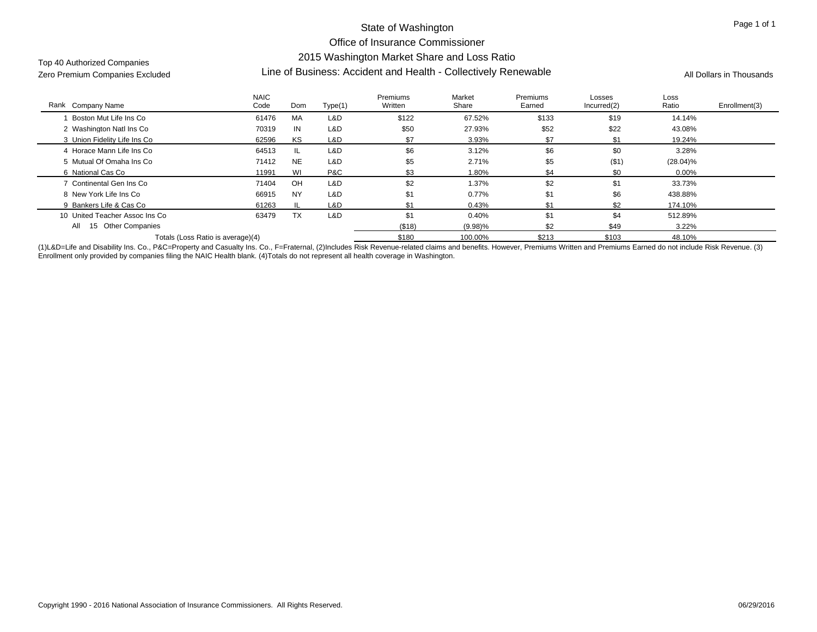Top 40 Authorized Companies

# Line of Business: Accident and Health - Collectively Renewable Zero Premium Companies Excluded All Dollars in Thousands

| Rank Company Name                   | <b>NAIC</b><br>Code | Dom       | Type(1) | Premiums<br>Written | Market<br>Share | Premiums<br>Earned | Losses<br>Incurred(2) | Loss<br>Ratio | Enrollment(3) |
|-------------------------------------|---------------------|-----------|---------|---------------------|-----------------|--------------------|-----------------------|---------------|---------------|
| Boston Mut Life Ins Co              | 61476               | MA        | L&D     | \$122               | 67.52%          | \$133              | \$19                  | 14.14%        |               |
| 2 Washington Natl Ins Co            | 70319               | IN        | L&D     | \$50                | 27.93%          | \$52               | \$22                  | 43.08%        |               |
| 3 Union Fidelity Life Ins Co        | 62596               | KS        | L&D     | \$7                 | 3.93%           | \$7                | ۹.                    | 19.24%        |               |
| 4 Horace Mann Life Ins Co           | 64513               | -IL.      | L&D     | \$6                 | 3.12%           | \$6                | \$0                   | 3.28%         |               |
| 5 Mutual Of Omaha Ins Co            | 71412               | <b>NE</b> | L&D     | \$5                 | 2.71%           | \$5                | ( \$1)                | $(28.04)\%$   |               |
| 6 National Cas Co                   | 11991               | WI        | P&C     | \$3                 | 1.80%           | \$4                | \$0                   | $0.00\%$      |               |
| 7 Continental Gen Ins Co            | 71404               | OH        | L&D     | \$2                 | 1.37%           | \$2                | \$1                   | 33.73%        |               |
| 8 New York Life Ins Co              | 66915               | <b>NY</b> | L&D     | \$1                 | 0.77%           | \$1                | \$6                   | 438.88%       |               |
| 9 Bankers Life & Cas Co             | 61263               | - IL      | L&D     |                     | 0.43%           | \$1                | \$2                   | 174.10%       |               |
| 10 United Teacher Assoc Ins Co      | 63479               | <b>TX</b> | L&D     | \$1                 | 0.40%           | \$1                | \$4                   | 512.89%       |               |
| All<br><b>Other Companies</b><br>15 |                     |           |         | (\$18)              | $(9.98)\%$      | \$2                | \$49                  | $3.22\%$      |               |
| Totals (Loss Ratio is average)(4)   |                     |           |         | \$180               | 100.00%         | \$213              | \$103                 | 48.10%        |               |

(1)L&D=Life and Disability Ins. Co., P&C=Property and Casualty Ins. Co., F=Fraternal, (2)Includes Risk Revenue-related claims and benefits. However, Premiums Written and Premiums Earned do not include Risk Revenue. (3) Enrollment only provided by companies filing the NAIC Health blank. (4)Totals do not represent all health coverage in Washington.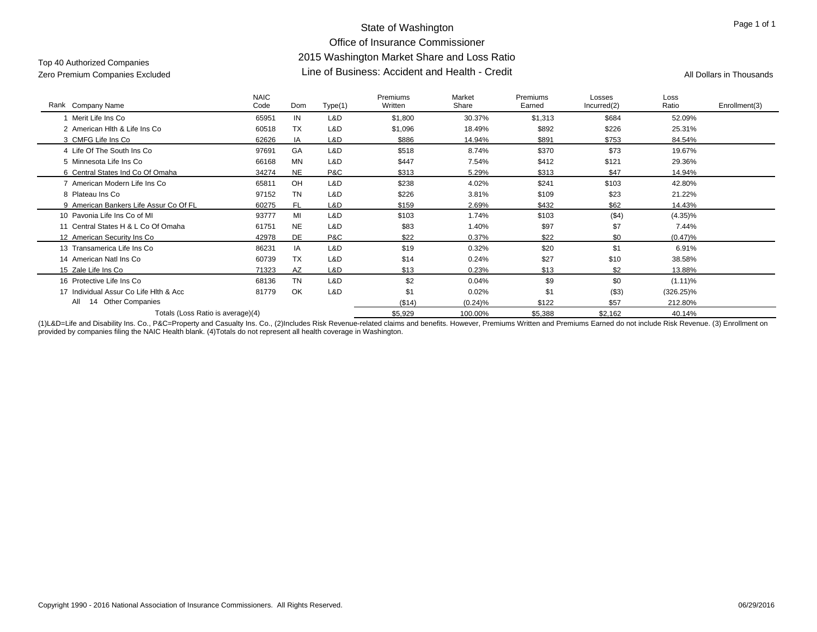## State of Washington Office of Insurance Commissioner 2015 Washington Market Share and Loss Ratio Line of Business: Accident and Health - Credit Zero Premium Companies Excluded All Dollars in Thousands

# Top 40 Authorized Companies

| Rank Company Name                      | <b>NAIC</b><br>Code | Dom       | Type(1) | Premiums<br>Written | Market<br>Share | Premiums<br>Earned | Losses<br>Incurred(2) | Loss<br>Ratio | Enrollment(3) |
|----------------------------------------|---------------------|-----------|---------|---------------------|-----------------|--------------------|-----------------------|---------------|---------------|
| Merit Life Ins Co                      | 65951               | IN        | L&D     | \$1,800             | 30.37%          | \$1,313            | \$684                 | 52.09%        |               |
| 2 American Hith & Life Ins Co          | 60518               | <b>TX</b> | L&D     | \$1,096             | 18.49%          | \$892              | \$226                 | 25.31%        |               |
| 3 CMFG Life Ins Co                     | 62626               | IA        | L&D     | \$886               | 14.94%          | \$891              | \$753                 | 84.54%        |               |
| 4 Life Of The South Ins Co             | 97691               | GA        | L&D     | \$518               | 8.74%           | \$370              | \$73                  | 19.67%        |               |
| 5 Minnesota Life Ins Co                | 66168               | <b>MN</b> | L&D     | \$447               | 7.54%           | \$412              | \$121                 | 29.36%        |               |
| 6 Central States Ind Co Of Omaha       | 34274               | <b>NE</b> | P&C     | \$313               | 5.29%           | \$313              | \$47                  | 14.94%        |               |
| 7 American Modern Life Ins Co          | 65811               | OH        | L&D     | \$238               | 4.02%           | \$241              | \$103                 | 42.80%        |               |
| 8 Plateau Ins Co                       | 97152               | <b>TN</b> | L&D     | \$226               | 3.81%           | \$109              | \$23                  | 21.22%        |               |
| 9 American Bankers Life Assur Co Of FL | 60275               | <b>FL</b> | L&D     | \$159               | 2.69%           | \$432              | \$62                  | 14.43%        |               |
| 10 Pavonia Life Ins Co of MI           | 93777               | MI        | L&D     | \$103               | 1.74%           | \$103              | ( \$4)                | $(4.35)\%$    |               |
| 11 Central States H & L Co Of Omaha    | 61751               | <b>NE</b> | L&D     | \$83                | 1.40%           | \$97               | \$7                   | 7.44%         |               |
| 12 American Security Ins Co            | 42978               | DE        | P&C     | \$22                | 0.37%           | \$22               | \$0                   | $(0.47)\%$    |               |
| 13 Transamerica Life Ins Co            | 86231               | IA        | L&D     | \$19                | 0.32%           | \$20               | \$1                   | 6.91%         |               |
| 14 American Natl Ins Co                | 60739               | <b>TX</b> | L&D     | \$14                | 0.24%           | \$27               | \$10                  | 38.58%        |               |
| 15 Zale Life Ins Co                    | 71323               | AZ        | L&D     | \$13                | 0.23%           | \$13               | \$2                   | 13.88%        |               |
| 16 Protective Life Ins Co              | 68136               | <b>TN</b> | L&D     | \$2                 | 0.04%           | \$9                | \$0                   | $(1.11)\%$    |               |
| 17 Individual Assur Co Life Hith & Acc | 81779               | OK        | L&D     | \$1                 | 0.02%           | \$1                | ( \$3)                | $(326.25)\%$  |               |
| 14 Other Companies<br>All              |                     |           |         | (\$14)              | (0.24)%         | \$122              | \$57                  | 212.80%       |               |
| Totals (Loss Ratio is average)(4)      |                     |           |         | \$5,929             | 100.00%         | \$5,388            | \$2,162               | 40.14%        |               |

(1)L&D=Life and Disability Ins. Co., P&C=Property and Casualty Ins. Co., (2)Includes Risk Revenue-related claims and benefits. However, Premiums Written and Premiums Earned do not include Risk Revenue. (3) Enrollment on provided by companies filing the NAIC Health blank. (4)Totals do not represent all health coverage in Washington.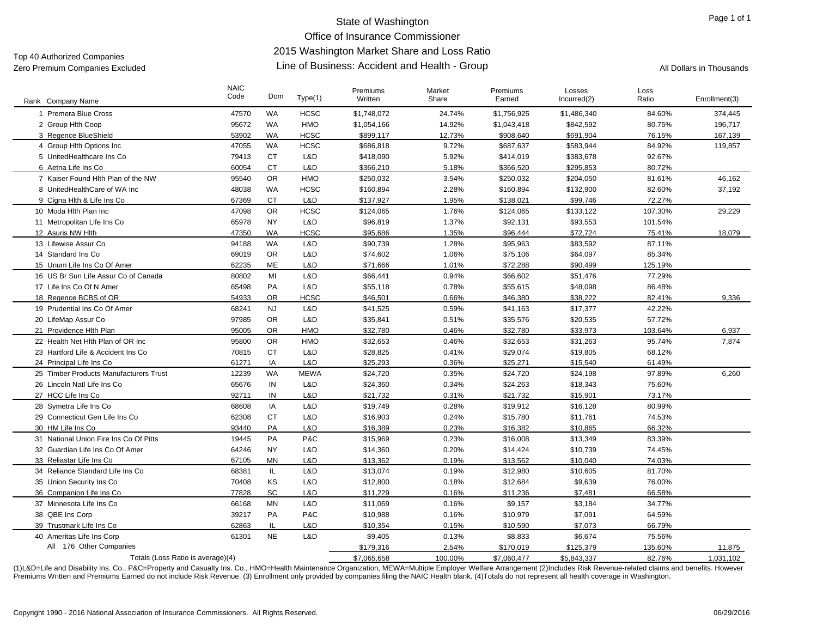## State of Washington Office of Insurance Commissioner 2015 Washington Market Share and Loss Ratio Line of Business: Accident and Health - Group Zero Premium Companies Excluded All Dollars in Thousands

# Top 40 Authorized Companies

| Rank Company Name                      | <b>NAIC</b><br>Code | Dom       | Type(1)     | Premiums<br>Written | Market<br>Share | Premiums<br>Earned | Losses<br>Incurred(2) | Loss<br>Ratio | Enrollment(3) |
|----------------------------------------|---------------------|-----------|-------------|---------------------|-----------------|--------------------|-----------------------|---------------|---------------|
| 1 Premera Blue Cross                   | 47570               | <b>WA</b> | <b>HCSC</b> | \$1,748,072         | 24.74%          | \$1,756,925        | \$1,486,340           | 84.60%        | 374,445       |
| 2 Group Hith Coop                      | 95672               | <b>WA</b> | HMO         | \$1,054,166         | 14.92%          | \$1,043,418        | \$842,592             | 80.75%        | 196,717       |
| 3 Regence BlueShield                   | 53902               | <b>WA</b> | <b>HCSC</b> | \$899,117           | 12.73%          | \$908,640          | \$691,904             | 76.15%        | 167,139       |
| 4 Group Hith Options Inc.              | 47055               | <b>WA</b> | <b>HCSC</b> | \$686,818           | 9.72%           | \$687,637          | \$583,944             | 84.92%        | 119,857       |
| 5 UnitedHealthcare Ins Co              | 79413               | <b>CT</b> | L&D         | \$418,090           | 5.92%           | \$414,019          | \$383,678             | 92.67%        |               |
| 6 Aetna Life Ins Co                    | 60054               | <b>CT</b> | L&D         | \$366,210           | 5.18%           | \$366,520          | \$295,853             | 80.72%        |               |
| 7 Kaiser Found Hlth Plan of the NW     | 95540               | <b>OR</b> | HMO         | \$250,032           | 3.54%           | \$250,032          | \$204,050             | 81.61%        | 46,162        |
| 8 UnitedHealthCare of WA Inc           | 48038               | WA        | <b>HCSC</b> | \$160,894           | 2.28%           | \$160,894          | \$132,900             | 82.60%        | 37,192        |
| 9 Cigna Hlth & Life Ins Co             | 67369               | <b>CT</b> | L&D         | \$137,927           | 1.95%           | \$138,021          | \$99,746              | 72.27%        |               |
| 10 Moda Hith Plan Inc.                 | 47098               | <b>OR</b> | <b>HCSC</b> | \$124,065           | 1.76%           | \$124,065          | \$133,122             | 107.30%       | 29,229        |
| 11 Metropolitan Life Ins Co            | 65978               | <b>NY</b> | L&D         | \$96,819            | 1.37%           | \$92,131           | \$93,553              | 101.54%       |               |
| 12 Asuris NW Hlth                      | 47350               | <b>WA</b> | <b>HCSC</b> | \$95,686            | 1.35%           | \$96,444           | \$72,724              | 75.41%        | 18,079        |
| 13 Lifewise Assur Co                   | 94188               | <b>WA</b> | L&D         | \$90,739            | 1.28%           | \$95,963           | \$83,592              | 87.11%        |               |
| 14 Standard Ins Co                     | 69019               | <b>OR</b> | L&D         | \$74,602            | 1.06%           | \$75,106           | \$64,097              | 85.34%        |               |
| 15 Unum Life Ins Co Of Amer            | 62235               | <b>ME</b> | L&D         | \$71,666            | 1.01%           | \$72,288           | \$90,499              | 125.19%       |               |
| 16 US Br Sun Life Assur Co of Canada   | 80802               | MI        | L&D         | \$66,441            | 0.94%           | \$66,602           | \$51,476              | 77.29%        |               |
| 17 Life Ins Co Of N Amer               | 65498               | PA        | L&D         | \$55,118            | 0.78%           | \$55,615           | \$48,098              | 86.48%        |               |
| 18 Regence BCBS of OR                  | 54933               | <b>OR</b> | HCSC        | \$46,501            | 0.66%           | \$46,380           | \$38,222              | 82.41%        | 9,336         |
| 19 Prudential Ins Co Of Amer           | 68241               | <b>NJ</b> | L&D         | \$41,525            | 0.59%           | \$41,163           | \$17,377              | 42.22%        |               |
| 20 LifeMap Assur Co                    | 97985               | <b>OR</b> | L&D         | \$35,841            | 0.51%           | \$35,576           | \$20,535              | 57.72%        |               |
| 21 Providence Hlth Plan                | 95005               | <b>OR</b> | HMO         | \$32,780            | 0.46%           | \$32,780           | \$33,973              | 103.64%       | 6,937         |
| 22 Health Net Hith Plan of OR Inc      | 95800               | <b>OR</b> | HMO         | \$32,653            | 0.46%           | \$32,653           | \$31,263              | 95.74%        | 7,874         |
| 23 Hartford Life & Accident Ins Co.    | 70815               | <b>CT</b> | L&D         | \$28,825            | 0.41%           | \$29,074           | \$19,805              | 68.12%        |               |
| 24 Principal Life Ins Co               | 61271               | IA        | L&D         | \$25,293            | 0.36%           | \$25,271           | \$15,540              | 61.49%        |               |
| 25 Timber Products Manufacturers Trust | 12239               | <b>WA</b> | <b>MEWA</b> | \$24,720            | 0.35%           | \$24,720           | \$24,198              | 97.89%        | 6,260         |
| 26 Lincoln Natl Life Ins Co            | 65676               | IN        | L&D         | \$24,360            | 0.34%           | \$24,263           | \$18,343              | 75.60%        |               |
| 27 HCC Life Ins Co                     | 92711               | IN        | L&D         | \$21,732            | 0.31%           | \$21,732           | \$15,901              | 73.17%        |               |
| 28 Symetra Life Ins Co                 | 68608               | IA        | L&D         | \$19,749            | 0.28%           | \$19,912           | \$16,128              | 80.99%        |               |
| 29 Connecticut Gen Life Ins Co         | 62308               | <b>CT</b> | L&D         | \$16,903            | 0.24%           | \$15,780           | \$11,761              | 74.53%        |               |
| 30 HM Life Ins Co                      | 93440               | PA        | L&D         | \$16.389            | 0.23%           | \$16.382           | \$10.865              | 66.32%        |               |
| 31 National Union Fire Ins Co Of Pitts | 19445               | PA        | P&C         | \$15,969            | 0.23%           | \$16,008           | \$13,349              | 83.39%        |               |
| 32 Guardian Life Ins Co Of Amer        | 64246               | <b>NY</b> | L&D         | \$14,360            | 0.20%           | \$14,424           | \$10,739              | 74.45%        |               |
| 33 Reliastar Life Ins Co               | 67105               | <b>MN</b> | L&D         | \$13,362            | 0.19%           | \$13,562           | \$10,040              | 74.03%        |               |
| 34 Reliance Standard Life Ins Co       | 68381               | IL.       | L&D         | \$13,074            | 0.19%           | \$12,980           | \$10,605              | 81.70%        |               |
| 35 Union Security Ins Co               | 70408               | KS        | L&D         | \$12,800            | 0.18%           | \$12,684           | \$9,639               | 76.00%        |               |
| 36 Companion Life Ins Co               | 77828               | SC        | L&D         | \$11,229            | 0.16%           | \$11,236           | \$7,481               | 66.58%        |               |
| 37 Minnesota Life Ins Co               | 66168               | <b>MN</b> | L&D         | \$11,069            | 0.16%           | \$9,157            | \$3,184               | 34.77%        |               |
| 38 QBE Ins Corp                        | 39217               | PA        | P&C         | \$10,988            | 0.16%           | \$10,979           | \$7,091               | 64.59%        |               |
| 39 Trustmark Life Ins Co               | 62863               | IL        | L&D         | \$10,354            | 0.15%           | \$10,590           | \$7,073               | 66.79%        |               |
| 40 Ameritas Life Ins Corp              | 61301               | <b>NE</b> | L&D         | \$9,405             | 0.13%           | \$8,833            | \$6,674               | 75.56%        |               |
| All 176 Other Companies                |                     |           |             | \$179,316           | 2.54%           | \$170,019          | \$125,379             | 135.60%       | 11,875        |
| Totals (Loss Ratio is average)(4)      |                     |           |             | \$7,065,658         | 100.00%         | \$7,060,477        | \$5,843,337           | 82.76%        | 1,031,102     |

(1)L&D=Life and Disability Ins. Co., P&C=Property and Casualty Ins. Co., HMO=Health Maintenance Organization, MEWA=Multiple Employer Welfare Arrangement (2)Includes Risk Revenue-related claims and benefits. However Premiums Written and Premiums Earned do not include Risk Revenue. (3) Enrollment only provided by companies filing the NAIC Health blank. (4)Totals do not represent all health coverage in Washington.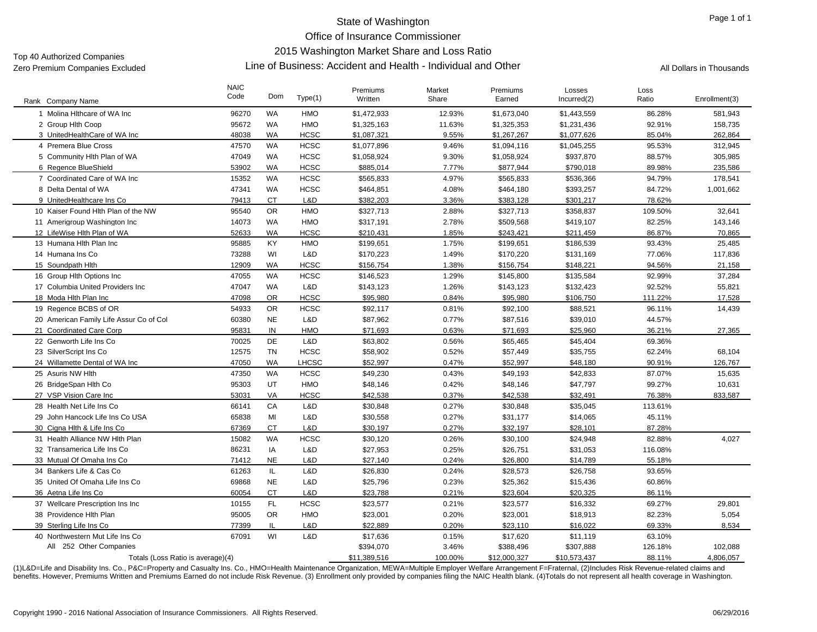## State of Washington Office of Insurance Commissioner

#### 2015 Washington Market Share and Loss Ratio

Top 40 Authorized Companies

#### Line of Business: Accident and Health - Individual and Other Zero Premium Companies Excluded All Dollars in Thousands

| Rank Company Name                       | <b>NAIC</b><br>Code | Dom       | Type(1)      | Premiums<br>Written | Market<br>Share | Premiums<br>Earned | Losses<br>Incurred(2) | Loss<br>Ratio | Enrollment(3) |
|-----------------------------------------|---------------------|-----------|--------------|---------------------|-----------------|--------------------|-----------------------|---------------|---------------|
| 1 Molina Hithcare of WA Inc             | 96270               | <b>WA</b> | <b>HMO</b>   | \$1,472,933         | 12.93%          | \$1,673,040        | \$1,443,559           | 86.28%        | 581,943       |
| 2 Group Hith Coop                       | 95672               | WA        | <b>HMO</b>   | \$1,325,163         | 11.63%          | \$1,325,353        | \$1,231,436           | 92.91%        | 158,735       |
| 3 UnitedHealthCare of WA Inc            | 48038               | <b>WA</b> | <b>HCSC</b>  | \$1,087,321         | 9.55%           | \$1,267,267        | \$1,077,626           | 85.04%        | 262,864       |
| 4 Premera Blue Cross                    | 47570               | WA        | <b>HCSC</b>  | \$1,077,896         | 9.46%           | \$1,094,116        | \$1,045,255           | 95.53%        | 312,945       |
| 5 Community Hith Plan of WA             | 47049               | WA        | <b>HCSC</b>  | \$1,058,924         | 9.30%           | \$1,058,924        | \$937,870             | 88.57%        | 305,985       |
| 6 Regence BlueShield                    | 53902               | <b>WA</b> | <b>HCSC</b>  | \$885,014           | 7.77%           | \$877,944          | \$790,018             | 89.98%        | 235,586       |
| 7 Coordinated Care of WA Inc            | 15352               | <b>WA</b> | <b>HCSC</b>  | \$565,833           | 4.97%           | \$565,833          | \$536,366             | 94.79%        | 178,541       |
| 8 Delta Dental of WA                    | 47341               | WA        | <b>HCSC</b>  | \$464,851           | 4.08%           | \$464,180          | \$393,257             | 84.72%        | 1,001,662     |
| 9 UnitedHealthcare Ins Co               | 79413               | <b>CT</b> | L&D          | \$382,203           | 3.36%           | \$383,128          | \$301,217             | 78.62%        |               |
| 10 Kaiser Found Hith Plan of the NW     | 95540               | <b>OR</b> | <b>HMO</b>   | \$327,713           | 2.88%           | \$327,713          | \$358,837             | 109.50%       | 32,641        |
|                                         |                     |           |              |                     |                 |                    |                       |               |               |
| 11 Amerigroup Washington Inc            | 14073               | WA        | <b>HMO</b>   | \$317,191           | 2.78%           | \$509,568          | \$419,107             | 82.25%        | 143,146       |
| 12 LifeWise Hlth Plan of WA             | 52633               | <b>WA</b> | <b>HCSC</b>  | \$210,431           | 1.85%           | \$243,421          | \$211,459             | 86.87%        | 70,865        |
| 13 Humana Hith Plan Inc                 | 95885               | KY        | <b>HMO</b>   | \$199,651           | 1.75%           | \$199,651          | \$186,539             | 93.43%        | 25,485        |
| 14 Humana Ins Co                        | 73288               | WI        | L&D          | \$170,223           | 1.49%           | \$170,220          | \$131,169             | 77.06%        | 117,836       |
| 15 Soundpath Hith                       | 12909               | <b>WA</b> | <b>HCSC</b>  | \$156,754           | 1.38%           | \$156,754          | \$148,221             | 94.56%        | 21,158        |
| 16 Group Hith Options Inc               | 47055               | <b>WA</b> | <b>HCSC</b>  | \$146,523           | 1.29%           | \$145,800          | \$135,584             | 92.99%        | 37,284        |
| 17 Columbia United Providers Inc        | 47047               | WA        | L&D          | \$143,123           | 1.26%           | \$143,123          | \$132,423             | 92.52%        | 55,821        |
| 18 Moda Hith Plan Inc                   | 47098               | <b>OR</b> | <b>HCSC</b>  | \$95,980            | 0.84%           | \$95,980           | \$106,750             | 111.22%       | 17,528        |
| 19 Regence BCBS of OR                   | 54933               | <b>OR</b> | <b>HCSC</b>  | \$92,117            | 0.81%           | \$92,100           | \$88,521              | 96.11%        | 14,439        |
| 20 American Family Life Assur Co of Col | 60380               | <b>NE</b> | L&D          | \$87,962            | 0.77%           | \$87,516           | \$39,010              | 44.57%        |               |
| 21 Coordinated Care Corp                | 95831               | IN        | <b>HMO</b>   | \$71,693            | 0.63%           | \$71,693           | \$25,960              | 36.21%        | 27,365        |
| 22 Genworth Life Ins Co                 | 70025               | <b>DE</b> | L&D          | \$63,802            | 0.56%           | \$65,465           | \$45,404              | 69.36%        |               |
| 23 SilverScript Ins Co                  | 12575               | <b>TN</b> | <b>HCSC</b>  | \$58,902            | 0.52%           | \$57,449           | \$35,755              | 62.24%        | 68,104        |
| 24 Willamette Dental of WA Inc          | 47050               | WA        | <b>LHCSC</b> | \$52,997            | 0.47%           | \$52,997           | \$48,180              | 90.91%        | 126,767       |
| 25 Asuris NW Hlth                       | 47350               | <b>WA</b> | <b>HCSC</b>  | \$49,230            | 0.43%           | \$49,193           | \$42,833              | 87.07%        | 15,635        |
| 26 BridgeSpan Hlth Co                   | 95303               | UT        | <b>HMO</b>   | \$48,146            | 0.42%           | \$48,146           | \$47,797              | 99.27%        | 10,631        |
| 27 VSP Vision Care Inc                  | 53031               | VA        | <b>HCSC</b>  | \$42,538            | 0.37%           | \$42,538           | \$32,491              | 76.38%        | 833,587       |
| 28 Health Net Life Ins Co               | 66141               | CA        | L&D          | \$30,848            | 0.27%           | \$30,848           | \$35,045              | 113.61%       |               |
| 29 John Hancock Life Ins Co USA         | 65838               | MI        | L&D          | \$30,558            | 0.27%           | \$31,177           | \$14,065              | 45.11%        |               |
| 30 Cigna Hlth & Life Ins Co             | 67369               | <b>CT</b> | L&D          | \$30,197            | 0.27%           | \$32,197           | \$28,101              | 87.28%        |               |
| 31 Health Alliance NW Hlth Plan         | 15082               | <b>WA</b> | <b>HCSC</b>  | \$30,120            | 0.26%           | \$30,100           | \$24,948              | 82.88%        | 4,027         |
| 32 Transamerica Life Ins Co             | 86231               | IA        | L&D          | \$27,953            | 0.25%           | \$26,751           | \$31,053              | 116.08%       |               |
| 33 Mutual Of Omaha Ins Co               | 71412               | <b>NE</b> | L&D          | \$27,140            | 0.24%           | \$26,800           | \$14,789              | 55.18%        |               |
| 34 Bankers Life & Cas Co                | 61263               | IL.       | L&D          | \$26,830            | 0.24%           | \$28,573           | \$26,758              | 93.65%        |               |
| 35 United Of Omaha Life Ins Co          | 69868               | <b>NE</b> | L&D          | \$25,796            | 0.23%           | \$25,362           | \$15,436              | 60.86%        |               |
| 36 Aetna Life Ins Co                    | 60054               | <b>CT</b> | L&D          | \$23,788            | 0.21%           | \$23,604           | \$20,325              | 86.11%        |               |
| 37 Wellcare Prescription Ins Inc        | 10155               | FL.       | <b>HCSC</b>  | \$23,577            | 0.21%           | \$23,577           | \$16,332              | 69.27%        | 29.801        |
| 38 Providence Hlth Plan                 | 95005               | <b>OR</b> | <b>HMO</b>   | \$23,001            | 0.20%           | \$23,001           | \$18,913              | 82.23%        | 5,054         |
| 39 Sterling Life Ins Co                 | 77399               | IL        | L&D          | \$22,889            | 0.20%           | \$23,110           | \$16,022              | 69.33%        | 8,534         |
| 40 Northwestern Mut Life Ins Co         | 67091               | WI        | L&D          | \$17,636            | 0.15%           | \$17,620           | \$11,119              | 63.10%        |               |
| All 252 Other Companies                 |                     |           |              | \$394,070           | 3.46%           | \$388,496          | \$307,888             | 126.18%       | 102,088       |
| Totals (Loss Ratio is average)(4)       |                     |           |              | \$11,389,516        | 100.00%         | \$12,000,327       | \$10,573,437          | 88.11%        | 4,806,057     |

(1)L&D=Life and Disability Ins. Co., P&C=Property and Casualty Ins. Co., HMO=Health Maintenance Organization, MEWA=Multiple Employer Welfare Arrangement F=Fraternal, (2)Includes Risk Revenue-related claims and benefits. However, Premiums Written and Premiums Earned do not include Risk Revenue. (3) Enrollment only provided by companies filing the NAIC Health blank. (4)Totals do not represent all health coverage in Washington.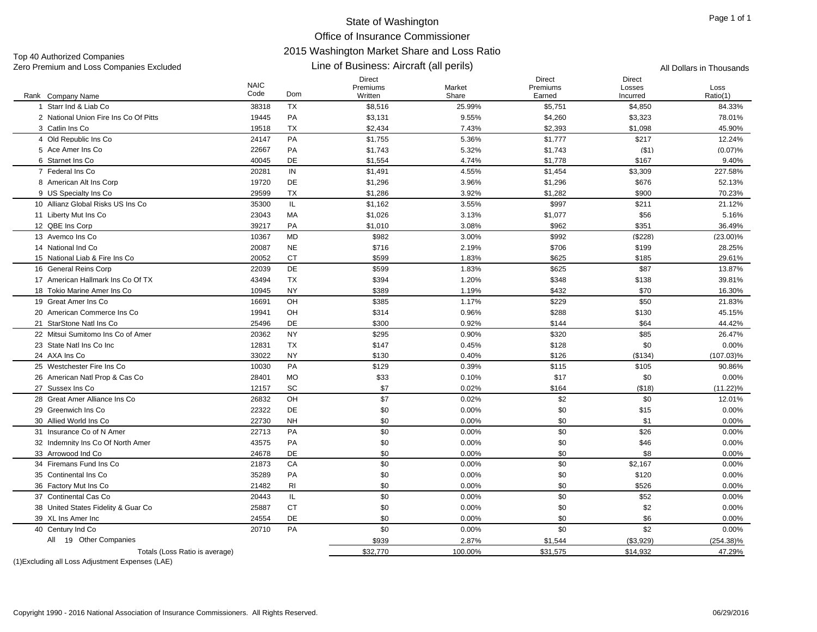## State of Washington Office of Insurance Commissioner 2015 Washington Market Share and Loss Ratio Line of Business: Aircraft (all perils)

Top 40 Authorized Companies Zero Premium and Loss Companies Excluded **All Dollars in Thousands All Dollars in Thousands All Dollars in Thousands** 

| Rank Company Name                     | <b>NAIC</b><br>Code | Dom            | Direct<br>Premiums<br>Written | Market<br>Share | Direct<br>Premiums<br>Earned | Direct<br>Losses<br>Incurred | Loss<br>Ratio(1) |
|---------------------------------------|---------------------|----------------|-------------------------------|-----------------|------------------------------|------------------------------|------------------|
| Starr Ind & Liab Co                   | 38318               | <b>TX</b>      | \$8,516                       | 25.99%          | \$5,751                      | \$4,850                      | 84.33%           |
| 2 National Union Fire Ins Co Of Pitts | 19445               | PA             | \$3,131                       | 9.55%           | \$4,260                      | \$3,323                      | 78.01%           |
| 3 Catlin Ins Co                       | 19518               | <b>TX</b>      | \$2,434                       | 7.43%           | \$2,393                      | \$1,098                      | 45.90%           |
| 4 Old Republic Ins Co                 | 24147               | PA             | \$1,755                       | 5.36%           | \$1,777                      | \$217                        | 12.24%           |
| 5 Ace Amer Ins Co                     | 22667               | PA             | \$1,743                       | 5.32%           | \$1,743                      | ( \$1)                       | (0.07)%          |
| 6 Starnet Ins Co                      | 40045               | <b>DE</b>      | \$1,554                       | 4.74%           | \$1,778                      | \$167                        | 9.40%            |
| 7 Federal Ins Co                      | 20281               | IN             | \$1,491                       | 4.55%           | \$1,454                      | \$3,309                      | 227.58%          |
| 8 American Alt Ins Corp               | 19720               | DE             | \$1,296                       | 3.96%           | \$1,296                      | \$676                        | 52.13%           |
| 9 US Specialty Ins Co                 | 29599               | <b>TX</b>      | \$1,286                       | 3.92%           | \$1,282                      | \$900                        | 70.23%           |
| 10 Allianz Global Risks US Ins Co     | 35300               | IL             | \$1,162                       | 3.55%           | \$997                        | \$211                        | 21.12%           |
| 11 Liberty Mut Ins Co                 | 23043               | MA             | \$1,026                       | 3.13%           | \$1,077                      | \$56                         | 5.16%            |
| 12 QBE Ins Corp                       | 39217               | PA             | \$1,010                       | 3.08%           | \$962                        | \$351                        | 36.49%           |
| 13 Avemco Ins Co                      | 10367               | <b>MD</b>      | \$982                         | 3.00%           | \$992                        | (\$228)                      | $(23.00)\%$      |
| 14 National Ind Co                    | 20087               | <b>NE</b>      | \$716                         | 2.19%           | \$706                        | \$199                        | 28.25%           |
| 15 National Liab & Fire Ins Co        | 20052               | <b>CT</b>      | \$599                         | 1.83%           | \$625                        | \$185                        | 29.61%           |
| 16 General Reins Corp                 | 22039               | <b>DE</b>      | \$599                         | 1.83%           | \$625                        | \$87                         | 13.87%           |
| 17 American Hallmark Ins Co Of TX     | 43494               | <b>TX</b>      | \$394                         | 1.20%           | \$348                        | \$138                        | 39.81%           |
| 18 Tokio Marine Amer Ins Co           | 10945               | <b>NY</b>      | \$389                         | 1.19%           | \$432                        | \$70                         | 16.30%           |
| 19 Great Amer Ins Co                  | 16691               | OH             | \$385                         | 1.17%           | \$229                        | \$50                         | 21.83%           |
| 20 American Commerce Ins Co           | 19941               | OH             | \$314                         | 0.96%           | \$288                        | \$130                        | 45.15%           |
| 21 StarStone Natl Ins Co              | 25496               | <b>DE</b>      | \$300                         | 0.92%           | \$144                        | \$64                         | 44.42%           |
| 22 Mitsui Sumitomo Ins Co of Amer     | 20362               | <b>NY</b>      | \$295                         | 0.90%           | \$320                        | \$85                         | 26.47%           |
| 23 State Natl Ins Co Inc              | 12831               | <b>TX</b>      | \$147                         | 0.45%           | \$128                        | \$0                          | 0.00%            |
| 24 AXA Ins Co                         | 33022               | NY             | \$130                         | 0.40%           | \$126                        | (\$134)                      | $(107.03)\%$     |
| 25 Westchester Fire Ins Co            | 10030               | PA             | \$129                         | 0.39%           | \$115                        | \$105                        | 90.86%           |
| 26 American Natl Prop & Cas Co        | 28401               | <b>MO</b>      | \$33                          | 0.10%           | \$17                         | \$0                          | 0.00%            |
| 27 Sussex Ins Co                      | 12157               | SC             | \$7                           | 0.02%           | \$164                        | ( \$18)                      | $(11.22)\%$      |
| 28 Great Amer Alliance Ins Co         | 26832               | OH             | \$7                           | 0.02%           | \$2                          | \$0                          | 12.01%           |
| 29 Greenwich Ins Co                   | 22322               | DE             | \$0                           | 0.00%           | \$0                          | \$15                         | 0.00%            |
| 30 Allied World Ins Co                | 22730               | <b>NH</b>      | \$0                           | 0.00%           | \$0                          | \$1                          | 0.00%            |
| 31 Insurance Co of N Amer             | 22713               | PA             | \$0                           | 0.00%           | \$0                          | \$26                         | 0.00%            |
| 32 Indemnity Ins Co Of North Amer     | 43575               | PA             | \$0                           | 0.00%           | \$0                          | \$46                         | 0.00%            |
| 33 Arrowood Ind Co                    | 24678               | DE             | \$0                           | 0.00%           | \$0                          | \$8                          | 0.00%            |
| 34 Firemans Fund Ins Co               | 21873               | CA             | \$0                           | 0.00%           | \$0                          | \$2,167                      | 0.00%            |
| 35 Continental Ins Co                 | 35289               | PA             | \$0                           | 0.00%           | \$0                          | \$120                        | 0.00%            |
| 36 Factory Mut Ins Co                 | 21482               | R <sub>l</sub> | \$0                           | 0.00%           | \$0                          | \$526                        | 0.00%            |
| 37 Continental Cas Co                 | 20443               | IL             | \$0                           | 0.00%           | \$0                          | \$52                         | 0.00%            |
| 38 United States Fidelity & Guar Co   | 25887               | <b>CT</b>      | \$0                           | 0.00%           | \$0                          | \$2                          | 0.00%            |
| 39 XL Ins Amer Inc                    | 24554               | DE             | \$0                           | 0.00%           | \$0                          | \$6                          | 0.00%            |
| 40 Century Ind Co                     | 20710               | PA             | \$0                           | 0.00%           | \$0                          | \$2                          | 0.00%            |
| 19 Other Companies<br>All             |                     |                | \$939                         | 2.87%           | \$1,544                      | (\$3,929)                    | $(254.38)\%$     |
| Totals (Loss Ratio is average)        |                     |                | \$32,770                      | 100.00%         | \$31,575                     | \$14,932                     | 47.29%           |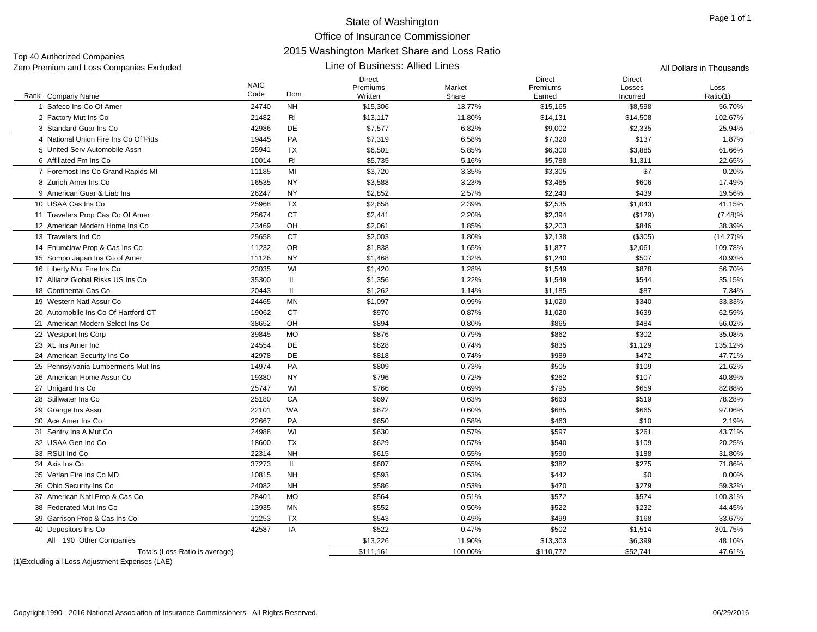Top 40 Authorized Companies Zero Premium and Loss Companies Excluded All Dollars in Thousands

#### Line of Business: Allied Lines

|                                              | <b>NAIC</b><br>Code | Dom            | <b>Direct</b><br>Premiums | Market          | <b>Direct</b><br>Premiums | <b>Direct</b><br>Losses | Loss               |
|----------------------------------------------|---------------------|----------------|---------------------------|-----------------|---------------------------|-------------------------|--------------------|
| Rank Company Name<br>1 Safeco Ins Co Of Amer | 24740               | <b>NH</b>      | Written<br>\$15,306       | Share<br>13.77% | Earned<br>\$15,165        | Incurred<br>\$8,598     | Ratio(1)<br>56.70% |
| 2 Factory Mut Ins Co                         | 21482               | RI             | \$13,117                  | 11.80%          | \$14,131                  | \$14,508                | 102.67%            |
|                                              |                     | DE             |                           |                 |                           |                         |                    |
| 3 Standard Guar Ins Co                       | 42986               | PA             | \$7,577                   | 6.82%           | \$9,002                   | \$2,335                 | 25.94%             |
| 4 National Union Fire Ins Co Of Pitts        | 19445               |                | \$7,319                   | 6.58%           | \$7,320                   | \$137                   | 1.87%              |
| 5 United Serv Automobile Assn                | 25941               | TX             | \$6,501                   | 5.85%           | \$6,300                   | \$3,885                 | 61.66%             |
| 6 Affiliated Fm Ins Co                       | 10014               | R <sub>l</sub> | \$5,735                   | 5.16%           | \$5,788                   | \$1,311                 | 22.65%             |
| 7 Foremost Ins Co Grand Rapids MI            | 11185               | MI             | \$3,720                   | 3.35%           | \$3,305                   | \$7                     | 0.20%              |
| 8 Zurich Amer Ins Co                         | 16535               | <b>NY</b>      | \$3,588                   | 3.23%           | \$3,465                   | \$606                   | 17.49%             |
| 9 American Guar & Liab Ins                   | 26247               | <b>NY</b>      | \$2,852                   | 2.57%           | \$2,243                   | \$439                   | 19.56%             |
| 10 USAA Cas Ins Co                           | 25968               | <b>TX</b>      | \$2,658                   | 2.39%           | \$2,535                   | \$1,043                 | 41.15%             |
| 11 Travelers Prop Cas Co Of Amer             | 25674               | <b>CT</b>      | \$2,441                   | 2.20%           | \$2,394                   | (\$179)                 | $(7.48)\%$         |
| 12 American Modern Home Ins Co               | 23469               | OH             | \$2,061                   | 1.85%           | \$2,203                   | \$846                   | 38.39%             |
| 13 Travelers Ind Co                          | 25658               | <b>CT</b>      | \$2,003                   | 1.80%           | \$2,138                   | (\$305)                 | $(14.27)\%$        |
| 14 Enumclaw Prop & Cas Ins Co                | 11232               | <b>OR</b>      | \$1,838                   | 1.65%           | \$1,877                   | \$2,061                 | 109.78%            |
| 15 Sompo Japan Ins Co of Amer                | 11126               | <b>NY</b>      | \$1,468                   | 1.32%           | \$1,240                   | \$507                   | 40.93%             |
| 16 Liberty Mut Fire Ins Co                   | 23035               | WI             | \$1,420                   | 1.28%           | \$1,549                   | \$878                   | 56.70%             |
| 17 Allianz Global Risks US Ins Co            | 35300               | IL             | \$1,356                   | 1.22%           | \$1,549                   | \$544                   | 35.15%             |
| 18 Continental Cas Co                        | 20443               | IL             | \$1,262                   | 1.14%           | \$1,185                   | \$87                    | 7.34%              |
| 19 Western Natl Assur Co                     | 24465               | <b>MN</b>      | \$1,097                   | 0.99%           | \$1,020                   | \$340                   | 33.33%             |
| 20 Automobile Ins Co Of Hartford CT          | 19062               | <b>CT</b>      | \$970                     | 0.87%           | \$1,020                   | \$639                   | 62.59%             |
| 21 American Modern Select Ins Co             | 38652               | OH             | \$894                     | 0.80%           | \$865                     | \$484                   | 56.02%             |
| 22 Westport Ins Corp                         | 39845               | <b>MO</b>      | \$876                     | 0.79%           | \$862                     | \$302                   | 35.08%             |
| 23 XL Ins Amer Inc                           | 24554               | DE             | \$828                     | 0.74%           | \$835                     | \$1,129                 | 135.12%            |
| 24 American Security Ins Co                  | 42978               | DE             | \$818                     | 0.74%           | \$989                     | \$472                   | 47.71%             |
| 25 Pennsylvania Lumbermens Mut Ins           | 14974               | <b>PA</b>      | \$809                     | 0.73%           | \$505                     | \$109                   | 21.62%             |
| 26 American Home Assur Co                    | 19380               | <b>NY</b>      | \$796                     | 0.72%           | \$262                     | \$107                   | 40.89%             |
| 27 Unigard Ins Co                            | 25747               | WI             | \$766                     | 0.69%           | \$795                     | \$659                   | 82.88%             |
| 28 Stillwater Ins Co                         | 25180               | CA             | \$697                     | 0.63%           | \$663                     | \$519                   | 78.28%             |
| 29 Grange Ins Assn                           | 22101               | WA             | \$672                     | 0.60%           | \$685                     | \$665                   | 97.06%             |
| 30 Ace Amer Ins Co                           | 22667               | PA             | \$650                     | 0.58%           | \$463                     | \$10                    | 2.19%              |
| 31 Sentry Ins A Mut Co                       | 24988               | WI             | \$630                     | 0.57%           | \$597                     | \$261                   | 43.71%             |
| 32 USAA Gen Ind Co                           | 18600               | <b>TX</b>      | \$629                     | 0.57%           | \$540                     | \$109                   | 20.25%             |
| 33 RSUI Ind Co                               | 22314               | <b>NH</b>      | \$615                     | 0.55%           | \$590                     | \$188                   | 31.80%             |
| 34 Axis Ins Co                               | 37273               | IL.            | \$607                     | 0.55%           | \$382                     | \$275                   | 71.86%             |
| 35 Verlan Fire Ins Co MD                     | 10815               | <b>NH</b>      | \$593                     | 0.53%           | \$442                     | \$0                     | 0.00%              |
| 36 Ohio Security Ins Co                      | 24082               | <b>NH</b>      | \$586                     | 0.53%           | \$470                     | \$279                   | 59.32%             |
| 37 American Natl Prop & Cas Co               | 28401               | <b>MO</b>      | \$564                     | 0.51%           | \$572                     | \$574                   | 100.31%            |
| 38 Federated Mut Ins Co                      | 13935               | <b>MN</b>      | \$552                     | 0.50%           | \$522                     | \$232                   | 44.45%             |
| 39 Garrison Prop & Cas Ins Co                | 21253               | <b>TX</b>      | \$543                     | 0.49%           | \$499                     | \$168                   | 33.67%             |
| 40 Depositors Ins Co                         | 42587               | IA             | \$522                     | 0.47%           | \$502                     | \$1,514                 | 301.75%            |
| All 190 Other Companies                      |                     |                | \$13,226                  | 11.90%          | \$13,303                  | \$6,399                 | 48.10%             |
| Totals (Loss Ratio is average)               |                     |                | \$111,161                 | 100.00%         | \$110,772                 | \$52,741                | 47.61%             |
|                                              |                     |                |                           |                 |                           |                         |                    |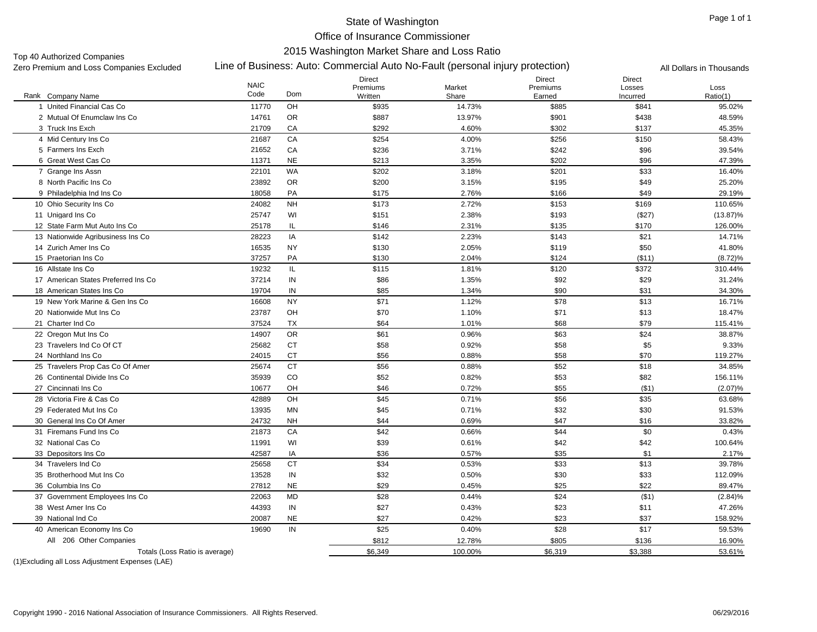### State of Washington

Office of Insurance Commissioner

Line of Business: Auto: Commercial Auto No-Fault (personal injury protection) Zero Premium and Loss Companies Excluded All Dollars in Thousands Top 40 Authorized Companies<br>Zero Premium and Loss Companies Excluded

# 2015 Washington Market Share and Loss Ratio

|                                      | <b>NAIC</b> |           | Direct<br>Premiums | Market  | Direct<br>Premiums | <b>Direct</b><br>Losses | Loss        |
|--------------------------------------|-------------|-----------|--------------------|---------|--------------------|-------------------------|-------------|
| Rank Company Name                    | Code        | Dom       | Written            | Share   | Earned             | Incurred                | Ratio(1)    |
| 1 United Financial Cas Co            | 11770       | OH        | \$935              | 14.73%  | \$885              | \$841                   | 95.02%      |
| 2 Mutual Of Enumclaw Ins Co          | 14761       | <b>OR</b> | \$887              | 13.97%  | \$901              | \$438                   | 48.59%      |
| 3 Truck Ins Exch                     | 21709       | CA        | \$292              | 4.60%   | \$302              | \$137                   | 45.35%      |
| 4 Mid Century Ins Co                 | 21687       | CA        | \$254              | 4.00%   | \$256              | \$150                   | 58.43%      |
| 5 Farmers Ins Exch                   | 21652       | CA        | \$236              | 3.71%   | \$242              | \$96                    | 39.54%      |
| 6 Great West Cas Co                  | 11371       | <b>NE</b> | \$213              | 3.35%   | \$202              | \$96                    | 47.39%      |
| 7 Grange Ins Assn                    | 22101       | WA        | \$202              | 3.18%   | \$201              | \$33                    | 16.40%      |
| 8 North Pacific Ins Co               | 23892       | <b>OR</b> | \$200              | 3.15%   | \$195              | \$49                    | 25.20%      |
| 9 Philadelphia Ind Ins Co            | 18058       | PA        | \$175              | 2.76%   | \$166              | \$49                    | 29.19%      |
| 10 Ohio Security Ins Co              | 24082       | <b>NH</b> | \$173              | 2.72%   | \$153              | \$169                   | 110.65%     |
| 11 Unigard Ins Co                    | 25747       | WI        | \$151              | 2.38%   | \$193              | (\$27)                  | $(13.87)\%$ |
| 12 State Farm Mut Auto Ins Co        | 25178       | IL        | \$146              | 2.31%   | \$135              | \$170                   | 126.00%     |
| 13 Nationwide Agribusiness Ins Co    | 28223       | IA        | \$142              | 2.23%   | \$143              | \$21                    | 14.71%      |
| 14 Zurich Amer Ins Co                | 16535       | <b>NY</b> | \$130              | 2.05%   | \$119              | \$50                    | 41.80%      |
| 15 Praetorian Ins Co                 | 37257       | PA        | \$130              | 2.04%   | \$124              | (\$11)                  | $(8.72)\%$  |
| 16 Allstate Ins Co                   | 19232       | IL        | \$115              | 1.81%   | \$120              | \$372                   | 310.44%     |
| 17 American States Preferred Ins Co. | 37214       | IN        | \$86               | 1.35%   | \$92               | \$29                    | 31.24%      |
| 18 American States Ins Co            | 19704       | IN        | \$85               | 1.34%   | \$90               | \$31                    | 34.30%      |
| 19 New York Marine & Gen Ins Co      | 16608       | <b>NY</b> | \$71               | 1.12%   | \$78               | \$13                    | 16.71%      |
| 20 Nationwide Mut Ins Co             | 23787       | OH        | \$70               | 1.10%   | \$71               | \$13                    | 18.47%      |
| 21 Charter Ind Co                    | 37524       | <b>TX</b> | \$64               | 1.01%   | \$68               | \$79                    | 115.41%     |
| 22 Oregon Mut Ins Co                 | 14907       | <b>OR</b> | \$61               | 0.96%   | \$63               | \$24                    | 38.87%      |
| 23 Travelers Ind Co Of CT            | 25682       | <b>CT</b> | \$58               | 0.92%   | \$58               | \$5                     | 9.33%       |
| 24 Northland Ins Co.                 | 24015       | <b>CT</b> | \$56               | 0.88%   | \$58               | \$70                    | 119.27%     |
| 25 Travelers Prop Cas Co Of Amer     | 25674       | <b>CT</b> | \$56               | 0.88%   | \$52               | \$18                    | 34.85%      |
| 26 Continental Divide Ins Co         | 35939       | CO        | \$52               | 0.82%   | \$53               | \$82                    | 156.11%     |
| 27 Cincinnati Ins Co                 | 10677       | OH        | \$46               | 0.72%   | \$55               | ( \$1)                  | (2.07)%     |
| 28 Victoria Fire & Cas Co            | 42889       | OH        | \$45               | 0.71%   | \$56               | \$35                    | 63.68%      |
| 29 Federated Mut Ins Co              | 13935       | <b>MN</b> | \$45               | 0.71%   | \$32               | \$30                    | 91.53%      |
| 30 General Ins Co Of Amer            | 24732       | <b>NH</b> | \$44               | 0.69%   | \$47               | \$16                    | 33.82%      |
| 31 Firemans Fund Ins Co              | 21873       | CA        | \$42               | 0.66%   | \$44               | \$0                     | 0.43%       |
| 32 National Cas Co                   | 11991       | WI        | \$39               | 0.61%   | \$42               | \$42                    | 100.64%     |
| 33 Depositors Ins Co                 | 42587       | IA        | \$36               | 0.57%   | \$35               | \$1                     | 2.17%       |
| 34 Travelers Ind Co                  | 25658       | <b>CT</b> | \$34               | 0.53%   | \$33               | \$13                    | 39.78%      |
| 35 Brotherhood Mut Ins Co            | 13528       | IN        | \$32               | 0.50%   | \$30               | \$33                    | 112.09%     |
| 36 Columbia Ins Co                   | 27812       | <b>NE</b> | \$29               | 0.45%   | \$25               | \$22                    | 89.47%      |
| 37 Government Employees Ins Co       | 22063       | MD        | \$28               | 0.44%   | \$24               | ( \$1)                  | $(2.84)\%$  |
| 38 West Amer Ins Co                  | 44393       | IN        | \$27               | 0.43%   | \$23               | \$11                    | 47.26%      |
| 39 National Ind Co                   | 20087       | <b>NE</b> | \$27               | 0.42%   | \$23               | \$37                    | 158.92%     |
| 40 American Economy Ins Co           | 19690       | IN        | \$25               | 0.40%   | \$28               | \$17                    | 59.53%      |
| All 206 Other Companies              |             |           | \$812              | 12.78%  | \$805              | \$136                   | 16.90%      |
| Totals (Loss Ratio is average)       |             |           | \$6,349            | 100.00% | \$6,319            | \$3,388                 | 53.61%      |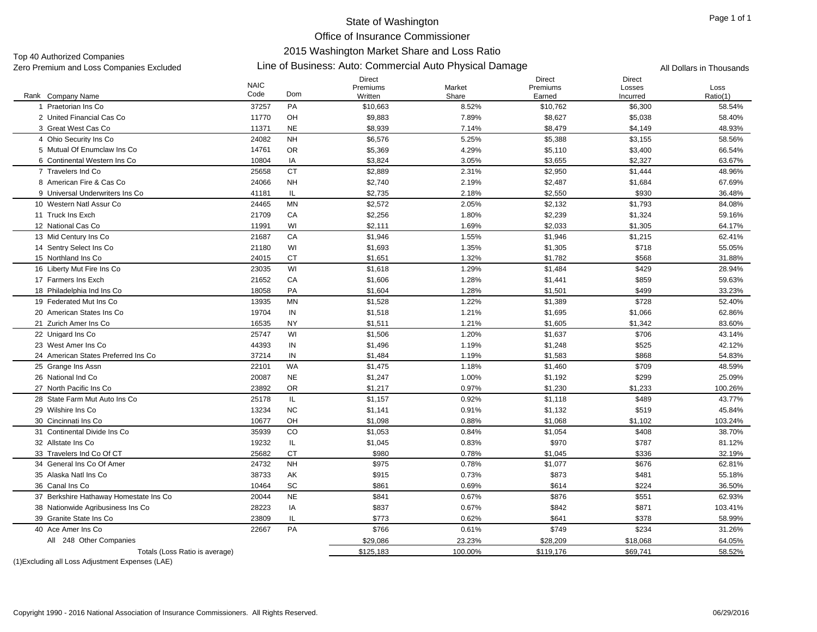#### Page 1 of 1

State of Washington Office of Insurance Commissioner 2015 Washington Market Share and Loss Ratio

Top 40 Authorized Companies<br>Zero Premium and Loss Companies Excluded

### Zero Premium and Loss Companies Excluded Line of Business: Auto: Commercial Auto Physical Damage All Dollars in Thousands

|                                        | <b>NAIC</b> |           | Direct<br>Premiums | Market  | <b>Direct</b><br>Premiums | Direct<br>Losses | Loss     |
|----------------------------------------|-------------|-----------|--------------------|---------|---------------------------|------------------|----------|
| Rank Company Name                      | Code        | Dom       | Written            | Share   | Earned                    | Incurred         | Ratio(1) |
| Praetorian Ins Co<br>1                 | 37257       | PA        | \$10,663           | 8.52%   | \$10,762                  | \$6,300          | 58.54%   |
| 2 United Financial Cas Co              | 11770       | OH        | \$9,883            | 7.89%   | \$8,627                   | \$5,038          | 58.40%   |
| 3 Great West Cas Co                    | 11371       | <b>NE</b> | \$8,939            | 7.14%   | \$8,479                   | \$4,149          | 48.93%   |
| 4 Ohio Security Ins Co                 | 24082       | <b>NH</b> | \$6,576            | 5.25%   | \$5,388                   | \$3,155          | 58.56%   |
| 5 Mutual Of Enumclaw Ins Co            | 14761       | <b>OR</b> | \$5,369            | 4.29%   | \$5,110                   | \$3,400          | 66.54%   |
| 6 Continental Western Ins Co           | 10804       | IA        | \$3,824            | 3.05%   | \$3,655                   | \$2,327          | 63.67%   |
| 7 Travelers Ind Co                     | 25658       | <b>CT</b> | \$2,889            | 2.31%   | \$2,950                   | \$1,444          | 48.96%   |
| 8 American Fire & Cas Co               | 24066       | <b>NH</b> | \$2,740            | 2.19%   | \$2,487                   | \$1,684          | 67.69%   |
| 9 Universal Underwriters Ins Co        | 41181       | IL.       | \$2,735            | 2.18%   | \$2,550                   | \$930            | 36.48%   |
| 10 Western Natl Assur Co               | 24465       | <b>MN</b> | \$2,572            | 2.05%   | \$2,132                   | \$1,793          | 84.08%   |
| 11 Truck Ins Exch                      | 21709       | CA        | \$2,256            | 1.80%   | \$2,239                   | \$1,324          | 59.16%   |
| 12 National Cas Co                     | 11991       | WI        | \$2,111            | 1.69%   | \$2,033                   | \$1,305          | 64.17%   |
| 13 Mid Century Ins Co                  | 21687       | CA        | \$1,946            | 1.55%   | \$1,946                   | \$1,215          | 62.41%   |
| 14 Sentry Select Ins Co                | 21180       | WI        | \$1,693            | 1.35%   | \$1,305                   | \$718            | 55.05%   |
| 15 Northland Ins Co                    | 24015       | <b>CT</b> | \$1,651            | 1.32%   | \$1,782                   | \$568            | 31.88%   |
| 16 Liberty Mut Fire Ins Co             | 23035       | WI        | \$1,618            | 1.29%   | \$1,484                   | \$429            | 28.94%   |
| 17 Farmers Ins Exch                    | 21652       | CA        | \$1,606            | 1.28%   | \$1,441                   | \$859            | 59.63%   |
| 18 Philadelphia Ind Ins Co             | 18058       | PA        | \$1,604            | 1.28%   | \$1,501                   | \$499            | 33.23%   |
| 19 Federated Mut Ins Co                | 13935       | <b>MN</b> | \$1,528            | 1.22%   | \$1,389                   | \$728            | 52.40%   |
| 20 American States Ins Co              | 19704       | IN        | \$1,518            | 1.21%   | \$1,695                   | \$1,066          | 62.86%   |
| 21 Zurich Amer Ins Co                  | 16535       | <b>NY</b> | \$1,511            | 1.21%   | \$1,605                   | \$1,342          | 83.60%   |
| 22 Unigard Ins Co                      | 25747       | WI        | \$1,506            | 1.20%   | \$1,637                   | \$706            | 43.14%   |
| 23 West Amer Ins Co                    | 44393       | IN        | \$1,496            | 1.19%   | \$1,248                   | \$525            | 42.12%   |
| 24 American States Preferred Ins Co    | 37214       | IN        | \$1,484            | 1.19%   | \$1,583                   | \$868            | 54.83%   |
| 25 Grange Ins Assn                     | 22101       | <b>WA</b> | \$1,475            | 1.18%   | \$1,460                   | \$709            | 48.59%   |
| 26 National Ind Co                     | 20087       | <b>NE</b> | \$1,247            | 1.00%   | \$1,192                   | \$299            | 25.09%   |
| 27 North Pacific Ins Co                | 23892       | <b>OR</b> | \$1,217            | 0.97%   | \$1,230                   | \$1,233          | 100.26%  |
| 28 State Farm Mut Auto Ins Co          | 25178       | IL.       | \$1,157            | 0.92%   | \$1,118                   | \$489            | 43.77%   |
| 29 Wilshire Ins Co                     | 13234       | <b>NC</b> | \$1,141            | 0.91%   | \$1,132                   | \$519            | 45.84%   |
| 30 Cincinnati Ins Co                   | 10677       | OH        | \$1,098            | 0.88%   | \$1,068                   | \$1,102          | 103.24%  |
| 31 Continental Divide Ins Co           | 35939       | CO        | \$1,053            | 0.84%   | \$1,054                   | \$408            | 38.70%   |
| 32 Allstate Ins Co                     | 19232       | IL.       | \$1,045            | 0.83%   | \$970                     | \$787            | 81.12%   |
| 33 Travelers Ind Co Of CT              | 25682       | <b>CT</b> | \$980              | 0.78%   | \$1,045                   | \$336            | 32.19%   |
| 34 General Ins Co Of Amer              | 24732       | <b>NH</b> | \$975              | 0.78%   | \$1,077                   | \$676            | 62.81%   |
| 35 Alaska Natl Ins Co                  | 38733       | AK        | \$915              | 0.73%   | \$873                     | \$481            | 55.18%   |
| 36 Canal Ins Co                        | 10464       | SC        | \$861              | 0.69%   | \$614                     | \$224            | 36.50%   |
| 37 Berkshire Hathaway Homestate Ins Co | 20044       | <b>NE</b> | \$841              | 0.67%   | \$876                     | \$551            | 62.93%   |
| 38 Nationwide Agribusiness Ins Co      | 28223       | IA        | \$837              | 0.67%   | \$842                     | \$871            | 103.41%  |
| 39 Granite State Ins Co                | 23809       | IL        | \$773              | 0.62%   | \$641                     | \$378            | 58.99%   |
| 40 Ace Amer Ins Co                     | 22667       | PA        | \$766              | 0.61%   | \$749                     | \$234            | 31.26%   |
| All 248 Other Companies                |             |           | \$29,086           | 23.23%  | \$28,209                  | \$18,068         | 64.05%   |
| Totals (Loss Ratio is average)         |             |           | \$125,183          | 100.00% | \$119,176                 | \$69,741         | 58.52%   |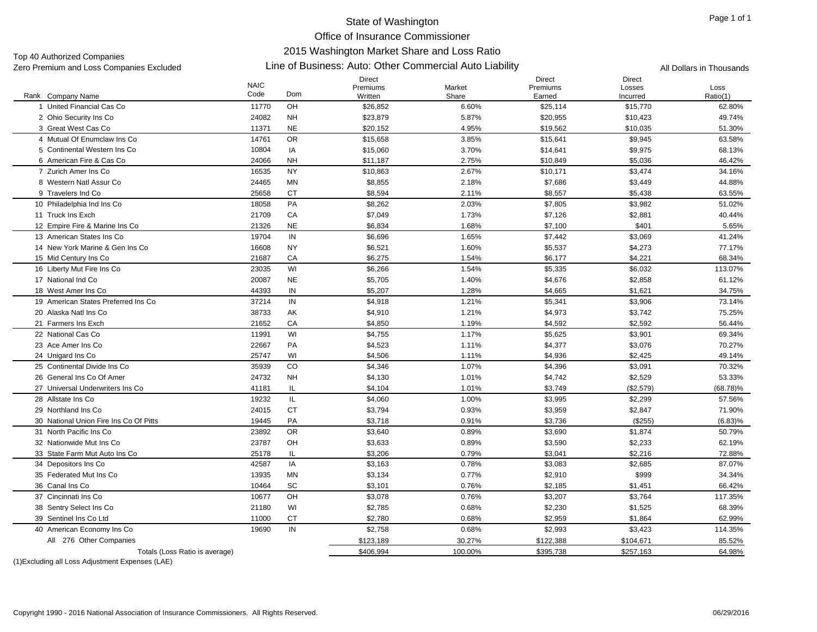Top 40 Authorized Companies<br>Zero Premium and Loss Companies Excluded

#### Zero Premium and Loss Companies Excluded Line of Business: Auto: Other Commercial Auto Liability All Dollars in Thousands

|                                        | <b>NAIC</b><br>Code | Dom       | Direct<br>Premiums | Market  | Direct<br>Premiums | Direct<br>Losses | Loss        |
|----------------------------------------|---------------------|-----------|--------------------|---------|--------------------|------------------|-------------|
| Rank Company Name                      |                     |           | Written            | Share   | Earned             | Incurred         | Ratio(1)    |
| 1 United Financial Cas Co              | 11770               | OH        | \$26,852           | 6.60%   | \$25.114           | \$15,770         | 62.80%      |
| 2 Ohio Security Ins Co                 | 24082               | <b>NH</b> | \$23,879           | 5.87%   | \$20,955           | \$10,423         | 49.74%      |
| 3 Great West Cas Co                    | 11371               | <b>NE</b> | \$20,152           | 4.95%   | \$19,562           | \$10,035         | 51.30%      |
| 4 Mutual Of Enumclaw Ins Co.           | 14761               | <b>OR</b> | \$15,658           | 3.85%   | \$15,641           | \$9.945          | 63.58%      |
| 5 Continental Western Ins Co           | 10804               | IA        | \$15,060           | 3.70%   | \$14,641           | \$9,975          | 68.13%      |
| 6 American Fire & Cas Co               | 24066               | <b>NH</b> | \$11,187           | 2.75%   | \$10,849           | \$5,036          | 46.42%      |
| 7 Zurich Amer Ins Co.                  | 16535               | <b>NY</b> | \$10,863           | 2.67%   | \$10,171           | \$3,474          | 34.16%      |
| 8 Western Natl Assur Co                | 24465               | <b>MN</b> | \$8,855            | 2.18%   | \$7,686            | \$3,449          | 44.88%      |
| 9 Travelers Ind Co                     | 25658               | <b>CT</b> | \$8,594            | 2.11%   | \$8,557            | \$5,438          | 63.55%      |
| 10 Philadelphia Ind Ins Co.            | 18058               | PA        | \$8,262            | 2.03%   | \$7,805            | \$3,982          | 51.02%      |
| 11 Truck Ins Exch                      | 21709               | CA        | \$7,049            | 1.73%   | \$7,126            | \$2,881          | 40.44%      |
| 12 Empire Fire & Marine Ins Co         | 21326               | <b>NE</b> | \$6,834            | 1.68%   | \$7,100            | \$401            | 5.65%       |
| 13 American States Ins Co              | 19704               | IN        | \$6,696            | 1.65%   | \$7,442            | \$3,069          | 41.24%      |
| 14 New York Marine & Gen Ins Co        | 16608               | <b>NY</b> | \$6,521            | 1.60%   | \$5,537            | \$4,273          | 77.17%      |
| 15 Mid Century Ins Co                  | 21687               | CA        | \$6,275            | 1.54%   | \$6,177            | \$4,221          | 68.34%      |
| 16 Liberty Mut Fire Ins Co             | 23035               | WI        | \$6,266            | 1.54%   | \$5,335            | \$6,032          | 113.07%     |
| 17 National Ind Co                     | 20087               | <b>NE</b> | \$5,705            | 1.40%   | \$4,676            | \$2,858          | 61.12%      |
| 18 West Amer Ins Co                    | 44393               | IN        | \$5,207            | 1.28%   | \$4,665            | \$1,621          | 34.75%      |
| 19 American States Preferred Ins Co    | 37214               | IN        | \$4,918            | 1.21%   | \$5,341            | \$3,906          | 73.14%      |
| 20 Alaska Natl Ins Co                  | 38733               | AK        | \$4,910            | 1.21%   | \$4,973            | \$3,742          | 75.25%      |
| 21 Farmers Ins Exch                    | 21652               | CA        | \$4,850            | 1.19%   | \$4,592            | \$2,592          | 56.44%      |
| 22 National Cas Co                     | 11991               | WI        | \$4,755            | 1.17%   | \$5,625            | \$3,901          | 69.34%      |
| 23 Ace Amer Ins Co                     | 22667               | PA        | \$4,523            | 1.11%   | \$4,377            | \$3,076          | 70.27%      |
| 24 Unigard Ins Co                      | 25747               | WI        | \$4,506            | 1.11%   | \$4,936            | \$2,425          | 49.14%      |
| 25 Continental Divide Ins Co           | 35939               | CO        | \$4,346            | 1.07%   | \$4,396            | \$3,091          | 70.32%      |
| 26 General Ins Co Of Amer              | 24732               | <b>NH</b> | \$4,130            | 1.01%   | \$4,742            | \$2,529          | 53.33%      |
| 27 Universal Underwriters Ins Co       | 41181               | IL        | \$4,104            | 1.01%   | \$3,749            | (\$2,579)        | $(68.78)\%$ |
| 28 Allstate Ins Co                     | 19232               | IL        | \$4,060            | 1.00%   | \$3,995            | \$2,299          | 57.56%      |
| 29 Northland Ins Co                    | 24015               | <b>CT</b> | \$3,794            | 0.93%   | \$3,959            | \$2,847          | 71.90%      |
| 30 National Union Fire Ins Co Of Pitts | 19445               | PA        | \$3,718            | 0.91%   | \$3,736            | (\$255)          | $(6.83)\%$  |
| 31 North Pacific Ins Co                | 23892               | <b>OR</b> | \$3,640            | 0.89%   | \$3,690            | \$1,874          | 50.79%      |
| 32 Nationwide Mut Ins Co.              | 23787               | OH        | \$3,633            | 0.89%   | \$3,590            | \$2,233          | 62.19%      |
| 33 State Farm Mut Auto Ins Co          | 25178               | IL        | \$3,206            | 0.79%   | \$3,041            | \$2,216          | 72.88%      |
| 34 Depositors Ins Co                   | 42587               | IA        | \$3,163            | 0.78%   | \$3,083            | \$2,685          | 87.07%      |
| 35 Federated Mut Ins Co                | 13935               | <b>MN</b> | \$3,134            | 0.77%   | \$2,910            | \$999            | 34.34%      |
| 36 Canal Ins Co                        | 10464               | SC        | \$3,101            | 0.76%   | \$2,185            | \$1,451          | 66.42%      |
| 37 Cincinnati Ins Co                   | 10677               | OH        | \$3,078            | 0.76%   | \$3,207            | \$3,764          | 117.35%     |
| 38 Sentry Select Ins Co                | 21180               | WI        | \$2,785            | 0.68%   | \$2,230            | \$1,525          | 68.39%      |
| 39 Sentinel Ins Co Ltd                 | 11000               | <b>CT</b> | \$2,780            | 0.68%   | \$2,959            | \$1,864          | 62.99%      |
| 40 American Economy Ins Co             | 19690               | IN        | \$2,758            | 0.68%   | \$2,993            | \$3,423          | 114.35%     |
| All 276 Other Companies                |                     |           | \$123,189          | 30.27%  | \$122,388          | \$104,671        | 85.52%      |
|                                        |                     |           | \$406,994          | 100.00% |                    | \$257,163        |             |
| Totals (Loss Ratio is average)         |                     |           |                    |         | \$395,738          |                  | 64.98%      |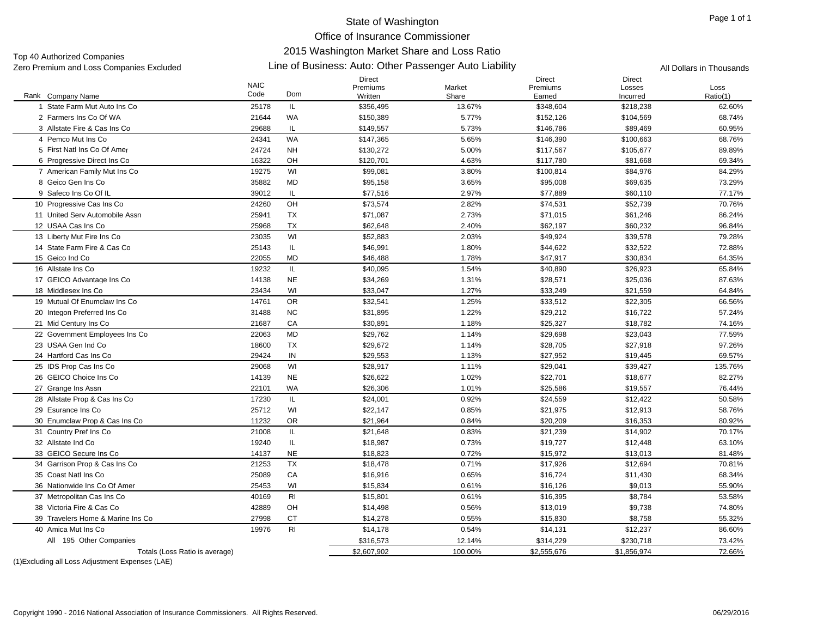Top 40 Authorized Companies<br>Zero Premium and Loss Companies Excluded

#### Line of Business: Auto: Other Passenger Auto Liability Zero Premium and Loss Companies Excluded All Dollars in Thousands

|                                                   | <b>NAIC</b><br>Code | Dom            | Direct<br>Premiums     | Market          | Direct<br>Premiums     | Direct<br>Losses      | Loss               |
|---------------------------------------------------|---------------------|----------------|------------------------|-----------------|------------------------|-----------------------|--------------------|
| Rank Company Name<br>1 State Farm Mut Auto Ins Co | 25178               | IL             | Written<br>\$356,495   | Share<br>13.67% | Earned<br>\$348,604    | Incurred<br>\$218,238 | Ratio(1)<br>62.60% |
| 2 Farmers Ins Co Of WA                            | 21644               | WA             | \$150,389              | 5.77%           | \$152,126              | \$104,569             | 68.74%             |
| 3 Allstate Fire & Cas Ins Co                      | 29688               | IL             |                        | 5.73%           |                        |                       |                    |
| 4 Pemco Mut Ins Co                                | 24341               | <b>WA</b>      | \$149,557<br>\$147,365 | 5.65%           | \$146,786<br>\$146,390 | \$89,469<br>\$100,663 | 60.95%<br>68.76%   |
|                                                   |                     |                |                        |                 |                        |                       |                    |
| 5 First Natl Ins Co Of Amer                       | 24724               | <b>NH</b>      | \$130,272              | 5.00%           | \$117,567              | \$105,677             | 89.89%             |
| 6 Progressive Direct Ins Co                       | 16322               | OH             | \$120,701              | 4.63%           | \$117,780              | \$81,668              | 69.34%             |
| 7 American Family Mut Ins Co                      | 19275               | WI             | \$99,081               | 3.80%           | \$100,814              | \$84,976              | 84.29%             |
| 8 Geico Gen Ins Co                                | 35882               | <b>MD</b>      | \$95,158               | 3.65%           | \$95,008               | \$69,635              | 73.29%             |
| 9 Safeco Ins Co Of IL                             | 39012               | IL             | \$77,516               | 2.97%           | \$77,889               | \$60,110              | 77.17%             |
| 10 Progressive Cas Ins Co                         | 24260               | OH             | \$73,574               | 2.82%           | \$74,531               | \$52,739              | 70.76%             |
| 11 United Serv Automobile Assn                    | 25941               | <b>TX</b>      | \$71,087               | 2.73%           | \$71,015               | \$61,246              | 86.24%             |
| 12 USAA Cas Ins Co                                | 25968               | TX             | \$62,648               | 2.40%           | \$62,197               | \$60,232              | 96.84%             |
| 13 Liberty Mut Fire Ins Co                        | 23035               | WI             | \$52,883               | 2.03%           | \$49,924               | \$39,578              | 79.28%             |
| 14 State Farm Fire & Cas Co                       | 25143               | IL             | \$46,991               | 1.80%           | \$44,622               | \$32,522              | 72.88%             |
| 15 Geico Ind Co                                   | 22055               | <b>MD</b>      | \$46,488               | 1.78%           | \$47,917               | \$30,834              | 64.35%             |
| 16 Allstate Ins Co                                | 19232               | IL             | \$40,095               | 1.54%           | \$40,890               | \$26,923              | 65.84%             |
| 17 GEICO Advantage Ins Co                         | 14138               | <b>NE</b>      | \$34,269               | 1.31%           | \$28,571               | \$25,036              | 87.63%             |
| 18 Middlesex Ins Co                               | 23434               | WI             | \$33,047               | 1.27%           | \$33,249               | \$21,559              | 64.84%             |
| 19 Mutual Of Enumclaw Ins Co                      | 14761               | <b>OR</b>      | \$32,541               | 1.25%           | \$33,512               | \$22,305              | 66.56%             |
| 20 Integon Preferred Ins Co                       | 31488               | <b>NC</b>      | \$31,895               | 1.22%           | \$29,212               | \$16,722              | 57.24%             |
| 21 Mid Century Ins Co                             | 21687               | CA             | \$30,891               | 1.18%           | \$25,327               | \$18,782              | 74.16%             |
| 22 Government Employees Ins Co                    | 22063               | <b>MD</b>      | \$29,762               | 1.14%           | \$29,698               | \$23,043              | 77.59%             |
| 23 USAA Gen Ind Co                                | 18600               | <b>TX</b>      | \$29.672               | 1.14%           | \$28.705               | \$27,918              | 97.26%             |
| 24 Hartford Cas Ins Co                            | 29424               | IN             | \$29,553               | 1.13%           | \$27,952               | \$19,445              | 69.57%             |
| 25 IDS Prop Cas Ins Co                            | 29068               | WI             | \$28,917               | 1.11%           | \$29,041               | \$39,427              | 135.76%            |
| 26 GEICO Choice Ins Co                            | 14139               | <b>NE</b>      | \$26,622               | 1.02%           | \$22,701               | \$18,677              | 82.27%             |
| 27 Grange Ins Assn                                | 22101               | <b>WA</b>      | \$26,306               | 1.01%           | \$25,586               | \$19,557              | 76.44%             |
| 28 Allstate Prop & Cas Ins Co                     | 17230               | IL             | \$24,001               | 0.92%           | \$24,559               | \$12,422              | 50.58%             |
| 29 Esurance Ins Co                                | 25712               | WI             | \$22,147               | 0.85%           | \$21,975               | \$12,913              | 58.76%             |
| 30 Enumclaw Prop & Cas Ins Co                     | 11232               | <b>OR</b>      | \$21,964               | 0.84%           | \$20,209               | \$16,353              | 80.92%             |
| 31 Country Pref Ins Co                            | 21008               | IL             | \$21,648               | 0.83%           | \$21,239               | \$14,902              | 70.17%             |
| 32 Allstate Ind Co                                | 19240               | IL             | \$18,987               | 0.73%           | \$19,727               | \$12,448              | 63.10%             |
| 33 GEICO Secure Ins Co                            | 14137               | <b>NE</b>      | \$18,823               | 0.72%           | \$15,972               | \$13,013              | 81.48%             |
| 34 Garrison Prop & Cas Ins Co                     | 21253               | <b>TX</b>      | \$18,478               | 0.71%           | \$17,926               | \$12,694              | 70.81%             |
| 35 Coast Natl Ins Co                              | 25089               | CA             | \$16,916               | 0.65%           | \$16,724               | \$11,430              | 68.34%             |
| 36 Nationwide Ins Co Of Amer                      | 25453               | WI             | \$15,834               | 0.61%           | \$16,126               | \$9,013               | 55.90%             |
| 37 Metropolitan Cas Ins Co                        | 40169               | R <sub>l</sub> | \$15,801               | 0.61%           | \$16,395               | \$8,784               | 53.58%             |
| 38 Victoria Fire & Cas Co                         | 42889               | OH             | \$14,498               | 0.56%           | \$13,019               | \$9,738               | 74.80%             |
| 39 Travelers Home & Marine Ins Co                 | 27998               | CT             | \$14,278               | 0.55%           | \$15,830               | \$8,758               | 55.32%             |
| 40 Amica Mut Ins Co                               | 19976               | R <sub>l</sub> | \$14,178               | 0.54%           | \$14,131               | \$12,237              | 86.60%             |
| 195 Other Companies<br>All                        |                     |                | \$316,573              | 12.14%          | \$314,229              | \$230,718             | 73.42%             |
| Totals (Loss Ratio is average)                    |                     |                | \$2,607,902            | 100.00%         | \$2,555,676            | \$1,856,974           | 72.66%             |
|                                                   |                     |                |                        |                 |                        |                       |                    |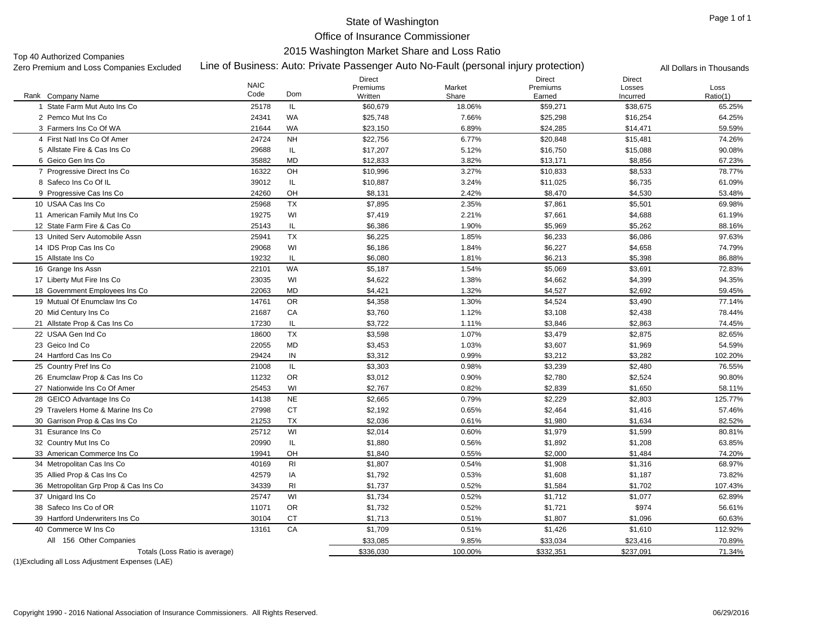# State of Washington

Office of Insurance Commissioner 2015 Washington Market Share and Loss Ratio

Top 40 Authorized Companies<br>Zero Premium and Loss Companies Excluded

## Line of Business: Auto: Private Passenger Auto No-Fault (personal injury protection) Zero Premium and Loss Companies Excluded All Dollars in Thousands

|                                       | <b>NAIC</b> |                | Direct<br>Premiums |                 | <b>Direct</b><br>Premiums | Direct             |                  |
|---------------------------------------|-------------|----------------|--------------------|-----------------|---------------------------|--------------------|------------------|
| Rank Company Name                     | Code        | Dom            | Written            | Market<br>Share | Earned                    | Losses<br>Incurred | Loss<br>Ratio(1) |
| 1 State Farm Mut Auto Ins Co          | 25178       | IL.            | \$60,679           | 18.06%          | \$59,271                  | \$38,675           | 65.25%           |
| 2 Pemco Mut Ins Co                    | 24341       | WA             | \$25,748           | 7.66%           | \$25,298                  | \$16,254           | 64.25%           |
| 3 Farmers Ins Co Of WA                | 21644       | <b>WA</b>      | \$23,150           | 6.89%           | \$24,285                  | \$14,471           | 59.59%           |
| 4 First Natl Ins Co Of Amer           | 24724       | <b>NH</b>      | \$22,756           | 6.77%           | \$20,848                  | \$15,481           | 74.26%           |
| 5 Allstate Fire & Cas Ins Co          | 29688       | IL.            | \$17,207           | 5.12%           | \$16,750                  | \$15,088           | 90.08%           |
| 6 Geico Gen Ins Co                    | 35882       | <b>MD</b>      | \$12,833           | 3.82%           | \$13,171                  | \$8,856            | 67.23%           |
| 7 Progressive Direct Ins Co.          | 16322       | OH             | \$10,996           | 3.27%           | \$10,833                  | \$8,533            | 78.77%           |
| 8 Safeco Ins Co Of IL                 | 39012       | IL.            | \$10,887           | 3.24%           | \$11,025                  | \$6,735            | 61.09%           |
| 9 Progressive Cas Ins Co              | 24260       | OH             | \$8,131            | 2.42%           | \$8,470                   | \$4,530            | 53.48%           |
| 10 USAA Cas Ins Co                    | 25968       | <b>TX</b>      | \$7,895            | 2.35%           | \$7,861                   | \$5,501            | 69.98%           |
| 11 American Family Mut Ins Co         | 19275       | WI             | \$7,419            | 2.21%           | \$7,661                   | \$4,688            | 61.19%           |
| 12 State Farm Fire & Cas Co           | 25143       | IL             | \$6,386            | 1.90%           | \$5,969                   | \$5,262            | 88.16%           |
| 13 United Serv Automobile Assn        | 25941       | <b>TX</b>      | \$6,225            | 1.85%           | \$6,233                   | \$6,086            | 97.63%           |
| 14 IDS Prop Cas Ins Co                | 29068       | WI             | \$6,186            | 1.84%           | \$6,227                   | \$4,658            | 74.79%           |
| 15 Allstate Ins Co                    | 19232       | IL.            | \$6,080            | 1.81%           | \$6,213                   | \$5,398            | 86.88%           |
| 16 Grange Ins Assn                    | 22101       | WA             | \$5,187            | 1.54%           | \$5,069                   | \$3,691            | 72.83%           |
| 17 Liberty Mut Fire Ins Co            | 23035       | WI             | \$4,622            | 1.38%           | \$4,662                   | \$4,399            | 94.35%           |
| 18 Government Employees Ins Co        | 22063       | <b>MD</b>      | \$4,421            | 1.32%           | \$4,527                   | \$2,692            | 59.45%           |
| 19 Mutual Of Enumclaw Ins Co          | 14761       | <b>OR</b>      | \$4,358            | 1.30%           | \$4,524                   | \$3,490            | 77.14%           |
| 20 Mid Century Ins Co                 | 21687       | CA             | \$3,760            | 1.12%           | \$3,108                   | \$2,438            | 78.44%           |
| 21 Allstate Prop & Cas Ins Co         | 17230       | IL             | \$3,722            | 1.11%           | \$3,846                   | \$2,863            | 74.45%           |
| 22 USAA Gen Ind Co                    | 18600       | <b>TX</b>      | \$3,598            | 1.07%           | \$3,479                   | \$2,875            | 82.65%           |
| 23 Geico Ind Co                       | 22055       | <b>MD</b>      | \$3,453            | 1.03%           | \$3,607                   | \$1,969            | 54.59%           |
| 24 Hartford Cas Ins Co                | 29424       | IN             | \$3,312            | 0.99%           | \$3,212                   | \$3,282            | 102.20%          |
| 25 Country Pref Ins Co                | 21008       | IL.            | \$3,303            | 0.98%           | \$3,239                   | \$2,480            | 76.55%           |
| 26 Enumclaw Prop & Cas Ins Co         | 11232       | <b>OR</b>      | \$3,012            | 0.90%           | \$2,780                   | \$2,524            | 90.80%           |
| 27 Nationwide Ins Co Of Amer          | 25453       | WI             | \$2.767            | 0.82%           | \$2.839                   | \$1,650            | 58.11%           |
| 28 GEICO Advantage Ins Co             | 14138       | <b>NE</b>      | \$2,665            | 0.79%           | \$2,229                   | \$2,803            | 125.77%          |
| 29 Travelers Home & Marine Ins Co     | 27998       | <b>CT</b>      | \$2,192            | 0.65%           | \$2,464                   | \$1,416            | 57.46%           |
| 30 Garrison Prop & Cas Ins Co         | 21253       | <b>TX</b>      | \$2.036            | 0.61%           | \$1,980                   | \$1,634            | 82.52%           |
| 31 Esurance Ins Co                    | 25712       | WI             | \$2,014            | 0.60%           | \$1,979                   | \$1,599            | 80.81%           |
| 32 Country Mut Ins Co                 | 20990       | IL.            | \$1,880            | 0.56%           | \$1,892                   | \$1,208            | 63.85%           |
| 33 American Commerce Ins Co           | 19941       | OH             | \$1,840            | 0.55%           | \$2,000                   | \$1,484            | 74.20%           |
| 34 Metropolitan Cas Ins Co            | 40169       | R <sub>l</sub> | \$1,807            | 0.54%           | \$1,908                   | \$1,316            | 68.97%           |
| 35 Allied Prop & Cas Ins Co           | 42579       | IA             | \$1,792            | 0.53%           | \$1,608                   | \$1,187            | 73.82%           |
| 36 Metropolitan Grp Prop & Cas Ins Co | 34339       | <b>RI</b>      | \$1,737            | 0.52%           | \$1,584                   | \$1,702            | 107.43%          |
| 37 Unigard Ins Co                     | 25747       | WI             | \$1,734            | 0.52%           | \$1,712                   | \$1,077            | 62.89%           |
| 38 Safeco Ins Co of OR                | 11071       | <b>OR</b>      | \$1,732            | 0.52%           | \$1,721                   | \$974              | 56.61%           |
| 39 Hartford Underwriters Ins Co       | 30104       | <b>CT</b>      | \$1,713            | 0.51%           | \$1,807                   | \$1,096            | 60.63%           |
| 40 Commerce W Ins Co                  | 13161       | CA             | \$1,709            | 0.51%           | \$1,426                   | \$1,610            | 112.92%          |
| All 156 Other Companies               |             |                | \$33,085           | 9.85%           | \$33,034                  | \$23,416           | 70.89%           |
| Totals (Loss Ratio is average)        |             |                | \$336,030          | 100.00%         | \$332,351                 | \$237,091          | 71.34%           |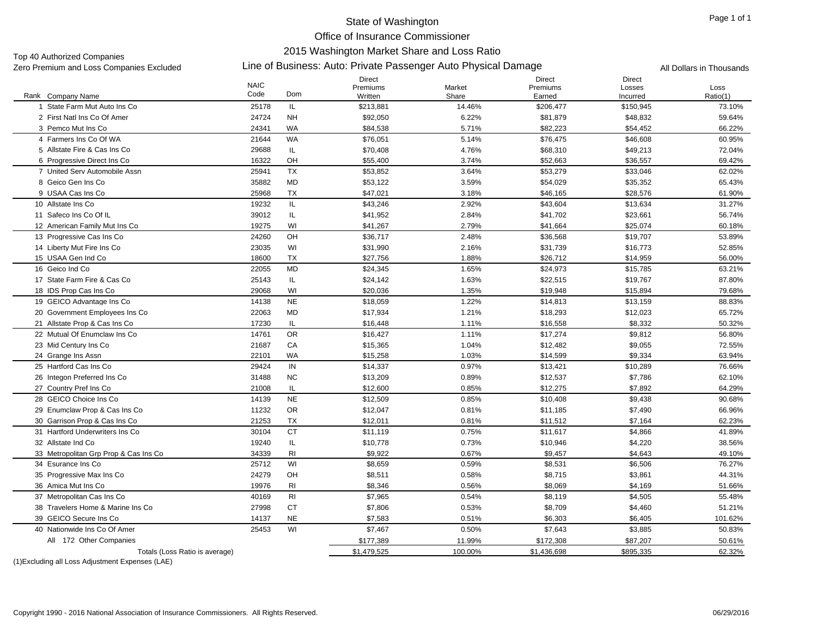# State of Washington

Office of Insurance Commissioner

2015 Washington Market Share and Loss Ratio

Zero Premium and Loss Companies Excluded Line of Business: Auto: Private Passenger Auto Physical Damage All Dollars in Thousands Top 40 Authorized Companies<br>Zero Premium and Loss Companies Excluded

|                                       | <b>NAIC</b> |                | <b>Direct</b><br>Premiums | Market  | <b>Direct</b><br>Premiums | <b>Direct</b><br>Losses | Loss     |
|---------------------------------------|-------------|----------------|---------------------------|---------|---------------------------|-------------------------|----------|
| Rank Company Name                     | Code        | Dom            | Written                   | Share   | Earned                    | Incurred                | Ratio(1) |
| 1 State Farm Mut Auto Ins Co          | 25178       | IL.            | \$213,881                 | 14.46%  | \$206,477                 | \$150,945               | 73.10%   |
| 2 First Natl Ins Co Of Amer           | 24724       | <b>NH</b>      | \$92,050                  | 6.22%   | \$81,879                  | \$48,832                | 59.64%   |
| 3 Pemco Mut Ins Co                    | 24341       | <b>WA</b>      | \$84,538                  | 5.71%   | \$82,223                  | \$54,452                | 66.22%   |
| 4 Farmers Ins Co Of WA                | 21644       | <b>WA</b>      | \$76,051                  | 5.14%   | \$76,475                  | \$46,608                | 60.95%   |
| 5 Allstate Fire & Cas Ins Co          | 29688       | IL             | \$70,408                  | 4.76%   | \$68,310                  | \$49,213                | 72.04%   |
| 6 Progressive Direct Ins Co.          | 16322       | OH             | \$55,400                  | 3.74%   | \$52,663                  | \$36,557                | 69.42%   |
| 7 United Serv Automobile Assn         | 25941       | <b>TX</b>      | \$53,852                  | 3.64%   | \$53,279                  | \$33,046                | 62.02%   |
| 8 Geico Gen Ins Co                    | 35882       | <b>MD</b>      | \$53,122                  | 3.59%   | \$54,029                  | \$35,352                | 65.43%   |
| 9 USAA Cas Ins Co                     | 25968       | TX             | \$47,021                  | 3.18%   | \$46,165                  | \$28,576                | 61.90%   |
| 10 Allstate Ins Co                    | 19232       | IL             | \$43,246                  | 2.92%   | \$43,604                  | \$13,634                | 31.27%   |
| 11 Safeco Ins Co Of IL                | 39012       | IL             | \$41,952                  | 2.84%   | \$41,702                  | \$23,661                | 56.74%   |
| 12 American Family Mut Ins Co         | 19275       | WI             | \$41,267                  | 2.79%   | \$41,664                  | \$25,074                | 60.18%   |
| 13 Progressive Cas Ins Co             | 24260       | OH             | \$36,717                  | 2.48%   | \$36,568                  | \$19,707                | 53.89%   |
| 14 Liberty Mut Fire Ins Co            | 23035       | WI             | \$31,990                  | 2.16%   | \$31,739                  | \$16,773                | 52.85%   |
| 15 USAA Gen Ind Co                    | 18600       | TX             | \$27,756                  | 1.88%   | \$26,712                  | \$14,959                | 56.00%   |
| 16 Geico Ind Co                       | 22055       | <b>MD</b>      | \$24,345                  | 1.65%   | \$24,973                  | \$15,785                | 63.21%   |
| 17 State Farm Fire & Cas Co           | 25143       | IL             | \$24,142                  | 1.63%   | \$22,515                  | \$19,767                | 87.80%   |
| 18 IDS Prop Cas Ins Co                | 29068       | WI             | \$20,036                  | 1.35%   | \$19,948                  | \$15,894                | 79.68%   |
| 19 GEICO Advantage Ins Co             | 14138       | <b>NE</b>      | \$18,059                  | 1.22%   | \$14,813                  | \$13,159                | 88.83%   |
| 20 Government Employees Ins Co        | 22063       | <b>MD</b>      | \$17,934                  | 1.21%   | \$18,293                  | \$12,023                | 65.72%   |
| 21 Allstate Prop & Cas Ins Co         | 17230       | IL.            | \$16,448                  | 1.11%   | \$16,558                  | \$8,332                 | 50.32%   |
| 22 Mutual Of Enumclaw Ins Co.         | 14761       | <b>OR</b>      | \$16,427                  | 1.11%   | \$17,274                  | \$9,812                 | 56.80%   |
| 23 Mid Century Ins Co                 | 21687       | CA             | \$15,365                  | 1.04%   | \$12,482                  | \$9,055                 | 72.55%   |
| 24 Grange Ins Assn                    | 22101       | <b>WA</b>      | \$15,258                  | 1.03%   | \$14,599                  | \$9,334                 | 63.94%   |
| 25 Hartford Cas Ins Co                | 29424       | IN             | \$14,337                  | 0.97%   | \$13,421                  | \$10,289                | 76.66%   |
| 26 Integon Preferred Ins Co           | 31488       | <b>NC</b>      | \$13,209                  | 0.89%   | \$12,537                  | \$7,786                 | 62.10%   |
| 27 Country Pref Ins Co                | 21008       | IL             | \$12,600                  | 0.85%   | \$12,275                  | \$7,892                 | 64.29%   |
| 28 GEICO Choice Ins Co                | 14139       | <b>NE</b>      | \$12,509                  | 0.85%   | \$10,408                  | \$9,438                 | 90.68%   |
| 29 Enumclaw Prop & Cas Ins Co         | 11232       | <b>OR</b>      | \$12,047                  | 0.81%   | \$11,185                  | \$7,490                 | 66.96%   |
| 30 Garrison Prop & Cas Ins Co         | 21253       | <b>TX</b>      | \$12,011                  | 0.81%   | \$11,512                  | \$7,164                 | 62.23%   |
| 31 Hartford Underwriters Ins Co.      | 30104       | <b>CT</b>      | \$11,119                  | 0.75%   | \$11,617                  | \$4,866                 | 41.89%   |
| 32 Allstate Ind Co                    | 19240       | IL             | \$10,778                  | 0.73%   | \$10,946                  | \$4,220                 | 38.56%   |
| 33 Metropolitan Grp Prop & Cas Ins Co | 34339       | R <sub>l</sub> | \$9,922                   | 0.67%   | \$9,457                   | \$4,643                 | 49.10%   |
| 34 Esurance Ins Co                    | 25712       | WI             | \$8,659                   | 0.59%   | \$8,531                   | \$6,506                 | 76.27%   |
| 35 Progressive Max Ins Co             | 24279       | OH             | \$8,511                   | 0.58%   | \$8,715                   | \$3,861                 | 44.31%   |
| 36 Amica Mut Ins Co                   | 19976       | R <sub>l</sub> | \$8,346                   | 0.56%   | \$8,069                   | \$4,169                 | 51.66%   |
| 37 Metropolitan Cas Ins Co            | 40169       | R <sub>l</sub> | \$7,965                   | 0.54%   | \$8,119                   | \$4,505                 | 55.48%   |
| 38 Travelers Home & Marine Ins Co     | 27998       | <b>CT</b>      | \$7,806                   | 0.53%   | \$8,709                   | \$4,460                 | 51.21%   |
| 39 GEICO Secure Ins Co                | 14137       | <b>NE</b>      | \$7,583                   | 0.51%   | \$6,303                   | \$6,405                 | 101.62%  |
| 40 Nationwide Ins Co Of Amer          | 25453       | WI             | \$7,467                   | 0.50%   | \$7,643                   | \$3,885                 | 50.83%   |
| All 172 Other Companies               |             |                | \$177,389                 | 11.99%  | \$172,308                 | \$87,207                | 50.61%   |
| Totals (Loss Ratio is average)        |             |                | \$1,479,525               | 100.00% | \$1,436,698               | \$895,335               | 62.32%   |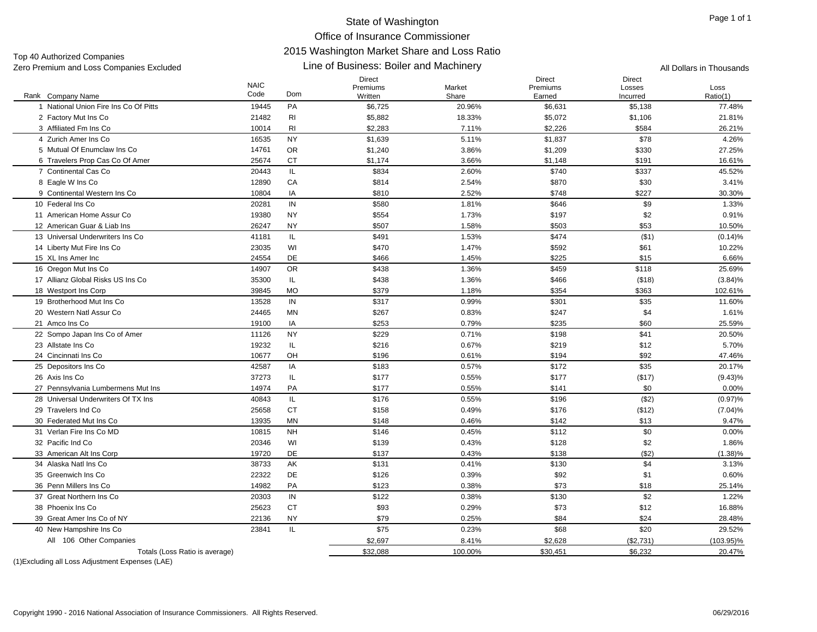Direct

Direct

Direct

Line of Business: Boiler and Machinery Zero Premium and Loss Companies Excluded All Dollars in Thousands Top 40 Authorized Companies

#### Rank Company Name NAIC Code PremiumsWrittenMarketShare PremiumsEarnedLossesIncurredLossRatio(1) k Company Name **Solution Come** Code Dom Written Written Share Share Earned Incurred Ratio(1) 1 National Union Fire Ins Co Of Pitts 19445 PAA \$6,725 20.96% \$6,631 \$5,138 77.48% 2 Factory Mut Ins Co 2 Factory Mut Ins Co 21482 RI \$5,882 18.33% \$5,072 \$1,106 21.81% 3 Affiliated Fm Ins Co 3 Affiliated Fm Ins Co 10014 RI \$2,283 7.11% \$2,226 \$584 26.21% 4 Zurich Amer Ins Co 16535 NY \$1,639 5.11% \$1,837 \$78 4.26% 5 Mutual Of Enumclaw Ins Co 14761 ORR \$1,240 \$1,209 \$330 27.25% 6 Travelers Prop Cas Co Of Amer 25674 CT \$1,174 3.66% \$1,148 \$191 16.61% 7 Continental Cas Co 20443 IL \$834 2.60%% 5740 \$337 45.52% 8 Eagle W Ins Co 8 Eagle W Ins Co 12890 CA \$814 2.54% \$870 3.41% 9 Continental Western Ins Co 10804 IAA \$810 2.52%  $\%$  30.30%  $\frac{1}{30.30}$   $\frac{1}{30.30}$ 10 Federal Ins Co 20281 INN \$580 1.81%  $\%$  6 1.33%  $\frac{1}{30}$  5646 569 59 59 11 American Home Assur Co 19380 NY \$554 1.73% \$197 \$2 0.91% 12 American Guar & Liab Ins 26247 NY \$507 1.58% \$503 \$53 10.50% 13 Universal Underwriters Ins Co 41181 IL \$491 1.53%%  $$474$  (\$1)  $(0.14)\%$ 14 Liberty Mut Fire Ins Co 23035 WI \$470 \$592 \$61 10.22% 15 XL Ins Amer Inc 24554 DE \$466 1.45% $\%$  6.66%  $\$225$  \$15 6.66% 16 Oregon Mut Ins Co 6 Oregon Mut Ins Co 14907 OR \$438 1.36% \$459 \$118 25.69% 17 Allianz Global Risks US Ins Co 35300 IL \$438 1.36%  $\%$  (\$18) (3.84)% (\$18) (3.84)% 18 Westport Ins Corp 8 Westport Ins Corp 39845 MO \$379 1.18% \$354 \$363 102.61% 19 Brotherhood Mut Ins Co 13528 INN \$317 0.99%  $\%$  6301 \$301 \$35 5 11.60% 20 Western Natl Assur Co 24465 MNN \$267 0.83%  $\%$  5247 \$2000  $\frac{1.61}{1.61\%}$ 21 Amco Ins Co 19100 IAA \$253 0.79%  $\%$  8235 \$60 25.59% 22 Sompo Japan Ins Co of Amer 11126 NY \$229 \$1% \$ \$41 20.50% 23 Allstate Ins Co 19232 IL \$216 0.67% $\%$  5.70%  $\frac{1}{2}$  5.70% 24 Cincinnati Ins Co 10677 OH \$196 0.61% $\%$  6194 \$194 \$92 47.46% 25 Depositors Ins Co 5 Depositors Ins Co 42587 IA \$183 \$772 \$35 20.17% 26 Axis Ins Co Axis Ins Co 37273 IL \$177 0.55% \$177 (\$17) (9.43)% 27 Pennsylvania Lumbermens Mut Ins 1988 1997 - 14974 PA \$177 \$177 \$177 \$159% \$141 \$141 \$0 \$0 \$100% \$100 \$0 \$1 28 Universal Underwriters Of TX Ins 40843 IL \$176 0.55% \$196 (\$2) (0.97)% 29 Travelers Ind Co 25658 CT \$158 0.49% \$176 (\$12) (7.04)% 30 Federated Mut Ins Co 13935 MNN \$148 0.46%  $\%$  8142 \$13 9.47% 31 Verlan Fire Ins Co MD 10815 NH \$146 0.45% $\%$  60 0.00%  $\frac{1}{2}$  50 0.00% 32 Pacific Ind Co 20346 WI \$139 0.43% $\%$  5128 \$2 52 52 52 52  $\%$ 33 American Alt Ins Corp 3 American Alt Ins Corp 19720 DE \$137 0.43% \$138 (\$2) (1.38)% 34 Alaska Natl Ins Co 38733 AK \$131 0.41% $\%$  5130 \$130 \$4 3.13% 35 Greenwich Ins Co 22322 DE \$126 0.39% $\%$  60%  $\frac{1}{2}$  592  $\frac{1}{2}$  51  $\frac{1}{2}$  0.60% 36 Penn Millers Ins Co 14982 PA \$123 0.38%% 573 \$18 25.14% 37 Great Northern Ins Co 20303 INN \$122 0.38%  $\%$  6130 \$130 \$2 5122% 38 Phoenix Ins Co 25623 CT \$93 0.29% $\%$  6  $\frac{1}{3}$  573  $\frac{1}{2}$  512  $\frac{16.88\%}{16.88\%}$ 39 Great Amer Ins Co of NY 22136 NY \$79 0.25% $\%$   $\text{\$84}$   $\text{\$24}$   $\text{\$28.48\%}$ 40 New Hampshire Ins Co 23841 IL \$75 \$68 \$20 29.52% \$2,697 8.41% \$2,628 (\$2,731) (103.95)% (1)Excluding all Loss Adjustment Expenses (LAE) Totals (Loss Ratio is average) \$32,088 100.00% \$30,451 \$6,232 20.47% All 106 Other Companies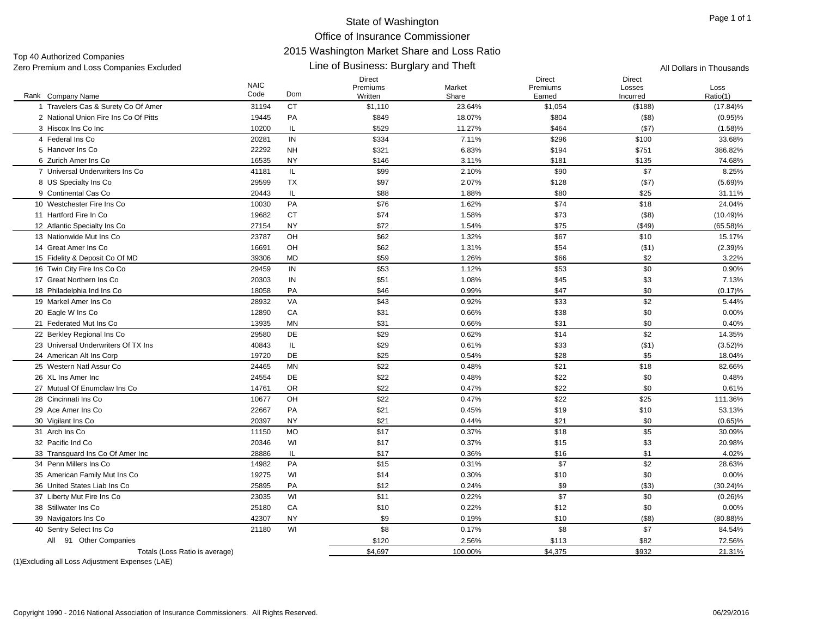Line of Business: Burglary and Theft Zero Premium and Loss Companies Excluded All Dollars in Thousands Top 40 Authorized Companies

#### Rank Company Name NAIC CodeDirect PremiumsWrittenMarket Share Direct PremiumsEarnedDirectLossesIncurredLossRatio(1) k Company Name **Solution Come** Code Dom Written Written Share Share Earned Incurred Ratio(1) 1 Travelers Cas & Surety Co Of Amer 31194 CT \$1,110 23.64% \$1,054 (\$188) (17.84)% 2 National Union Fire Ins Co Of Pitts 19445 PAPA \$849 18.07% \$804 (\$8) (0.95)% 3 Hiscox Ins Co Inc 10200 IL \$529 11.27% \$464 (\$7) (1.58)% 4 Federal Ins Co 20281 INN \$334 7.11%  $\%$   $\frac{\$296}{100}$   $\frac{\$100}{100}$   $\frac{33.68\%}{100}$ 5 Hanover Ins Co 22292 NH \$321 6.83% \$194 \$751 386.82% 6 Zurich Amer Ins Co 16535 NYY \$146 3.11%  $\%$  5181 \$9.99 \$135 5135 74.68% 7 Universal Underwriters Ins Co 41181 IL \$99 2.10% $\%$  8.25%  $\text{ }$ 90  $\text{ }$  8.25% 8 US Specialty Ins Co 8 US Specialty Ins Co 29599 TX \$97 2.07% \$128 (\$7) (5.69)% 9 Continental Cas Co 20443 IL \$88 1.88% $\%$  31.11%  $\$80$  \$25 31.11% 10 Westchester Fire Ins Co 10030 PAA 376 1.62%  $\%$  574 \$74 \$18 24.04% 11 Hartford Fire In Co 19682 CT \$74 1.58% \$73 (\$8) (10.49)% 12 Atlantic Specialty Ins Co 2 Atlantic Specialty Ins Co 27154 NY \$72 1.54% \$75 (\$49) (65.58)% 13 Nationwide Mut Ins Co 23787 OH \$62 1.32% $\%$  667 \$67 \$10 \$10 15.17% 14 Great Amer Ins Co 16691 OH \$62 1.31% \$54 (\$1) (2.39)% 15 Fidelity & Deposit Co Of MD 39306 MD \$59 1.26% \$66 \$2 3.22% 16 Twin City Fire Ins Co Co 29459 IN \$53 \$53 \$0 0.90% 17 Great Northern Ins Co 20303 IN $N =$  \$51 1.08%  $\%$  545 \$45 \$3 7.13% 18 Philadelphia Ind Ins Co. 8 Philadelphia Ind Ins Co 18058 PA \$46 0.99% \$47 \$0 (0.17)% 19 Markel Amer Ins Co 28932 VAA 343 0.92%  $\%$  5.44%  $\frac{1}{33}$  5.44% 20 Eagle W Ins Co 0 Eagle W Ins Co 12890 CA \$31 0.66% \$38 \$0 0.00% 21 Federated Mut Ins Co 13935 MNN \$31 0.66%  $\%$  60 0.40% 22 Berkley Regional Ins Co 29580 DE \$29 \$14 \$2 14.35% 23 Universal Underwriters Of TX Ins 40843 IL \$29 0.61% % and \$33 (\$1) (\$1) (3.52)% 24 American Alt Ins Corp 4 American Alt Ins Corp 19720 DE \$25 \$28 \$5 18.04% 25 Western Natl Assur Co 24465 MNN \$22 0.48%  $\%$  82.66%  $\textcolor{red}{\textbf{\textcolor{red}{S}}}$  82.66% 26 XL Ins Amer Inc 24554 DE \$22 0.48% $\%$  6.48%  $\frac{1}{22}$  5.22 5.000  $\frac{1}{20}$  5.48% 27 Mutual Of Enumclaw Ins Co 14761 ORR 322 0.47%  $\%$  60 0.61%  $\frac{1}{2}$  60 0.61% 28 Cincinnati Ins Co 10677 OH \$22 0.47% $\%$  622 \$22 \$25 525 5211.36% 29 Ace Amer Ins Co 22667 PAA  $$21$  0.45%  $\%$  63.13%  $\frac{19}{19}$  510 53.13% 30 Vigilant Ins Co Vigilant Ins Co 20397 NY \$21 0.44% \$21 \$0 (0.65)% 31 Arch Ins Co 11150 MO \$17 0.37% $\%$  30.09%  $\text{18}$   $\text{18}$   $\text{18}$ 32 Pacific Ind Co 20346 WI \$17 0.37% $\%$  815 \$3 20.98% 33 Transguard Ins Co Of Amer Inc 28886 IL \$17 0.36% \$16 \$1 4.02% 34 Penn Millers Ins Co 14982 PAA \$15 0.31%  $\%$  87 52 52 28.63% 35 American Family Mut Ins Co 19275 WI \$14 0.30% \$10 \$0 0.00% 36 United States Liab Ins Co 25895 PAA \$12 0.24%  $\%$  (30.24)% (\$9 (\$3) (\$3) (30.24)% 37 Liberty Mut Fire Ins Co 7 Liberty Mut Fire Ins Co 23035 WI \$11 0.22% \$7 \$0 (0.26)% 38 Stillwater Ins Co 25180 CAA \$10 0.22%  $\%$  60 0.00% 39 Navigators Ins Co. 9 Navigators Ins Co 42307 NY \$9 0.19% \$10 (\$8) (80.88)% 40 Sentry Select Ins Co Sentry Select Ins Co 21180 WI \$8 0.17% \$8 \$7 84.54%  $$120$   $$2.56\%$   $$113$   $$82$   $72.56\%$ Totals (Loss Ratio is average) 6.1.31% \$4,697 \$4,697 \$4,697 \$4,000 \$4,375 \$932 \$932 \$932 \$4,375 \$932 \$932 \$1,31% All91 Other Companies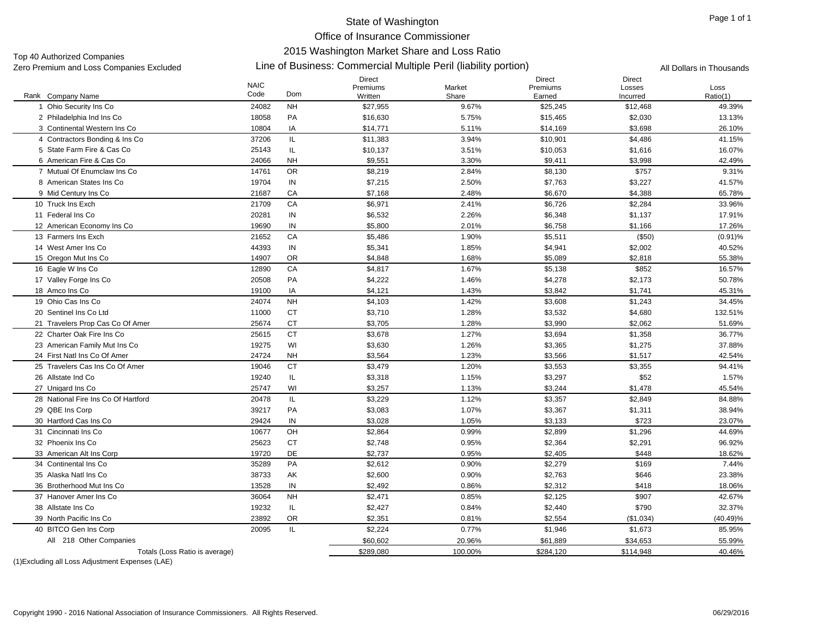Top 40 Authorized Companies<br>Zero Premium and Loss Companies Excluded

#### Line of Business: Commercial Multiple Peril (liability portion) Zero Premium and Loss Companies Excluded All Dollars in Thousands

|                                     | <b>NAIC</b> |            | <b>Direct</b><br>Premiums | Market  | <b>Direct</b><br>Premiums | <b>Direct</b><br>Losses | Loss        |
|-------------------------------------|-------------|------------|---------------------------|---------|---------------------------|-------------------------|-------------|
| Rank Company Name                   | Code        | Dom        | Written                   | Share   | Earned                    | Incurred                | Ratio(1)    |
| 1 Ohio Security Ins Co              | 24082       | <b>NH</b>  | \$27,955                  | 9.67%   | \$25,245                  | \$12,468                | 49.39%      |
| 2 Philadelphia Ind Ins Co           | 18058       | PA         | \$16,630                  | 5.75%   | \$15,465                  | \$2,030                 | 13.13%      |
| 3 Continental Western Ins Co        | 10804       | IA         | \$14,771                  | 5.11%   | \$14,169                  | \$3,698                 | 26.10%      |
| 4 Contractors Bonding & Ins Co      | 37206       | IL.        | \$11,383                  | 3.94%   | \$10,901                  | \$4,486                 | 41.15%      |
| 5 State Farm Fire & Cas Co          | 25143       | IL.        | \$10,137                  | 3.51%   | \$10,053                  | \$1,616                 | 16.07%      |
| 6 American Fire & Cas Co            | 24066       | <b>NH</b>  | \$9,551                   | 3.30%   | \$9,411                   | \$3,998                 | 42.49%      |
| 7 Mutual Of Enumclaw Ins Co         | 14761       | <b>OR</b>  | \$8,219                   | 2.84%   | \$8,130                   | \$757                   | 9.31%       |
| 8 American States Ins Co.           | 19704       | ${\sf IN}$ | \$7,215                   | 2.50%   | \$7,763                   | \$3,227                 | 41.57%      |
| 9 Mid Century Ins Co                | 21687       | CA         | \$7,168                   | 2.48%   | \$6,670                   | \$4,388                 | 65.78%      |
| 10 Truck Ins Exch                   | 21709       | CA         | \$6,971                   | 2.41%   | \$6,726                   | \$2,284                 | 33.96%      |
| 11 Federal Ins Co                   | 20281       | ${\sf IN}$ | \$6,532                   | 2.26%   | \$6,348                   | \$1,137                 | 17.91%      |
| 12 American Economy Ins Co          | 19690       | IN         | \$5,800                   | 2.01%   | \$6,758                   | \$1,166                 | 17.26%      |
| 13 Farmers Ins Exch                 | 21652       | CA         | \$5,486                   | 1.90%   | \$5,511                   | (\$50)                  | $(0.91)\%$  |
| 14 West Amer Ins Co                 | 44393       | IN         | \$5,341                   | 1.85%   | \$4,941                   | \$2,002                 | 40.52%      |
| 15 Oregon Mut Ins Co                | 14907       | <b>OR</b>  | \$4,848                   | 1.68%   | \$5,089                   | \$2,818                 | 55.38%      |
| 16 Eagle W Ins Co                   | 12890       | CA         | \$4,817                   | 1.67%   | \$5,138                   | \$852                   | 16.57%      |
| 17 Valley Forge Ins Co              | 20508       | PA         | \$4,222                   | 1.46%   | \$4,278                   | \$2,173                 | 50.78%      |
| 18 Amco Ins Co                      | 19100       | IA         | \$4,121                   | 1.43%   | \$3,842                   | \$1,741                 | 45.31%      |
| 19 Ohio Cas Ins Co                  | 24074       | <b>NH</b>  | \$4,103                   | 1.42%   | \$3,608                   | \$1,243                 | 34.45%      |
| 20 Sentinel Ins Co Ltd              | 11000       | <b>CT</b>  | \$3,710                   | 1.28%   | \$3,532                   | \$4,680                 | 132.51%     |
| 21 Travelers Prop Cas Co Of Amer    | 25674       | <b>CT</b>  | \$3,705                   | 1.28%   | \$3,990                   | \$2,062                 | 51.69%      |
| 22 Charter Oak Fire Ins Co          | 25615       | <b>CT</b>  | \$3,678                   | 1.27%   | \$3,694                   | \$1,358                 | 36.77%      |
| 23 American Family Mut Ins Co       | 19275       | WI         | \$3,630                   | 1.26%   | \$3,365                   | \$1,275                 | 37.88%      |
| 24 First Natl Ins Co Of Amer        | 24724       | <b>NH</b>  | \$3,564                   | 1.23%   | \$3,566                   | \$1,517                 | 42.54%      |
| 25 Travelers Cas Ins Co Of Amer     | 19046       | <b>CT</b>  | \$3,479                   | 1.20%   | \$3,553                   | \$3,355                 | 94.41%      |
| 26 Allstate Ind Co                  | 19240       | IL.        | \$3,318                   | 1.15%   | \$3,297                   | \$52                    | 1.57%       |
| 27 Unigard Ins Co                   | 25747       | WI         | \$3,257                   | 1.13%   | \$3,244                   | \$1,478                 | 45.54%      |
| 28 National Fire Ins Co Of Hartford | 20478       | IL         | \$3,229                   | 1.12%   | \$3,357                   | \$2,849                 | 84.88%      |
| 29 QBE Ins Corp                     | 39217       | PA         | \$3,083                   | 1.07%   | \$3,367                   | \$1,311                 | 38.94%      |
| 30 Hartford Cas Ins Co              | 29424       | IN         | \$3,028                   | 1.05%   | \$3,133                   | \$723                   | 23.07%      |
| 31 Cincinnati Ins Co                | 10677       | OH         | \$2,864                   | 0.99%   | \$2,899                   | \$1,296                 | 44.69%      |
| 32 Phoenix Ins Co                   | 25623       | <b>CT</b>  | \$2,748                   | 0.95%   | \$2,364                   | \$2,291                 | 96.92%      |
| 33 American Alt Ins Corp            | 19720       | <b>DE</b>  | \$2,737                   | 0.95%   | \$2,405                   | \$448                   | 18.62%      |
| 34 Continental Ins Co               | 35289       | PA         | \$2,612                   | 0.90%   | \$2,279                   | \$169                   | 7.44%       |
| 35 Alaska Natl Ins Co               | 38733       | AK         | \$2,600                   | 0.90%   | \$2,763                   | \$646                   | 23.38%      |
| 36 Brotherhood Mut Ins Co           | 13528       | IN         | \$2,492                   | 0.86%   | \$2,312                   | \$418                   | 18.06%      |
| 37 Hanover Amer Ins Co              | 36064       | <b>NH</b>  | \$2,471                   | 0.85%   | \$2,125                   | \$907                   | 42.67%      |
| 38 Allstate Ins Co                  | 19232       | IL.        | \$2,427                   | 0.84%   | \$2,440                   | \$790                   | 32.37%      |
| 39 North Pacific Ins Co             | 23892       | OR         | \$2,351                   | 0.81%   | \$2,554                   | (\$1,034)               | $(40.49)\%$ |
| 40 BITCO Gen Ins Corp               | 20095       | IL         | \$2,224                   | 0.77%   | \$1,946                   | \$1,673                 | 85.95%      |
| All 218 Other Companies             |             |            | \$60,602                  | 20.96%  | \$61,889                  | \$34,653                | 55.99%      |
| Totals (Loss Ratio is average)      |             |            | \$289,080                 | 100.00% | \$284,120                 | \$114,948               | 40.46%      |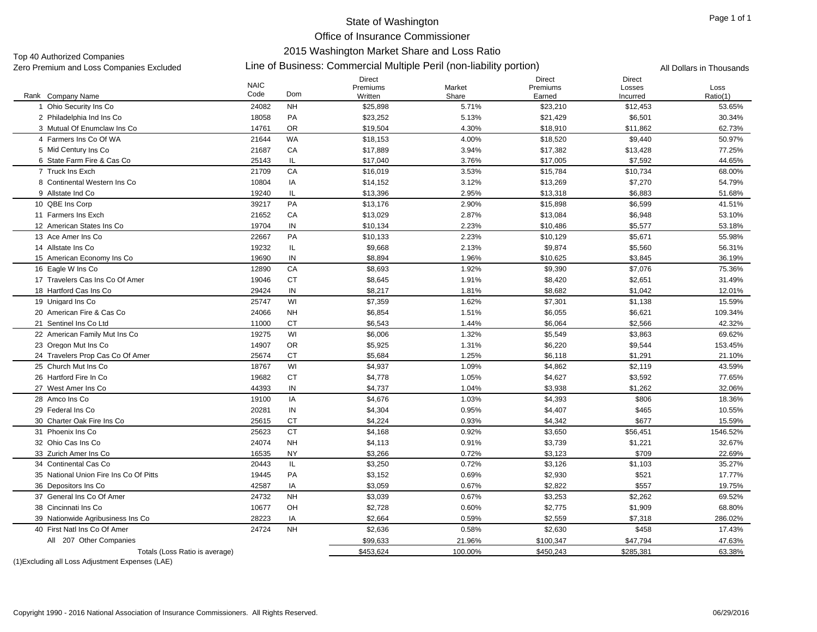#### Page 1 of 1

### State of Washington Office of Insurance Commissioner 2015 Washington Market Share and Loss Ratio

Top 40 Authorized Companies<br>Zero Premium and Loss Companies Excluded

#### Line of Business: Commercial Multiple Peril (non-liability portion) Zero Premium and Loss Companies Excluded All Dollars in Thousands

| Code<br>Dom<br>Ratio(1)<br>Rank Company Name<br>Written<br>Share<br>Earned<br>Incurred<br>24082<br><b>NH</b><br>1 Ohio Security Ins Co<br>\$25,898<br>5.71%<br>\$23,210<br>\$12,453<br>53.65%<br>2 Philadelphia Ind Ins Co<br>PA<br>\$23.252<br>5.13%<br>30.34%<br>18058<br>\$21.429<br>\$6,501<br><b>OR</b><br>3 Mutual Of Enumclaw Ins Co<br>14761<br>\$19,504<br>4.30%<br>\$18,910<br>\$11,862<br>62.73%<br><b>WA</b><br>21644<br>4.00%<br>\$9,440<br>4 Farmers Ins Co Of WA<br>\$18,153<br>\$18,520<br>50.97%<br>21687<br>CA<br>3.94%<br>\$17,382<br>5 Mid Century Ins Co<br>\$17,889<br>\$13,428<br>77.25%<br>IL<br>\$7,592<br>6 State Farm Fire & Cas Co<br>25143<br>\$17,040<br>3.76%<br>\$17,005<br>44.65%<br>CA<br>7 Truck Ins Exch<br>21709<br>3.53%<br>\$15,784<br>\$10,734<br>\$16,019<br>68.00%<br>\$7,270<br>8 Continental Western Ins Co<br>10804<br>IA<br>\$14,152<br>3.12%<br>\$13,269<br>54.79%<br>IL<br>19240<br>\$13,396<br>2.95%<br>\$13,318<br>\$6,883<br>9 Allstate Ind Co<br>51.68%<br>PA<br>2.90%<br>\$6,599<br>10 QBE Ins Corp<br>39217<br>\$13,176<br>\$15,898<br>41.51%<br>CA<br>11 Farmers Ins Exch<br>21652<br>\$13,029<br>2.87%<br>\$13,084<br>\$6,948<br>53.10%<br>IN<br>2.23%<br>12 American States Ins Co<br>19704<br>\$10,134<br>\$10,486<br>\$5,577<br>53.18%<br>PA<br>13 Ace Amer Ins Co<br>22667<br>\$10,133<br>2.23%<br>\$10,129<br>\$5,671<br>55.98%<br>19232<br>IL<br>\$9,874<br>\$5,560<br>14 Allstate Ins Co<br>\$9,668<br>2.13%<br>56.31%<br>IN<br>15 American Economy Ins Co<br>19690<br>\$8,894<br>1.96%<br>\$10,625<br>\$3,845<br>36.19%<br>CA<br>1.92%<br>16 Eagle W Ins Co<br>12890<br>\$8,693<br>\$9,390<br>\$7,076<br>75.36%<br><b>CT</b><br>17 Travelers Cas Ins Co Of Amer<br>19046<br>\$8,645<br>1.91%<br>\$8,420<br>\$2,651<br>31.49%<br>18 Hartford Cas Ins Co<br>IN<br>29424<br>\$8,217<br>1.81%<br>\$8,682<br>\$1,042<br>12.01%<br>25747<br>WI<br>19 Unigard Ins Co.<br>\$7,359<br>1.62%<br>\$7,301<br>\$1,138<br>15.59%<br>24066<br><b>NH</b><br>\$6,621<br>20 American Fire & Cas Co<br>\$6,854<br>1.51%<br>\$6,055<br>109.34%<br>CT<br>21 Sentinel Ins Co Ltd<br>11000<br>\$6,543<br>1.44%<br>\$6,064<br>\$2,566<br>42.32%<br>WI<br>19275<br>1.32%<br>22 American Family Mut Ins Co<br>\$6,006<br>\$5,549<br>\$3,863<br>69.62% |
|---------------------------------------------------------------------------------------------------------------------------------------------------------------------------------------------------------------------------------------------------------------------------------------------------------------------------------------------------------------------------------------------------------------------------------------------------------------------------------------------------------------------------------------------------------------------------------------------------------------------------------------------------------------------------------------------------------------------------------------------------------------------------------------------------------------------------------------------------------------------------------------------------------------------------------------------------------------------------------------------------------------------------------------------------------------------------------------------------------------------------------------------------------------------------------------------------------------------------------------------------------------------------------------------------------------------------------------------------------------------------------------------------------------------------------------------------------------------------------------------------------------------------------------------------------------------------------------------------------------------------------------------------------------------------------------------------------------------------------------------------------------------------------------------------------------------------------------------------------------------------------------------------------------------------------------------------------------------------------------------------------------------------------------------------------------------------------------------------------------------------------------------------------------------------------------------------------------------------------------------------------------------------------------------|
|                                                                                                                                                                                                                                                                                                                                                                                                                                                                                                                                                                                                                                                                                                                                                                                                                                                                                                                                                                                                                                                                                                                                                                                                                                                                                                                                                                                                                                                                                                                                                                                                                                                                                                                                                                                                                                                                                                                                                                                                                                                                                                                                                                                                                                                                                             |
|                                                                                                                                                                                                                                                                                                                                                                                                                                                                                                                                                                                                                                                                                                                                                                                                                                                                                                                                                                                                                                                                                                                                                                                                                                                                                                                                                                                                                                                                                                                                                                                                                                                                                                                                                                                                                                                                                                                                                                                                                                                                                                                                                                                                                                                                                             |
|                                                                                                                                                                                                                                                                                                                                                                                                                                                                                                                                                                                                                                                                                                                                                                                                                                                                                                                                                                                                                                                                                                                                                                                                                                                                                                                                                                                                                                                                                                                                                                                                                                                                                                                                                                                                                                                                                                                                                                                                                                                                                                                                                                                                                                                                                             |
|                                                                                                                                                                                                                                                                                                                                                                                                                                                                                                                                                                                                                                                                                                                                                                                                                                                                                                                                                                                                                                                                                                                                                                                                                                                                                                                                                                                                                                                                                                                                                                                                                                                                                                                                                                                                                                                                                                                                                                                                                                                                                                                                                                                                                                                                                             |
|                                                                                                                                                                                                                                                                                                                                                                                                                                                                                                                                                                                                                                                                                                                                                                                                                                                                                                                                                                                                                                                                                                                                                                                                                                                                                                                                                                                                                                                                                                                                                                                                                                                                                                                                                                                                                                                                                                                                                                                                                                                                                                                                                                                                                                                                                             |
|                                                                                                                                                                                                                                                                                                                                                                                                                                                                                                                                                                                                                                                                                                                                                                                                                                                                                                                                                                                                                                                                                                                                                                                                                                                                                                                                                                                                                                                                                                                                                                                                                                                                                                                                                                                                                                                                                                                                                                                                                                                                                                                                                                                                                                                                                             |
|                                                                                                                                                                                                                                                                                                                                                                                                                                                                                                                                                                                                                                                                                                                                                                                                                                                                                                                                                                                                                                                                                                                                                                                                                                                                                                                                                                                                                                                                                                                                                                                                                                                                                                                                                                                                                                                                                                                                                                                                                                                                                                                                                                                                                                                                                             |
|                                                                                                                                                                                                                                                                                                                                                                                                                                                                                                                                                                                                                                                                                                                                                                                                                                                                                                                                                                                                                                                                                                                                                                                                                                                                                                                                                                                                                                                                                                                                                                                                                                                                                                                                                                                                                                                                                                                                                                                                                                                                                                                                                                                                                                                                                             |
|                                                                                                                                                                                                                                                                                                                                                                                                                                                                                                                                                                                                                                                                                                                                                                                                                                                                                                                                                                                                                                                                                                                                                                                                                                                                                                                                                                                                                                                                                                                                                                                                                                                                                                                                                                                                                                                                                                                                                                                                                                                                                                                                                                                                                                                                                             |
|                                                                                                                                                                                                                                                                                                                                                                                                                                                                                                                                                                                                                                                                                                                                                                                                                                                                                                                                                                                                                                                                                                                                                                                                                                                                                                                                                                                                                                                                                                                                                                                                                                                                                                                                                                                                                                                                                                                                                                                                                                                                                                                                                                                                                                                                                             |
|                                                                                                                                                                                                                                                                                                                                                                                                                                                                                                                                                                                                                                                                                                                                                                                                                                                                                                                                                                                                                                                                                                                                                                                                                                                                                                                                                                                                                                                                                                                                                                                                                                                                                                                                                                                                                                                                                                                                                                                                                                                                                                                                                                                                                                                                                             |
|                                                                                                                                                                                                                                                                                                                                                                                                                                                                                                                                                                                                                                                                                                                                                                                                                                                                                                                                                                                                                                                                                                                                                                                                                                                                                                                                                                                                                                                                                                                                                                                                                                                                                                                                                                                                                                                                                                                                                                                                                                                                                                                                                                                                                                                                                             |
|                                                                                                                                                                                                                                                                                                                                                                                                                                                                                                                                                                                                                                                                                                                                                                                                                                                                                                                                                                                                                                                                                                                                                                                                                                                                                                                                                                                                                                                                                                                                                                                                                                                                                                                                                                                                                                                                                                                                                                                                                                                                                                                                                                                                                                                                                             |
|                                                                                                                                                                                                                                                                                                                                                                                                                                                                                                                                                                                                                                                                                                                                                                                                                                                                                                                                                                                                                                                                                                                                                                                                                                                                                                                                                                                                                                                                                                                                                                                                                                                                                                                                                                                                                                                                                                                                                                                                                                                                                                                                                                                                                                                                                             |
|                                                                                                                                                                                                                                                                                                                                                                                                                                                                                                                                                                                                                                                                                                                                                                                                                                                                                                                                                                                                                                                                                                                                                                                                                                                                                                                                                                                                                                                                                                                                                                                                                                                                                                                                                                                                                                                                                                                                                                                                                                                                                                                                                                                                                                                                                             |
|                                                                                                                                                                                                                                                                                                                                                                                                                                                                                                                                                                                                                                                                                                                                                                                                                                                                                                                                                                                                                                                                                                                                                                                                                                                                                                                                                                                                                                                                                                                                                                                                                                                                                                                                                                                                                                                                                                                                                                                                                                                                                                                                                                                                                                                                                             |
|                                                                                                                                                                                                                                                                                                                                                                                                                                                                                                                                                                                                                                                                                                                                                                                                                                                                                                                                                                                                                                                                                                                                                                                                                                                                                                                                                                                                                                                                                                                                                                                                                                                                                                                                                                                                                                                                                                                                                                                                                                                                                                                                                                                                                                                                                             |
|                                                                                                                                                                                                                                                                                                                                                                                                                                                                                                                                                                                                                                                                                                                                                                                                                                                                                                                                                                                                                                                                                                                                                                                                                                                                                                                                                                                                                                                                                                                                                                                                                                                                                                                                                                                                                                                                                                                                                                                                                                                                                                                                                                                                                                                                                             |
|                                                                                                                                                                                                                                                                                                                                                                                                                                                                                                                                                                                                                                                                                                                                                                                                                                                                                                                                                                                                                                                                                                                                                                                                                                                                                                                                                                                                                                                                                                                                                                                                                                                                                                                                                                                                                                                                                                                                                                                                                                                                                                                                                                                                                                                                                             |
|                                                                                                                                                                                                                                                                                                                                                                                                                                                                                                                                                                                                                                                                                                                                                                                                                                                                                                                                                                                                                                                                                                                                                                                                                                                                                                                                                                                                                                                                                                                                                                                                                                                                                                                                                                                                                                                                                                                                                                                                                                                                                                                                                                                                                                                                                             |
|                                                                                                                                                                                                                                                                                                                                                                                                                                                                                                                                                                                                                                                                                                                                                                                                                                                                                                                                                                                                                                                                                                                                                                                                                                                                                                                                                                                                                                                                                                                                                                                                                                                                                                                                                                                                                                                                                                                                                                                                                                                                                                                                                                                                                                                                                             |
|                                                                                                                                                                                                                                                                                                                                                                                                                                                                                                                                                                                                                                                                                                                                                                                                                                                                                                                                                                                                                                                                                                                                                                                                                                                                                                                                                                                                                                                                                                                                                                                                                                                                                                                                                                                                                                                                                                                                                                                                                                                                                                                                                                                                                                                                                             |
|                                                                                                                                                                                                                                                                                                                                                                                                                                                                                                                                                                                                                                                                                                                                                                                                                                                                                                                                                                                                                                                                                                                                                                                                                                                                                                                                                                                                                                                                                                                                                                                                                                                                                                                                                                                                                                                                                                                                                                                                                                                                                                                                                                                                                                                                                             |
| OR<br>14907<br>\$5,925<br>1.31%<br>\$6,220<br>\$9,544<br>23 Oregon Mut Ins Co<br>153.45%                                                                                                                                                                                                                                                                                                                                                                                                                                                                                                                                                                                                                                                                                                                                                                                                                                                                                                                                                                                                                                                                                                                                                                                                                                                                                                                                                                                                                                                                                                                                                                                                                                                                                                                                                                                                                                                                                                                                                                                                                                                                                                                                                                                                    |
| 25674<br><b>CT</b><br>1.25%<br>\$1,291<br>24 Travelers Prop Cas Co Of Amer<br>\$5,684<br>\$6,118<br>21.10%                                                                                                                                                                                                                                                                                                                                                                                                                                                                                                                                                                                                                                                                                                                                                                                                                                                                                                                                                                                                                                                                                                                                                                                                                                                                                                                                                                                                                                                                                                                                                                                                                                                                                                                                                                                                                                                                                                                                                                                                                                                                                                                                                                                  |
| 25 Church Mut Ins Co<br>18767<br>WI<br>\$4,937<br>1.09%<br>\$4,862<br>\$2,119<br>43.59%                                                                                                                                                                                                                                                                                                                                                                                                                                                                                                                                                                                                                                                                                                                                                                                                                                                                                                                                                                                                                                                                                                                                                                                                                                                                                                                                                                                                                                                                                                                                                                                                                                                                                                                                                                                                                                                                                                                                                                                                                                                                                                                                                                                                     |
| <b>CT</b><br>26 Hartford Fire In Co.<br>19682<br>\$4,778<br>1.05%<br>\$4,627<br>\$3,592<br>77.65%                                                                                                                                                                                                                                                                                                                                                                                                                                                                                                                                                                                                                                                                                                                                                                                                                                                                                                                                                                                                                                                                                                                                                                                                                                                                                                                                                                                                                                                                                                                                                                                                                                                                                                                                                                                                                                                                                                                                                                                                                                                                                                                                                                                           |
| IN<br>\$1,262<br>44393<br>\$4,737<br>1.04%<br>\$3,938<br>32.06%<br>27 West Amer Ins Co                                                                                                                                                                                                                                                                                                                                                                                                                                                                                                                                                                                                                                                                                                                                                                                                                                                                                                                                                                                                                                                                                                                                                                                                                                                                                                                                                                                                                                                                                                                                                                                                                                                                                                                                                                                                                                                                                                                                                                                                                                                                                                                                                                                                      |
| IA<br>28 Amco Ins Co<br>19100<br>\$4,676<br>1.03%<br>\$4,393<br>\$806<br>18.36%                                                                                                                                                                                                                                                                                                                                                                                                                                                                                                                                                                                                                                                                                                                                                                                                                                                                                                                                                                                                                                                                                                                                                                                                                                                                                                                                                                                                                                                                                                                                                                                                                                                                                                                                                                                                                                                                                                                                                                                                                                                                                                                                                                                                             |
| IN<br>29 Federal Ins Co<br>20281<br>\$4,304<br>0.95%<br>\$4,407<br>\$465<br>10.55%                                                                                                                                                                                                                                                                                                                                                                                                                                                                                                                                                                                                                                                                                                                                                                                                                                                                                                                                                                                                                                                                                                                                                                                                                                                                                                                                                                                                                                                                                                                                                                                                                                                                                                                                                                                                                                                                                                                                                                                                                                                                                                                                                                                                          |
| СT<br>\$677<br>30 Charter Oak Fire Ins Co<br>25615<br>\$4,224<br>0.93%<br>\$4,342<br>15.59%                                                                                                                                                                                                                                                                                                                                                                                                                                                                                                                                                                                                                                                                                                                                                                                                                                                                                                                                                                                                                                                                                                                                                                                                                                                                                                                                                                                                                                                                                                                                                                                                                                                                                                                                                                                                                                                                                                                                                                                                                                                                                                                                                                                                 |
| 31 Phoenix Ins Co<br>25623<br><b>CT</b><br>0.92%<br>\$56,451<br>1546.52%<br>\$4,168<br>\$3,650                                                                                                                                                                                                                                                                                                                                                                                                                                                                                                                                                                                                                                                                                                                                                                                                                                                                                                                                                                                                                                                                                                                                                                                                                                                                                                                                                                                                                                                                                                                                                                                                                                                                                                                                                                                                                                                                                                                                                                                                                                                                                                                                                                                              |
| 32 Ohio Cas Ins Co<br>24074<br><b>NH</b><br>\$4,113<br>0.91%<br>\$3,739<br>\$1,221<br>32.67%                                                                                                                                                                                                                                                                                                                                                                                                                                                                                                                                                                                                                                                                                                                                                                                                                                                                                                                                                                                                                                                                                                                                                                                                                                                                                                                                                                                                                                                                                                                                                                                                                                                                                                                                                                                                                                                                                                                                                                                                                                                                                                                                                                                                |
| \$709<br>16535<br><b>NY</b><br>0.72%<br>\$3,123<br>33 Zurich Amer Ins Co<br>\$3,266<br>22.69%                                                                                                                                                                                                                                                                                                                                                                                                                                                                                                                                                                                                                                                                                                                                                                                                                                                                                                                                                                                                                                                                                                                                                                                                                                                                                                                                                                                                                                                                                                                                                                                                                                                                                                                                                                                                                                                                                                                                                                                                                                                                                                                                                                                               |
| 34 Continental Cas Co<br>20443<br>IL<br>\$3,250<br>0.72%<br>\$3,126<br>\$1,103<br>35.27%                                                                                                                                                                                                                                                                                                                                                                                                                                                                                                                                                                                                                                                                                                                                                                                                                                                                                                                                                                                                                                                                                                                                                                                                                                                                                                                                                                                                                                                                                                                                                                                                                                                                                                                                                                                                                                                                                                                                                                                                                                                                                                                                                                                                    |
| PA<br>\$3,152<br>0.69%<br>\$521<br>35 National Union Fire Ins Co Of Pitts<br>19445<br>\$2,930<br>17.77%                                                                                                                                                                                                                                                                                                                                                                                                                                                                                                                                                                                                                                                                                                                                                                                                                                                                                                                                                                                                                                                                                                                                                                                                                                                                                                                                                                                                                                                                                                                                                                                                                                                                                                                                                                                                                                                                                                                                                                                                                                                                                                                                                                                     |
| IA<br>42587<br>\$3,059<br>0.67%<br>\$2,822<br>\$557<br>36 Depositors Ins Co<br>19.75%                                                                                                                                                                                                                                                                                                                                                                                                                                                                                                                                                                                                                                                                                                                                                                                                                                                                                                                                                                                                                                                                                                                                                                                                                                                                                                                                                                                                                                                                                                                                                                                                                                                                                                                                                                                                                                                                                                                                                                                                                                                                                                                                                                                                       |
| 37 General Ins Co Of Amer<br>24732<br><b>NH</b><br>\$3,039<br>0.67%<br>\$3,253<br>\$2,262<br>69.52%                                                                                                                                                                                                                                                                                                                                                                                                                                                                                                                                                                                                                                                                                                                                                                                                                                                                                                                                                                                                                                                                                                                                                                                                                                                                                                                                                                                                                                                                                                                                                                                                                                                                                                                                                                                                                                                                                                                                                                                                                                                                                                                                                                                         |
| 38 Cincinnati Ins Co<br>OH<br>\$2,728<br>\$2,775<br>\$1,909<br>10677<br>0.60%<br>68.80%                                                                                                                                                                                                                                                                                                                                                                                                                                                                                                                                                                                                                                                                                                                                                                                                                                                                                                                                                                                                                                                                                                                                                                                                                                                                                                                                                                                                                                                                                                                                                                                                                                                                                                                                                                                                                                                                                                                                                                                                                                                                                                                                                                                                     |
| IA<br>28223<br>\$2,664<br>\$7,318<br>39 Nationwide Agribusiness Ins Co<br>0.59%<br>\$2,559<br>286.02%                                                                                                                                                                                                                                                                                                                                                                                                                                                                                                                                                                                                                                                                                                                                                                                                                                                                                                                                                                                                                                                                                                                                                                                                                                                                                                                                                                                                                                                                                                                                                                                                                                                                                                                                                                                                                                                                                                                                                                                                                                                                                                                                                                                       |
| 24724<br><b>NH</b><br>\$2,630<br>\$458<br>40 First Natl Ins Co Of Amer<br>\$2,636<br>0.58%<br>17.43%                                                                                                                                                                                                                                                                                                                                                                                                                                                                                                                                                                                                                                                                                                                                                                                                                                                                                                                                                                                                                                                                                                                                                                                                                                                                                                                                                                                                                                                                                                                                                                                                                                                                                                                                                                                                                                                                                                                                                                                                                                                                                                                                                                                        |
| All 207 Other Companies<br>\$99,633<br>21.96%<br>\$100,347<br>\$47,794<br>47.63%                                                                                                                                                                                                                                                                                                                                                                                                                                                                                                                                                                                                                                                                                                                                                                                                                                                                                                                                                                                                                                                                                                                                                                                                                                                                                                                                                                                                                                                                                                                                                                                                                                                                                                                                                                                                                                                                                                                                                                                                                                                                                                                                                                                                            |
| \$453,624<br>\$450,243<br>Totals (Loss Ratio is average)<br>100.00%<br>\$285,381<br>63.38%                                                                                                                                                                                                                                                                                                                                                                                                                                                                                                                                                                                                                                                                                                                                                                                                                                                                                                                                                                                                                                                                                                                                                                                                                                                                                                                                                                                                                                                                                                                                                                                                                                                                                                                                                                                                                                                                                                                                                                                                                                                                                                                                                                                                  |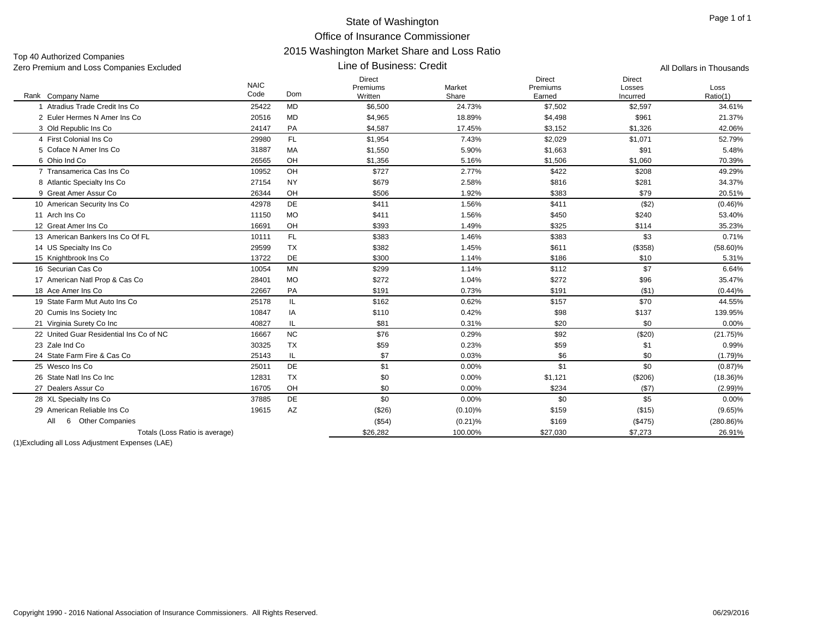Line of Business: Credit

Top 40 Authorized Companies Zero Premium and Loss Companies Excluded All Dollars in Thousands

|                                         | <b>NAIC</b> |            | Direct<br>Premiums | Market     | Direct<br>Premiums | <b>Direct</b><br>Losses | Loss         |
|-----------------------------------------|-------------|------------|--------------------|------------|--------------------|-------------------------|--------------|
| Rank Company Name                       | Code        | <b>Dom</b> | Written            | Share      | Earned             | Incurred                | Ratio(1)     |
| Atradius Trade Credit Ins Co.           | 25422       | <b>MD</b>  | \$6,500            | 24.73%     | \$7,502            | \$2,597                 | 34.61%       |
| 2 Euler Hermes N Amer Ins Co            | 20516       | <b>MD</b>  | \$4,965            | 18.89%     | \$4,498            | \$961                   | 21.37%       |
| 3 Old Republic Ins Co.                  | 24147       | PA         | \$4,587            | 17.45%     | \$3,152            | \$1,326                 | 42.06%       |
| 4 First Colonial Ins Co                 | 29980       | FL.        | \$1,954            | 7.43%      | \$2,029            | \$1,071                 | 52.79%       |
| 5 Coface N Amer Ins Co                  | 31887       | МA         | \$1,550            | 5.90%      | \$1,663            | \$91                    | 5.48%        |
| 6 Ohio Ind Co                           | 26565       | OH         | \$1,356            | 5.16%      | \$1,506            | \$1,060                 | 70.39%       |
| 7 Transamerica Cas Ins Co               | 10952       | OH         | \$727              | 2.77%      | \$422              | \$208                   | 49.29%       |
| 8 Atlantic Specialty Ins Co             | 27154       | <b>NY</b>  | \$679              | 2.58%      | \$816              | \$281                   | 34.37%       |
| 9 Great Amer Assur Co                   | 26344       | OH         | \$506              | 1.92%      | \$383              | \$79                    | 20.51%       |
| 10 American Security Ins Co             | 42978       | DE         | \$411              | 1.56%      | \$411              | ( \$2)                  | $(0.46)\%$   |
| 11 Arch Ins Co                          | 11150       | <b>MO</b>  | \$411              | 1.56%      | \$450              | \$240                   | 53.40%       |
| 12 Great Amer Ins Co                    | 16691       | OH         | \$393              | 1.49%      | \$325              | \$114                   | 35.23%       |
| 13 American Bankers Ins Co Of FL        | 10111       | FL.        | \$383              | 1.46%      | \$383              | \$3                     | 0.71%        |
| 14 US Specialty Ins Co                  | 29599       | <b>TX</b>  | \$382              | 1.45%      | \$611              | (\$358)                 | $(58.60)\%$  |
| 15 Knightbrook Ins Co                   | 13722       | DE         | \$300              | 1.14%      | \$186              | \$10                    | 5.31%        |
| 16 Securian Cas Co                      | 10054       | <b>MN</b>  | \$299              | 1.14%      | \$112              | \$7                     | 6.64%        |
| 17 American Natl Prop & Cas Co          | 28401       | <b>MO</b>  | \$272              | 1.04%      | \$272              | \$96                    | 35.47%       |
| 18 Ace Amer Ins Co                      | 22667       | PA         | \$191              | 0.73%      | \$191              | ( \$1)                  | (0.44)%      |
| 19 State Farm Mut Auto Ins Co           | 25178       | IL.        | \$162              | 0.62%      | \$157              | \$70                    | 44.55%       |
| 20 Cumis Ins Society Inc                | 10847       | IA         | \$110              | 0.42%      | \$98               | \$137                   | 139.95%      |
| 21 Virginia Surety Co Inc               | 40827       | IL.        | \$81               | 0.31%      | \$20               | \$0                     | 0.00%        |
| 22 United Guar Residential Ins Co of NC | 16667       | <b>NC</b>  | \$76               | 0.29%      | \$92               | (\$20)                  | $(21.75)\%$  |
| 23 Zale Ind Co                          | 30325       | <b>TX</b>  | \$59               | 0.23%      | \$59               | \$1                     | 0.99%        |
| 24 State Farm Fire & Cas Co             | 25143       | IL.        | \$7                | 0.03%      | \$6                | \$0                     | (1.79)%      |
| 25 Wesco Ins Co                         | 25011       | DE         | \$1                | 0.00%      | \$1                | \$0                     | $(0.87)\%$   |
| 26 State Natl Ins Co Inc                | 12831       | <b>TX</b>  | \$0                | 0.00%      | \$1,121            | (\$206)                 | $(18.36)\%$  |
| 27 Dealers Assur Co                     | 16705       | OH         | \$0                | 0.00%      | \$234              | ( \$7)                  | (2.99)%      |
| 28 XL Specialty Ins Co                  | 37885       | DE         | \$0                | $0.00\%$   | \$0                | \$5                     | 0.00%        |
| 29 American Reliable Ins Co             | 19615       | AZ         | ( \$26)            | $(0.10)\%$ | \$159              | (\$15)                  | $(9.65)\%$   |
| 6 Other Companies<br>All                |             |            | (\$54)             | $(0.21)\%$ | \$169              | (\$475)                 | $(280.86)\%$ |
| Totals (Loss Ratio is average)          |             |            | \$26.282           | 100.00%    | \$27,030           | \$7.273                 | 26.91%       |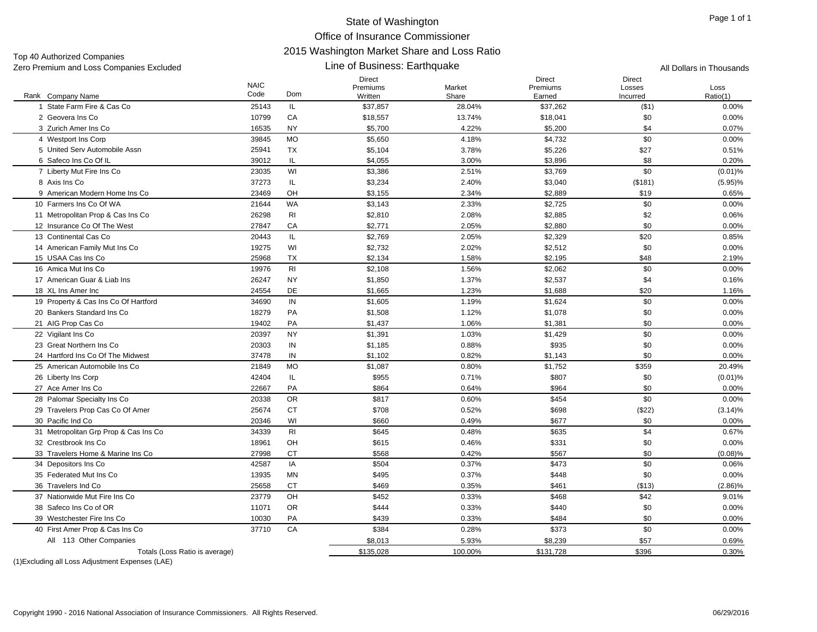Top 40 Authorized Companies

#### Line of Business: Earthquake

Direct

NAIC

Zero Premium and Loss Companies Excluded **All Dollars in Thousands All Dollars in Thousands** All Dollars in Thousands DirectDirect Premiums Losses Market Loss EarnedIncurred $\blacksquare$ 

|                                                          | <b>NAIC</b><br>Code | Dom            | Premiums            | Market          | Premiums           | Losses               | Loss              |
|----------------------------------------------------------|---------------------|----------------|---------------------|-----------------|--------------------|----------------------|-------------------|
| Rank Company Name<br>1 State Farm Fire & Cas Co          | 25143               | IL.            | Written<br>\$37,857 | Share<br>28.04% | Earned<br>\$37,262 | Incurred<br>$($ \$1) | Ratio(1)<br>0.00% |
| 2 Geovera Ins Co                                         | 10799               | CA             | \$18,557            | 13.74%          | \$18,041           | \$0                  | 0.00%             |
| 3 Zurich Amer Ins Co                                     | 16535               | <b>NY</b>      | \$5,700             | 4.22%           | \$5,200            | \$4                  | 0.07%             |
| 4 Westport Ins Corp                                      | 39845               | <b>MO</b>      | \$5,650             | 4.18%           | \$4,732            | \$0                  | 0.00%             |
| 5 United Serv Automobile Assn                            | 25941               | <b>TX</b>      | \$5,104             | 3.78%           | \$5,226            | \$27                 | 0.51%             |
|                                                          | 39012               | IL             |                     |                 |                    | \$8                  |                   |
| 6 Safeco Ins Co Of IL<br>7 Liberty Mut Fire Ins Co       | 23035               | WI             | \$4,055<br>\$3,386  | 3.00%<br>2.51%  | \$3,896<br>\$3,769 | \$0                  | 0.20%             |
|                                                          | 37273               | IL.            |                     |                 | \$3,040            |                      | $(0.01)\%$        |
| 8 Axis Ins Co                                            |                     | OH             | \$3,234             | 2.40%           |                    | (\$181)              | $(5.95)\%$        |
| 9 American Modern Home Ins Co<br>10 Farmers Ins Co Of WA | 23469<br>21644      | <b>WA</b>      | \$3,155<br>\$3,143  | 2.34%<br>2.33%  | \$2,889<br>\$2,725 | \$19<br>\$0          | 0.65%<br>0.00%    |
| 11 Metropolitan Prop & Cas Ins Co                        | 26298               | R <sub>l</sub> |                     | 2.08%           |                    |                      | 0.06%             |
| 12 Insurance Co Of The West                              |                     |                | \$2,810             |                 | \$2,885<br>\$2,880 | \$2<br>\$0           |                   |
|                                                          | 27847               | CA             | \$2,771             | 2.05%           |                    |                      | 0.00%             |
| 13 Continental Cas Co                                    | 20443               | IL.            | \$2,769             | 2.05%           | \$2,329            | \$20                 | 0.85%             |
| 14 American Family Mut Ins Co                            | 19275               | WI             | \$2,732             | 2.02%           | \$2,512            | \$0                  | 0.00%             |
| 15 USAA Cas Ins Co                                       | 25968               | <b>TX</b>      | \$2,134             | 1.58%           | \$2,195            | \$48                 | 2.19%             |
| 16 Amica Mut Ins Co                                      | 19976               | R <sub>l</sub> | \$2,108             | 1.56%           | \$2,062            | \$0                  | 0.00%             |
| 17 American Guar & Liab Ins                              | 26247               | <b>NY</b>      | \$1,850             | 1.37%           | \$2,537            | \$4                  | 0.16%             |
| 18 XL Ins Amer Inc                                       | 24554               | <b>DE</b>      | \$1,665             | 1.23%           | \$1,688            | \$20                 | 1.16%             |
| 19 Property & Cas Ins Co Of Hartford                     | 34690               | IN             | \$1,605             | 1.19%           | \$1,624            | \$0                  | 0.00%             |
| 20 Bankers Standard Ins Co                               | 18279               | PA             | \$1,508             | 1.12%           | \$1,078            | \$0                  | 0.00%             |
| 21 AIG Prop Cas Co                                       | 19402               | PA             | \$1,437             | 1.06%           | \$1,381            | \$0                  | 0.00%             |
| 22 Vigilant Ins Co                                       | 20397               | <b>NY</b>      | \$1,391             | 1.03%           | \$1,429            | \$0                  | 0.00%             |
| 23 Great Northern Ins Co                                 | 20303               | IN             | \$1,185             | 0.88%           | \$935              | \$0                  | 0.00%             |
| 24 Hartford Ins Co Of The Midwest                        | 37478               | IN             | \$1,102             | 0.82%           | \$1,143            | \$0                  | 0.00%             |
| 25 American Automobile Ins Co                            | 21849               | <b>MO</b>      | \$1,087             | 0.80%           | \$1,752            | \$359                | 20.49%            |
| 26 Liberty Ins Corp                                      | 42404               | IL.            | \$955               | 0.71%           | \$807              | \$0                  | $(0.01)$ %        |
| 27 Ace Amer Ins Co                                       | 22667               | PA             | \$864               | 0.64%           | \$964              | \$0                  | 0.00%             |
| 28 Palomar Specialty Ins Co                              | 20338               | <b>OR</b>      | \$817               | 0.60%           | \$454              | \$0                  | 0.00%             |
| 29 Travelers Prop Cas Co Of Amer                         | 25674               | <b>CT</b>      | \$708               | 0.52%           | \$698              | (\$22)               | $(3.14)\%$        |
| 30 Pacific Ind Co                                        | 20346               | WI             | \$660               | 0.49%           | \$677              | \$0                  | 0.00%             |
| 31 Metropolitan Grp Prop & Cas Ins Co                    | 34339               | R <sub>l</sub> | \$645               | 0.48%           | \$635              | \$4                  | 0.67%             |
| 32 Crestbrook Ins Co.                                    | 18961               | OH             | \$615               | 0.46%           | \$331              | \$0                  | 0.00%             |
| 33 Travelers Home & Marine Ins Co                        | 27998               | <b>CT</b>      | \$568               | 0.42%           | \$567              | \$0                  | (0.08)%           |
| 34 Depositors Ins Co                                     | 42587               | IA             | \$504               | 0.37%           | \$473              | \$0                  | 0.06%             |
| 35 Federated Mut Ins Co                                  | 13935               | MN             | \$495               | 0.37%           | \$448              | \$0                  | 0.00%             |
| 36 Travelers Ind Co                                      | 25658               | CT             | \$469               | 0.35%           | \$461              | (\$13)               | $(2.86)\%$        |
| 37 Nationwide Mut Fire Ins Co                            | 23779               | OH             | \$452               | 0.33%           | \$468              | \$42                 | 9.01%             |
| 38 Safeco Ins Co of OR                                   | 11071               | <b>OR</b>      | \$444               | 0.33%           | \$440              | \$0                  | 0.00%             |
| 39 Westchester Fire Ins Co                               | 10030               | PA             | \$439               | 0.33%           | \$484              | \$0                  | 0.00%             |
| 40 First Amer Prop & Cas Ins Co                          | 37710               | CA             | \$384               | 0.28%           | \$373              | \$0                  | 0.00%             |
| All 113 Other Companies                                  |                     |                | \$8,013             | 5.93%           | \$8,239            | \$57                 | 0.69%             |
| Totals (Loss Ratio is average)                           |                     |                | \$135,028           | 100.00%         | \$131,728          | \$396                | 0.30%             |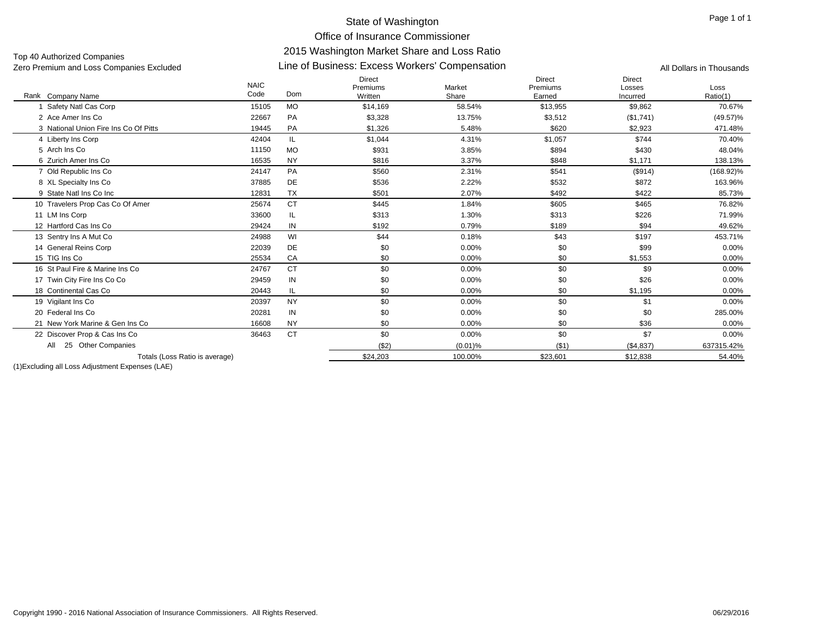Top 40 Authorized Companies

### Line of Business: Excess Workers' Compensation Zero Premium and Loss Companies Excluded All Dollars in Thousands

Rank Company Name NAIC CodeDirect PremiumsWrittenMarketShareDirect Premiums EarnedDirect LossesIncurredLossRatio(1) k Company Name **Solution Come** Code Dom Written Written Share Share Earned Incurred Ratio(1) 1 Safety Natl Cas Corp Safety Natl Cas Corp 15105 MO \$14,169 58.54% \$13,955 \$9,862 70.67% 2 Ace Amer Ins Co 22667 PAA \$3,328 13.75% \$3,512 (\$1,741) (49.57)% 3 National Union Fire Ins Co Of Pitts 19445 PA \$1,326 5.48% \$620 \$2,923 471.48% 4 Liberty Ins Corp 4 Liberty Ins Corp 42404 \$1,044 4.31% \$1,057 \$744 70.40% 5 Arch Ins Co 11150 MO \$931 3.85% $\%$  6894 \$894 \$430 \$430 48.04% 6 Zurich Amer Ins Co 16535 NYNY \$816 3.37% \$848 \$1,171 138.13% 7 Old Republic Ins Co 7 Old Republic Ins Co 24147 PA \$560 2.31% \$541 (\$914) (168.92)% 8 XL Specialty Ins Co 8 XL Specialty Ins Co 37885 DE \$536 2.22% \$532 \$872 163.96% 9 State Natl Ins Co Inc 12831 TX \$501 2.07% $\%$  85.73%  $\frac{1}{2}$  \$492  $\frac{1}{2}$  \$422  $\frac{1}{2}$  85.73% 10 Travelers Prop Cas Co Of Amer 25674 CT \$445 \$605 \$465 76.82% 11 LM Ins Corp LM Ins Corp 33600 IL \$313 1.30% \$313 \$226 71.99% 12 Hartford Cas Ins Co 29424 IN \$192 0.79% \$189 \$94 49.62% 13 Sentry Ins A Mut Co 3 Sentry Ins A Mut Co 24988 WI \$44 0.18% \$43 \$197 453.71% 14 General Reins Corp General Reins Corp 22039 DE \$0 0.00% \$0 \$99 0.00% 15 TIG Ins Co 25534 CA $\bullet$  60 0.00%  $\%$  60  $\text{ }$  51,553 0.00% 16 St Paul Fire & Marine Ins Co 24767 CTCT \$0 0.00%  $\%$  60  $\text{ }$  50  $\text{ }$  59  $\text{ }$  0.00% 17 Twin City Fire Ins Co Co Twin City Fire Ins Co Co 29459 IN \$0 0.00% \$0 \$26 0.00% 18 Continental Cas Co 20443 IL \$0 0.00% $\%$  60  $\text{\$0}$   $\text{\$1,195}$  51,195 0.00% 19 Vigilant Ins Co 9 Vigilant Ins Co 20397 NY \$0 0.00% \$0 \$1 0.00% 20 Federal Ins Co 20281 IN \$0 0.00% \$0 \$0 285.00% 21 New York Marine & Gen Ins Co 16608 NYNY \$0 0.00%  $\%$  60  $\%$  50  $\%$  536  $\%$  0.00% 22 Discover Prop & Cas Ins Co 36463 CT \$0 \$0 \$7 0.00%  $(32)$   $(0.01)$ %  $(51)$   $(54,837)$  637315.42% Totals (Loss Ratio is average) \$24,203 100.00% \$23,601 \$12,838 54.40% All 25 Other Companies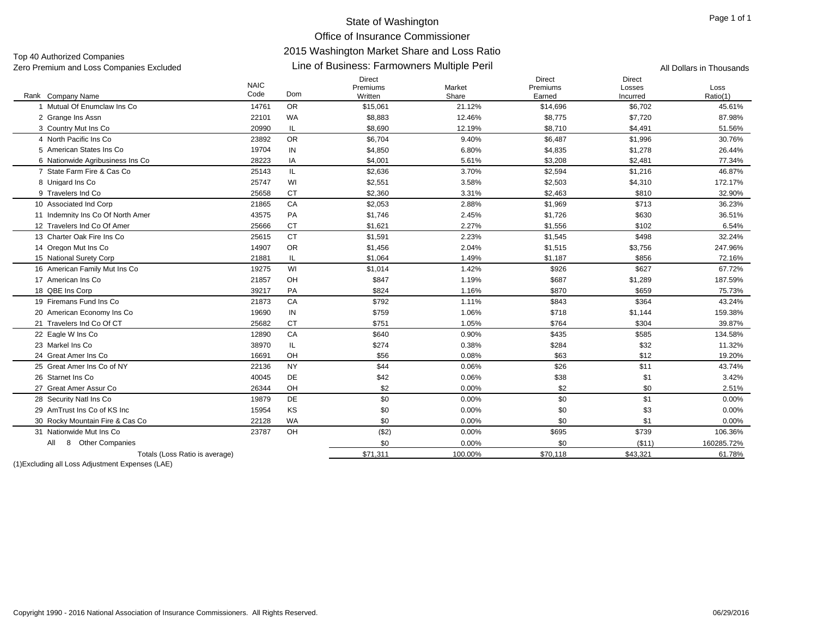Top 40 Authorized Companies

#### Rank Company Name NAIC CodeDirect PremiumsWrittenMarketShareDirect PremiumsEarnedDirectLossesIncurredLossRatio(1) k Company Name **Solution Come** Code Dom Written Written Share Share Earned Incurred Ratio(1) Line of Business: Farmowners Multiple Peril Zero Premium and Loss Companies Excluded All Dollars in Thousands 1 Mutual Of Enumclaw Ins Co 14761 OR \$15,061 21.12% \$14,696 \$6,702 45.61% 2 Grange Ins Assn 2 Grange Ins Assn 22101 WA \$8,883 12.46% \$8,775 \$7,720 87.98% 3 Country Mut Ins Co 3 Country Mut Ins Co 20990 IL \$8,690 12.19% \$8,710 \$4,491 51.56% 4 North Pacific Ins Co 23892 OR \$6,704 9.40% \$6,487 \$1,996 30.76% 5 American States Ins Co 19704 INN \$4,850 6.80% \$4,835 \$1,278 26.44% 6 Nationwide Agribusiness Ins Co 28223 IA \$4,001 5.61% \$3,208 \$2,481 77.34% 7 State Farm Fire & Cas Co 25143 IL \$2,636 3.70% \$2,594 \$1,216 46.87% 8 Unigard Ins Co 8 Unigard Ins Co 25747 WI \$2,551 3.58% \$2,503 \$4,310 172.17% 9 Travelers Ind Co 25658 CT $\texttt{T} \quad \texttt{\$2,360} \quad \texttt{32.90\%}$ 10 Associated Ind Corp 0 Associated Ind Corp 21865 CA \$2,053 2.88% \$1,969 \$713 36.23% 11 Indemnity Ins Co Of North Amer PA \$1,746 \$1,726 \$630 36.51% 12 Travelers Ind Co Of Amer 25666 CT \$1,621 2.27% \$1,556 \$102 6.54% 13 Charter Oak Fire Ins Co 25615 CT \$1,591 2.23% \$1,545 \$498 32.24% 14 Oregon Mut Ins Co 4 Oregon Mut Ins Co 14907 OR \$1,456 2.04% \$1,515 \$3,756 247.96% 15 National Surety Corp 5 National Surety Corp 21881 IL \$1,064 1.49% \$1,187 \$856 72.16% 16 American Family Mut Ins Co 19275 WI \$1,014 1.42% \$926 \$627 67.72% 17 American Ins Co 21857 OH \$847 1.19% $\%$  6687  $\$1,289$  187.59% 18 QBE Ins Corp 8 QBE Ins Corp 39217 PA \$824 1.16% \$870 \$659 75.73% 19 Firemans Fund Ins Co 21873 CA \$792 1.11% $\%$   $\frac{\$843}{\$843}$   $\frac{\$364}{\$864}$   $\frac{43.24\%}{\$864}$ 20 American Economy Ins Co 19690 IN \$759 1.06% \$718 \$1,144 159.38% 21 Travelers Ind Co Of CT 25682 CT \$751 1.05% $\%$  5764  $\frac{1}{304}$  5304 39.87% 22 Eagle W Ins Co 2 Eagle W Ins Co 12890 CA \$640 0.90% \$435 \$585 134.58% 23 Markel Ins Co 38970 IL \$274 0.38% $\%$  6284 \$284 \$32 \$32 11.32% 24 Great Amer Ins Co 16691 OH \$56 0.08% \$63 \$12 19.20% 25 Great Amer Ins Co of NY 22136 NYY 344 0.06%  $\%$  6  $\frac{1}{26}$  526 511 511 43.74% 26 Starnet Ins Co 40045 DEE 342 0.06%  $\%$  3.42%  $\frac{1}{3}$  3.42% 27 Great Amer Assur Co 26344 OHH 32 0.00%  $\%$  82 51% below to the set of the set of the set of the set of the set of the set of the set of the set of the set of the set of the set of the set of the set of the set of the set of the set of the set of the set of th 28 Security Natl Ins Co Security Natl Ins Co 19879 DE \$0 0.00% \$0 \$1 0.00% 29 AmTrust Ins Co of KS Inc 15954 KS $\texttt{S} \quad \texttt{S} \quad \texttt{S} \quad \texttt{0.00\%}$  $\%$  60 50 53 53 50  $0.00\%$ 30 Rocky Mountain Fire & Cas Co 22128 WA \$0 0.00% \$0 \$1 0.00% 31 Nationwide Mut Ins Co 23787 OHH (\$2) 0.00% \$695 \$739 106.36% \$0 0.00% \$0 (\$11) 160285.72% Totals (Loss Ratio is average) 61.78% **\$71,311** 100.00% \$70,118 \$43,321 \$43,321 61.78% All 8 Other Companies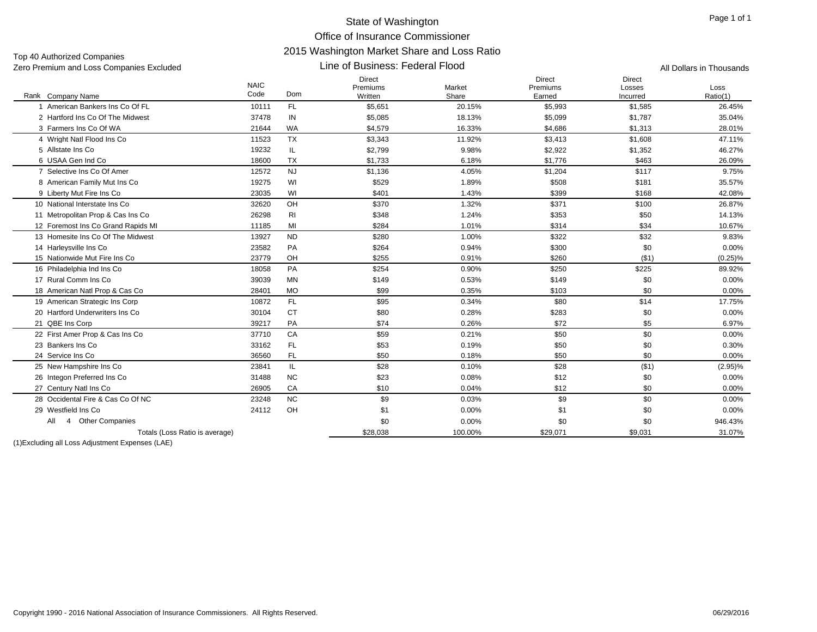Top 40 Authorized Companies Zero Premium and Loss Companies Excluded **All Dollars in Thousands All Dollars in Thousands All Dollars in Thousands** 

#### Line of Business: Federal Flood

| Code<br>Dom<br>Written<br>Share<br>Ratio(1)<br>Rank Company Name<br>Earned<br>Incurred<br>1 American Bankers Ins Co Of FL<br>FL.<br>\$5,993<br>10111<br>\$5,651<br>20.15%<br>\$1,585<br>37478<br>2 Hartford Ins Co Of The Midwest<br>IN<br>\$5,085<br>18.13%<br>\$5,099<br>\$1,787<br>3 Farmers Ins Co Of WA<br><b>WA</b><br>16.33%<br>\$1,313<br>21644<br>\$4,579<br>\$4,686<br><b>TX</b><br>11.92%<br>\$1,608<br>4 Wright Natl Flood Ins Co<br>11523<br>\$3,343<br>\$3,413<br>IL<br>9.98%<br>\$1,352<br>5 Allstate Ins Co<br>19232<br>\$2,799<br>\$2,922<br>6 USAA Gen Ind Co<br><b>TX</b><br>\$463<br>18600<br>\$1,733<br>6.18%<br>\$1,776<br><b>NJ</b><br>\$117<br>7 Selective Ins Co Of Amer<br>\$1,136<br>4.05%<br>\$1,204<br>12572<br>19275<br>WI<br>1.89%<br>8 American Family Mut Ins Co<br>\$529<br>\$508<br>\$181<br>WI<br>\$399<br>9 Liberty Mut Fire Ins Co<br>23035<br>\$401<br>1.43%<br>\$168<br>10 National Interstate Ins Co<br>32620<br>OH<br>\$370<br>1.32%<br>\$371<br>\$100<br>11 Metropolitan Prop & Cas Ins Co<br>26298<br>RI<br>\$348<br>1.24%<br>\$353<br>\$50<br>MI<br>\$34<br>12 Foremost Ins Co Grand Rapids MI<br>11185<br>\$284<br>1.01%<br>\$314<br><b>ND</b><br>\$32<br>13 Homesite Ins Co Of The Midwest<br>13927<br>\$280<br>1.00%<br>\$322<br>PA<br>\$300<br>\$0<br>14 Harleysville Ins Co<br>23582<br>\$264<br>0.94%<br>23779<br>OH<br>0.91%<br>\$260<br>( \$1)<br>15 Nationwide Mut Fire Ins Co<br>\$255<br>PA<br>16 Philadelphia Ind Ins Co<br>18058<br>\$254<br>0.90%<br>\$250<br>\$225<br>17 Rural Comm Ins Co<br><b>MN</b><br>0.53%<br>\$149<br>\$0<br>39039<br>\$149<br><b>MO</b><br>\$99<br>0.35%<br>\$0<br>18 American Natl Prop & Cas Co<br>28401<br>\$103<br>\$14<br>19 American Strategic Ins Corp<br>FL.<br>\$95<br>\$80<br>10872<br>0.34%<br><b>CT</b><br>20 Hartford Underwriters Ins Co<br>30104<br>\$80<br>0.28%<br>\$0<br>\$283<br>21 QBE Ins Corp<br>PA<br>\$74<br>0.26%<br>\$72<br>\$5<br>39217<br>22 First Amer Prop & Cas Ins Co<br>CA<br>\$59<br>0.21%<br>\$50<br>\$0<br>37710<br>FL<br>\$53<br>\$50<br>\$0<br>23 Bankers Ins Co<br>33162<br>0.19% | <b>NAIC</b> | Direct<br>Premiums | Market | <b>Direct</b><br>Premiums | <b>Direct</b><br>Losses | Loss       |
|--------------------------------------------------------------------------------------------------------------------------------------------------------------------------------------------------------------------------------------------------------------------------------------------------------------------------------------------------------------------------------------------------------------------------------------------------------------------------------------------------------------------------------------------------------------------------------------------------------------------------------------------------------------------------------------------------------------------------------------------------------------------------------------------------------------------------------------------------------------------------------------------------------------------------------------------------------------------------------------------------------------------------------------------------------------------------------------------------------------------------------------------------------------------------------------------------------------------------------------------------------------------------------------------------------------------------------------------------------------------------------------------------------------------------------------------------------------------------------------------------------------------------------------------------------------------------------------------------------------------------------------------------------------------------------------------------------------------------------------------------------------------------------------------------------------------------------------------------------------------------------------------------------------------------------------------------------------------------------------------------------------------------------------------------------------------------------------------------------------|-------------|--------------------|--------|---------------------------|-------------------------|------------|
|                                                                                                                                                                                                                                                                                                                                                                                                                                                                                                                                                                                                                                                                                                                                                                                                                                                                                                                                                                                                                                                                                                                                                                                                                                                                                                                                                                                                                                                                                                                                                                                                                                                                                                                                                                                                                                                                                                                                                                                                                                                                                                              |             |                    |        |                           |                         |            |
|                                                                                                                                                                                                                                                                                                                                                                                                                                                                                                                                                                                                                                                                                                                                                                                                                                                                                                                                                                                                                                                                                                                                                                                                                                                                                                                                                                                                                                                                                                                                                                                                                                                                                                                                                                                                                                                                                                                                                                                                                                                                                                              |             |                    |        |                           |                         | 26.45%     |
|                                                                                                                                                                                                                                                                                                                                                                                                                                                                                                                                                                                                                                                                                                                                                                                                                                                                                                                                                                                                                                                                                                                                                                                                                                                                                                                                                                                                                                                                                                                                                                                                                                                                                                                                                                                                                                                                                                                                                                                                                                                                                                              |             |                    |        |                           |                         | 35.04%     |
|                                                                                                                                                                                                                                                                                                                                                                                                                                                                                                                                                                                                                                                                                                                                                                                                                                                                                                                                                                                                                                                                                                                                                                                                                                                                                                                                                                                                                                                                                                                                                                                                                                                                                                                                                                                                                                                                                                                                                                                                                                                                                                              |             |                    |        |                           |                         | 28.01%     |
|                                                                                                                                                                                                                                                                                                                                                                                                                                                                                                                                                                                                                                                                                                                                                                                                                                                                                                                                                                                                                                                                                                                                                                                                                                                                                                                                                                                                                                                                                                                                                                                                                                                                                                                                                                                                                                                                                                                                                                                                                                                                                                              |             |                    |        |                           |                         | 47.11%     |
|                                                                                                                                                                                                                                                                                                                                                                                                                                                                                                                                                                                                                                                                                                                                                                                                                                                                                                                                                                                                                                                                                                                                                                                                                                                                                                                                                                                                                                                                                                                                                                                                                                                                                                                                                                                                                                                                                                                                                                                                                                                                                                              |             |                    |        |                           |                         | 46.27%     |
|                                                                                                                                                                                                                                                                                                                                                                                                                                                                                                                                                                                                                                                                                                                                                                                                                                                                                                                                                                                                                                                                                                                                                                                                                                                                                                                                                                                                                                                                                                                                                                                                                                                                                                                                                                                                                                                                                                                                                                                                                                                                                                              |             |                    |        |                           |                         | 26.09%     |
|                                                                                                                                                                                                                                                                                                                                                                                                                                                                                                                                                                                                                                                                                                                                                                                                                                                                                                                                                                                                                                                                                                                                                                                                                                                                                                                                                                                                                                                                                                                                                                                                                                                                                                                                                                                                                                                                                                                                                                                                                                                                                                              |             |                    |        |                           |                         | 9.75%      |
|                                                                                                                                                                                                                                                                                                                                                                                                                                                                                                                                                                                                                                                                                                                                                                                                                                                                                                                                                                                                                                                                                                                                                                                                                                                                                                                                                                                                                                                                                                                                                                                                                                                                                                                                                                                                                                                                                                                                                                                                                                                                                                              |             |                    |        |                           |                         | 35.57%     |
|                                                                                                                                                                                                                                                                                                                                                                                                                                                                                                                                                                                                                                                                                                                                                                                                                                                                                                                                                                                                                                                                                                                                                                                                                                                                                                                                                                                                                                                                                                                                                                                                                                                                                                                                                                                                                                                                                                                                                                                                                                                                                                              |             |                    |        |                           |                         | 42.08%     |
|                                                                                                                                                                                                                                                                                                                                                                                                                                                                                                                                                                                                                                                                                                                                                                                                                                                                                                                                                                                                                                                                                                                                                                                                                                                                                                                                                                                                                                                                                                                                                                                                                                                                                                                                                                                                                                                                                                                                                                                                                                                                                                              |             |                    |        |                           |                         | 26.87%     |
|                                                                                                                                                                                                                                                                                                                                                                                                                                                                                                                                                                                                                                                                                                                                                                                                                                                                                                                                                                                                                                                                                                                                                                                                                                                                                                                                                                                                                                                                                                                                                                                                                                                                                                                                                                                                                                                                                                                                                                                                                                                                                                              |             |                    |        |                           |                         | 14.13%     |
|                                                                                                                                                                                                                                                                                                                                                                                                                                                                                                                                                                                                                                                                                                                                                                                                                                                                                                                                                                                                                                                                                                                                                                                                                                                                                                                                                                                                                                                                                                                                                                                                                                                                                                                                                                                                                                                                                                                                                                                                                                                                                                              |             |                    |        |                           |                         | 10.67%     |
|                                                                                                                                                                                                                                                                                                                                                                                                                                                                                                                                                                                                                                                                                                                                                                                                                                                                                                                                                                                                                                                                                                                                                                                                                                                                                                                                                                                                                                                                                                                                                                                                                                                                                                                                                                                                                                                                                                                                                                                                                                                                                                              |             |                    |        |                           |                         | 9.83%      |
|                                                                                                                                                                                                                                                                                                                                                                                                                                                                                                                                                                                                                                                                                                                                                                                                                                                                                                                                                                                                                                                                                                                                                                                                                                                                                                                                                                                                                                                                                                                                                                                                                                                                                                                                                                                                                                                                                                                                                                                                                                                                                                              |             |                    |        |                           |                         | 0.00%      |
|                                                                                                                                                                                                                                                                                                                                                                                                                                                                                                                                                                                                                                                                                                                                                                                                                                                                                                                                                                                                                                                                                                                                                                                                                                                                                                                                                                                                                                                                                                                                                                                                                                                                                                                                                                                                                                                                                                                                                                                                                                                                                                              |             |                    |        |                           |                         | $(0.25)\%$ |
|                                                                                                                                                                                                                                                                                                                                                                                                                                                                                                                                                                                                                                                                                                                                                                                                                                                                                                                                                                                                                                                                                                                                                                                                                                                                                                                                                                                                                                                                                                                                                                                                                                                                                                                                                                                                                                                                                                                                                                                                                                                                                                              |             |                    |        |                           |                         | 89.92%     |
|                                                                                                                                                                                                                                                                                                                                                                                                                                                                                                                                                                                                                                                                                                                                                                                                                                                                                                                                                                                                                                                                                                                                                                                                                                                                                                                                                                                                                                                                                                                                                                                                                                                                                                                                                                                                                                                                                                                                                                                                                                                                                                              |             |                    |        |                           |                         | 0.00%      |
|                                                                                                                                                                                                                                                                                                                                                                                                                                                                                                                                                                                                                                                                                                                                                                                                                                                                                                                                                                                                                                                                                                                                                                                                                                                                                                                                                                                                                                                                                                                                                                                                                                                                                                                                                                                                                                                                                                                                                                                                                                                                                                              |             |                    |        |                           |                         | 0.00%      |
|                                                                                                                                                                                                                                                                                                                                                                                                                                                                                                                                                                                                                                                                                                                                                                                                                                                                                                                                                                                                                                                                                                                                                                                                                                                                                                                                                                                                                                                                                                                                                                                                                                                                                                                                                                                                                                                                                                                                                                                                                                                                                                              |             |                    |        |                           |                         | 17.75%     |
|                                                                                                                                                                                                                                                                                                                                                                                                                                                                                                                                                                                                                                                                                                                                                                                                                                                                                                                                                                                                                                                                                                                                                                                                                                                                                                                                                                                                                                                                                                                                                                                                                                                                                                                                                                                                                                                                                                                                                                                                                                                                                                              |             |                    |        |                           |                         | 0.00%      |
|                                                                                                                                                                                                                                                                                                                                                                                                                                                                                                                                                                                                                                                                                                                                                                                                                                                                                                                                                                                                                                                                                                                                                                                                                                                                                                                                                                                                                                                                                                                                                                                                                                                                                                                                                                                                                                                                                                                                                                                                                                                                                                              |             |                    |        |                           |                         | 6.97%      |
|                                                                                                                                                                                                                                                                                                                                                                                                                                                                                                                                                                                                                                                                                                                                                                                                                                                                                                                                                                                                                                                                                                                                                                                                                                                                                                                                                                                                                                                                                                                                                                                                                                                                                                                                                                                                                                                                                                                                                                                                                                                                                                              |             |                    |        |                           |                         | 0.00%      |
|                                                                                                                                                                                                                                                                                                                                                                                                                                                                                                                                                                                                                                                                                                                                                                                                                                                                                                                                                                                                                                                                                                                                                                                                                                                                                                                                                                                                                                                                                                                                                                                                                                                                                                                                                                                                                                                                                                                                                                                                                                                                                                              |             |                    |        |                           |                         | 0.30%      |
| 24 Service Ins Co<br>36560<br>FL.<br>\$50<br>0.18%<br>\$50<br>\$0                                                                                                                                                                                                                                                                                                                                                                                                                                                                                                                                                                                                                                                                                                                                                                                                                                                                                                                                                                                                                                                                                                                                                                                                                                                                                                                                                                                                                                                                                                                                                                                                                                                                                                                                                                                                                                                                                                                                                                                                                                            |             |                    |        |                           |                         | 0.00%      |
| 25 New Hampshire Ins Co<br>\$28<br>\$28<br>( \$1)<br>23841<br>IL<br>0.10%                                                                                                                                                                                                                                                                                                                                                                                                                                                                                                                                                                                                                                                                                                                                                                                                                                                                                                                                                                                                                                                                                                                                                                                                                                                                                                                                                                                                                                                                                                                                                                                                                                                                                                                                                                                                                                                                                                                                                                                                                                    |             |                    |        |                           |                         | $(2.95)\%$ |
| 26 Integon Preferred Ins Co<br><b>NC</b><br>\$23<br>\$12<br>\$0<br>31488<br>0.08%                                                                                                                                                                                                                                                                                                                                                                                                                                                                                                                                                                                                                                                                                                                                                                                                                                                                                                                                                                                                                                                                                                                                                                                                                                                                                                                                                                                                                                                                                                                                                                                                                                                                                                                                                                                                                                                                                                                                                                                                                            |             |                    |        |                           |                         | 0.00%      |
| CA<br>\$10<br>0.04%<br>\$12<br>\$0<br>27 Century Natl Ins Co<br>26905                                                                                                                                                                                                                                                                                                                                                                                                                                                                                                                                                                                                                                                                                                                                                                                                                                                                                                                                                                                                                                                                                                                                                                                                                                                                                                                                                                                                                                                                                                                                                                                                                                                                                                                                                                                                                                                                                                                                                                                                                                        |             |                    |        |                           |                         | 0.00%      |
| <b>NC</b><br>\$0<br>28 Occidental Fire & Cas Co Of NC<br>\$9<br>\$9<br>23248<br>0.03%                                                                                                                                                                                                                                                                                                                                                                                                                                                                                                                                                                                                                                                                                                                                                                                                                                                                                                                                                                                                                                                                                                                                                                                                                                                                                                                                                                                                                                                                                                                                                                                                                                                                                                                                                                                                                                                                                                                                                                                                                        |             |                    |        |                           |                         | 0.00%      |
| 29 Westfield Ins Co<br>24112<br>OH<br>0.00%<br>\$0<br>\$1<br>\$1                                                                                                                                                                                                                                                                                                                                                                                                                                                                                                                                                                                                                                                                                                                                                                                                                                                                                                                                                                                                                                                                                                                                                                                                                                                                                                                                                                                                                                                                                                                                                                                                                                                                                                                                                                                                                                                                                                                                                                                                                                             |             |                    |        |                           |                         | 0.00%      |
| 4 Other Companies<br>All<br>\$0<br>0.00%<br>\$0<br>\$0                                                                                                                                                                                                                                                                                                                                                                                                                                                                                                                                                                                                                                                                                                                                                                                                                                                                                                                                                                                                                                                                                                                                                                                                                                                                                                                                                                                                                                                                                                                                                                                                                                                                                                                                                                                                                                                                                                                                                                                                                                                       |             |                    |        |                           |                         | 946.43%    |
| Totals (Loss Ratio is average)<br>\$28.038<br>100.00%<br>\$29,071<br>\$9.031                                                                                                                                                                                                                                                                                                                                                                                                                                                                                                                                                                                                                                                                                                                                                                                                                                                                                                                                                                                                                                                                                                                                                                                                                                                                                                                                                                                                                                                                                                                                                                                                                                                                                                                                                                                                                                                                                                                                                                                                                                 |             |                    |        |                           |                         | 31.07%     |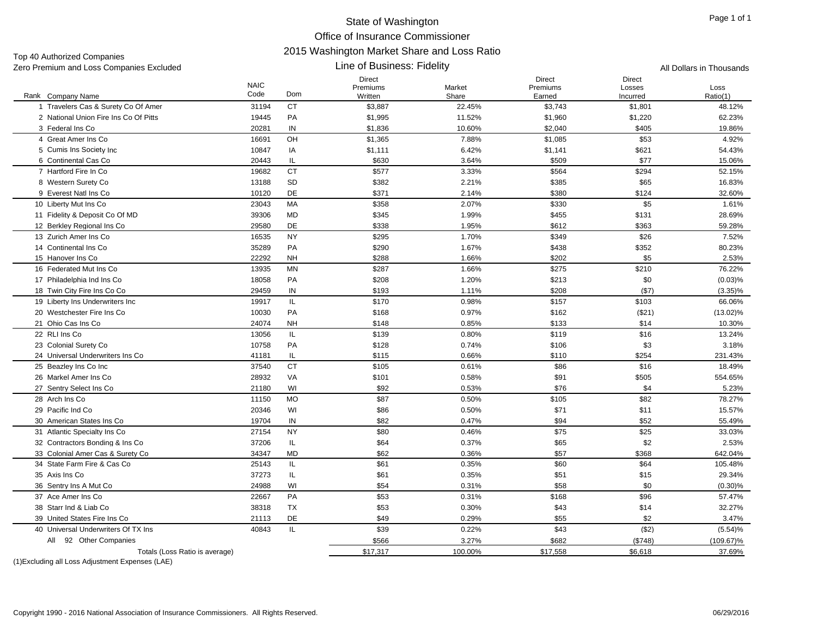Top 40 Authorized Companies

| Zero Premium and Loss Companies Excluded         |                     |           | Line of Business: Fidelity |                 | All Dollars in Thousands |                    |                  |
|--------------------------------------------------|---------------------|-----------|----------------------------|-----------------|--------------------------|--------------------|------------------|
|                                                  |                     |           | Direct                     |                 | <b>Direct</b>            | <b>Direct</b>      |                  |
| Rank Company Name                                | <b>NAIC</b><br>Code | Dom       | Premiums<br>Written        | Market<br>Share | Premiums<br>Earned       | Losses<br>Incurred | Loss<br>Ratio(1) |
| 1 Travelers Cas & Surety Co Of Amer              | 31194               | <b>CT</b> | \$3,887                    | 22.45%          | \$3,743                  | \$1,801            | 48.12%           |
| 2 National Union Fire Ins Co Of Pitts            | 19445               | PA        | \$1,995                    | 11.52%          | \$1,960                  | \$1,220            | 62.23%           |
| 3 Federal Ins Co                                 | 20281               | IN        | \$1,836                    | 10.60%          | \$2,040                  | \$405              | 19.86%           |
| 4 Great Amer Ins Co                              | 16691               | OH        | \$1,365                    | 7.88%           | \$1,085                  | \$53               | 4.92%            |
| 5 Cumis Ins Society Inc.                         | 10847               | IA        | \$1,111                    | 6.42%           | \$1,141                  | \$621              | 54.43%           |
| 6 Continental Cas Co                             | 20443               | IL        | \$630                      | 3.64%           | \$509                    | \$77               | 15.06%           |
| 7 Hartford Fire In Co.                           | 19682               | <b>CT</b> | \$577                      | 3.33%           | \$564                    | \$294              | 52.15%           |
| 8 Western Surety Co                              | 13188               | SD        | \$382                      | 2.21%           | \$385                    | \$65               | 16.83%           |
| 9 Everest Natl Ins Co                            | 10120               | DE        | \$371                      | 2.14%           | \$380                    | \$124              | 32.60%           |
| 10 Liberty Mut Ins Co                            | 23043               | МA        | \$358                      | 2.07%           | \$330                    | \$5                | 1.61%            |
| 11 Fidelity & Deposit Co Of MD                   | 39306               | MD        | \$345                      | 1.99%           | \$455                    | \$131              | 28.69%           |
| 12 Berkley Regional Ins Co                       | 29580               | DE        | \$338                      | 1.95%           | \$612                    | \$363              | 59.28%           |
| 13 Zurich Amer Ins Co                            | 16535               | <b>NY</b> | \$295                      | 1.70%           | \$349                    | \$26               | 7.52%            |
| 14 Continental Ins Co                            | 35289               | PA        | \$290                      | 1.67%           | \$438                    | \$352              | 80.23%           |
| 15 Hanover Ins Co                                | 22292               | <b>NH</b> | \$288                      | 1.66%           | \$202                    | \$5                | 2.53%            |
| 16 Federated Mut Ins Co                          | 13935               | <b>MN</b> | \$287                      | 1.66%           | \$275                    | \$210              | 76.22%           |
| 17 Philadelphia Ind Ins Co                       | 18058               | PA        | \$208                      | 1.20%           | \$213                    | \$0                | (0.03)%          |
| 18 Twin City Fire Ins Co Co                      | 29459               | IN        | \$193                      | 1.11%           | \$208                    | (\$7)              | $(3.35)\%$       |
| 19 Liberty Ins Underwriters Inc                  | 19917               | IL.       | \$170                      | 0.98%           | \$157                    | \$103              | 66.06%           |
| 20 Westchester Fire Ins Co                       | 10030               | PA        | \$168                      | 0.97%           | \$162                    | (\$21)             | $(13.02)\%$      |
| 21 Ohio Cas Ins Co                               | 24074               | <b>NH</b> | \$148                      | 0.85%           | \$133                    | \$14               | 10.30%           |
| 22 RLI Ins Co                                    | 13056               | IL.       | \$139                      | 0.80%           | \$119                    | \$16               | 13.24%           |
| 23 Colonial Surety Co                            | 10758               | PA        | \$128                      | 0.74%           | \$106                    | \$3                | 3.18%            |
| 24 Universal Underwriters Ins Co                 | 41181               | IL.       | \$115                      | 0.66%           | \$110                    | \$254              | 231.43%          |
| 25 Beazley Ins Co Inc                            | 37540               | <b>CT</b> | \$105                      | 0.61%           | \$86                     | \$16               | 18.49%           |
| 26 Markel Amer Ins Co                            | 28932               | VA        | \$101                      | 0.58%           | \$91                     | \$505              | 554.65%          |
| 27 Sentry Select Ins Co                          | 21180               | WI        | \$92                       | 0.53%           | \$76                     | \$4                | 5.23%            |
| 28 Arch Ins Co                                   | 11150               | <b>MO</b> | \$87                       | 0.50%           | \$105                    | \$82               | 78.27%           |
| 29 Pacific Ind Co                                | 20346               | WI        | \$86                       | 0.50%           | \$71                     | \$11               | 15.57%           |
| 30 American States Ins Co                        | 19704               | IN        | \$82                       | 0.47%           | \$94                     | \$52               | 55.49%           |
| 31 Atlantic Specialty Ins Co                     | 27154               | <b>NY</b> | \$80                       | 0.46%           | \$75                     | \$25               | 33.03%           |
| 32 Contractors Bonding & Ins Co                  | 37206               | IL.       | \$64                       | 0.37%           | \$65                     | \$2                | 2.53%            |
| 33 Colonial Amer Cas & Surety Co                 | 34347               | <b>MD</b> | \$62                       | 0.36%           | \$57                     | \$368              | 642.04%          |
| 34 State Farm Fire & Cas Co                      | 25143               | IL.       | \$61                       | 0.35%           | \$60                     | \$64               | 105.48%          |
| 35 Axis Ins Co                                   | 37273               | IL        | \$61                       | 0.35%           | \$51                     | \$15               | 29.34%           |
| 36 Sentry Ins A Mut Co                           | 24988               | WI        | \$54                       | 0.31%           | \$58                     | \$0                | $(0.30)\%$       |
| 37 Ace Amer Ins Co                               | 22667               | PA        | \$53                       | 0.31%           | \$168                    | \$96               | 57.47%           |
| 38 Starr Ind & Liab Co                           | 38318               | <b>TX</b> | \$53                       | 0.30%           | \$43                     | \$14               | 32.27%           |
| 39 United States Fire Ins Co                     | 21113               | DE        | \$49                       | 0.29%           | \$55                     | \$2                | 3.47%            |
| 40 Universal Underwriters Of TX Ins              | 40843               | IL.       | \$39                       | 0.22%           | \$43                     | (\$2)              | (5.54)%          |
| 92 Other Companies<br>All                        |                     |           | \$566                      | 3.27%           | \$682                    | (\$748)            | $(109.67)\%$     |
| Totals (Loss Ratio is average)                   |                     |           | \$17,317                   | 100.00%         | \$17,558                 | \$6,618            | 37.69%           |
| (1) Excluding all Loss Adjustment Expenses (LAE) |                     |           |                            |                 |                          |                    |                  |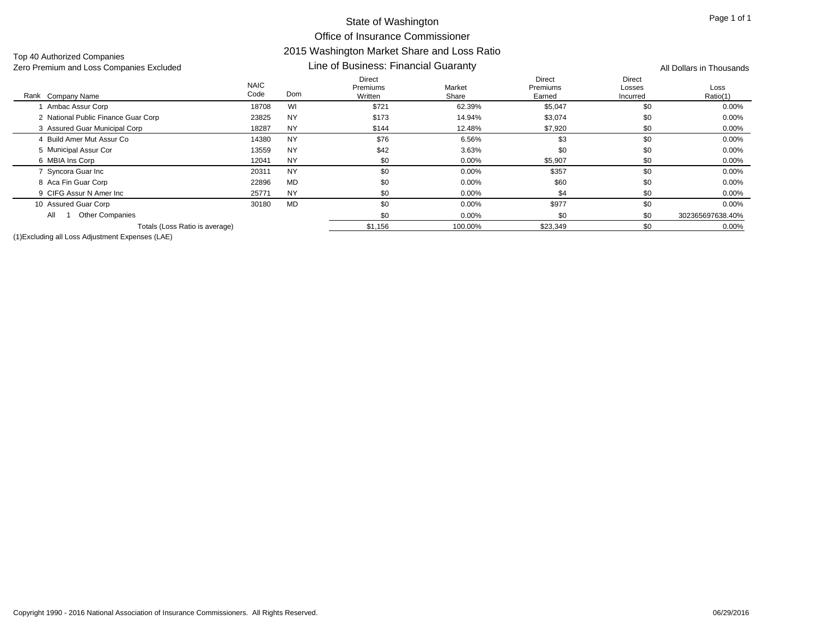Top 40 Authorized Companies

#### Line of Business: Financial Guaranty

Rank Company Name NAIC Code Direct Premiums Written Market <u>Share</u> Direct Premiums Earned Direct Losses Incurred LossRatio(1) k Company Name **Solution Come** Code Dom Written Written Share Share Earned Incurred Ratio(1) Zero Premium and Loss Companies Excluded **All Dollars in Thousands** Line of Business: Financial Guaranty **All Dollars in Thousands** 1 Ambac Assur Corp 1 Ambac Assur Corp 18708 WI \$721 62.39% \$5,047 0.00% 2 National Public Finance Guar Corp 23825 NY \$173 14.94% \$3,074 \$0 00% 0.00% 3 Assured Guar Municipal Corp 18287 NY \$144 12.48% \$7,920 \$0 0.00% 4 Build Amer Mut Assur Co 14380 NYNY \$76 6.56%  $\%$  60 0.00% 5 Municipal Assur Cor 5 Municipal Assur Cor 13559 NY \$42 3.63% \$0 0.00% 6 MBIA Ins Corp 6 MBIA Ins Corp 12041 NY \$0 0.00% \$5,907 \$0 0.00% 7 Syncora Guar Inc 7 Syncora Guar Inc 20311 NY \$0 0.00% \$357 0.00% 8 Aca Fin Guar Corp Aca Fin Guar Corp 22896 MD \$0 0.00% \$60 \$0 0.00% 9 CIFG Assur N Amer Inc 25771 NYNY \$0 0.00%  $\%$  6 0.00%  $\frac{1}{2}$   $\frac{1}{2}$   $\frac{1}{2}$   $\frac{1}{2}$   $\frac{1}{2}$   $\frac{1}{2}$   $\frac{1}{2}$   $\frac{1}{2}$   $\frac{1}{2}$   $\frac{1}{2}$   $\frac{1}{2}$   $\frac{1}{2}$   $\frac{1}{2}$   $\frac{1}{2}$   $\frac{1}{2}$   $\frac{1}{2}$   $\frac{1}{2}$   $\frac{1}{2}$   $\frac{1}{2}$   $\frac{1}{2}$   $\frac{1}{2}$ 10 Assured Guar Corp 0 Assured Guar Corp 30180 MD \$0 0.00% \$977 \$0 0.00%  $\textcolor{red}{\textbf{50}}$   $\textcolor{red}{\textbf{50}}$   $\textcolor{red}{\textbf{50}}$   $\textcolor{red}{\textbf{50}}$   $\textcolor{red}{\textbf{50}}$   $\textcolor{red}{\textbf{50}}$   $\textcolor{red}{\textbf{50}}$   $\textcolor{red}{\textbf{302365697638.40\%}}$ Totals (Loss Ratio is average)  $$1,156$   $$100.00\%$   $$23,349$   $$0$   $$9$   $$0$ All 1 Other Companies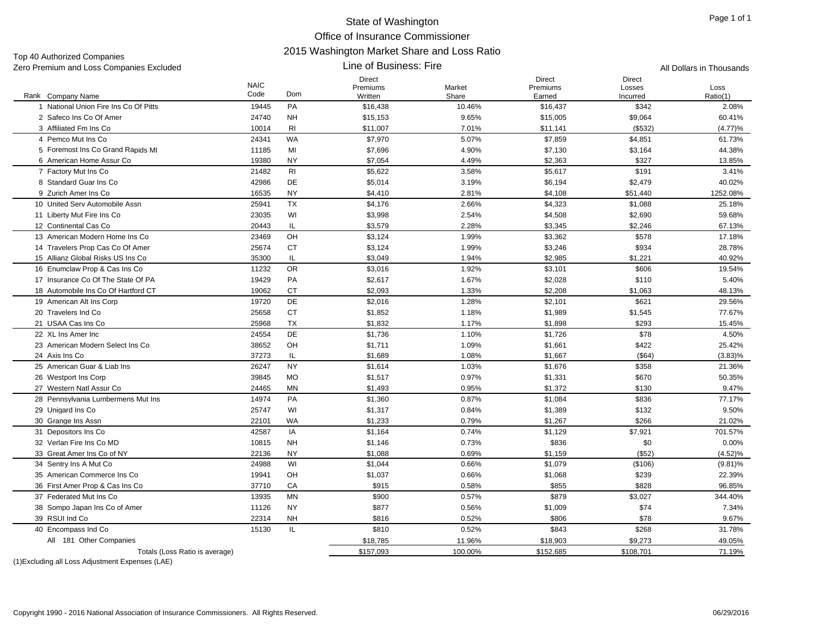Line of Business: Fire

Top 40 Authorized Companies Zero Premium and Loss Companies Excluded All Dollars in Thousands

|                                       | <b>NAIC</b> |                | <b>Direct</b><br>Premiums | Market  | <b>Direct</b><br>Premiums | <b>Direct</b><br>Losses | Loss       |
|---------------------------------------|-------------|----------------|---------------------------|---------|---------------------------|-------------------------|------------|
| Rank Company Name                     | Code        | Dom            | Written                   | Share   | Earned                    | Incurred                | Ratio(1)   |
| 1 National Union Fire Ins Co Of Pitts | 19445       | PA             | \$16,438                  | 10.46%  | \$16,437                  | \$342                   | 2.08%      |
| 2 Safeco Ins Co Of Amer               | 24740       | <b>NH</b>      | \$15,153                  | 9.65%   | \$15,005                  | \$9,064                 | 60.41%     |
| 3 Affiliated Fm Ins Co                | 10014       | R <sub>l</sub> | \$11,007                  | 7.01%   | \$11,141                  | (\$532)                 | (4.77)%    |
| 4 Pemco Mut Ins Co                    | 24341       | WA             | \$7,970                   | 5.07%   | \$7,859                   | \$4,851                 | 61.73%     |
| 5 Foremost Ins Co Grand Rapids MI     | 11185       | MI             | \$7,696                   | 4.90%   | \$7,130                   | \$3,164                 | 44.38%     |
| 6 American Home Assur Co              | 19380       | <b>NY</b>      | \$7,054                   | 4.49%   | \$2,363                   | \$327                   | 13.85%     |
| 7 Factory Mut Ins Co                  | 21482       | R1             | \$5,622                   | 3.58%   | \$5,617                   | \$191                   | 3.41%      |
| 8 Standard Guar Ins Co                | 42986       | DE             | \$5,014                   | 3.19%   | \$6,194                   | \$2,479                 | 40.02%     |
| 9 Zurich Amer Ins Co                  | 16535       | <b>NY</b>      | \$4,410                   | 2.81%   | \$4,108                   | \$51,440                | 1252.08%   |
| 10 United Serv Automobile Assn        | 25941       | <b>TX</b>      | \$4,176                   | 2.66%   | \$4,323                   | \$1,088                 | 25.18%     |
| 11 Liberty Mut Fire Ins Co            | 23035       | WI             | \$3,998                   | 2.54%   | \$4,508                   | \$2,690                 | 59.68%     |
| 12 Continental Cas Co                 | 20443       | IL             | \$3,579                   | 2.28%   | \$3,345                   | \$2,246                 | 67.13%     |
| 13 American Modern Home Ins Co        | 23469       | OH             | \$3,124                   | 1.99%   | \$3,362                   | \$578                   | 17.18%     |
| 14 Travelers Prop Cas Co Of Amer      | 25674       | <b>CT</b>      | \$3,124                   | 1.99%   | \$3,246                   | \$934                   | 28.78%     |
| 15 Allianz Global Risks US Ins Co     | 35300       | IL             | \$3,049                   | 1.94%   | \$2,985                   | \$1,221                 | 40.92%     |
| 16 Enumclaw Prop & Cas Ins Co         | 11232       | <b>OR</b>      | \$3,016                   | 1.92%   | \$3,101                   | \$606                   | 19.54%     |
| 17 Insurance Co Of The State Of PA    | 19429       | PA             | \$2,617                   | 1.67%   | \$2,028                   | \$110                   | 5.40%      |
| 18 Automobile Ins Co Of Hartford CT   | 19062       | <b>CT</b>      | \$2.093                   | 1.33%   | \$2,208                   | \$1,063                 | 48.13%     |
| 19 American Alt Ins Corp              | 19720       | <b>DE</b>      | \$2,016                   | 1.28%   | \$2,101                   | \$621                   | 29.56%     |
| 20 Travelers Ind Co                   | 25658       | <b>CT</b>      | \$1,852                   | 1.18%   | \$1,989                   | \$1,545                 | 77.67%     |
| 21 USAA Cas Ins Co                    | 25968       | TX             | \$1,832                   | 1.17%   | \$1,898                   | \$293                   | 15.45%     |
| 22 XL Ins Amer Inc                    | 24554       | DE             | \$1,736                   | 1.10%   | \$1,726                   | \$78                    | 4.50%      |
| 23 American Modern Select Ins Co      | 38652       | OH             | \$1,711                   | 1.09%   | \$1,661                   | \$422                   | 25.42%     |
| 24 Axis Ins Co                        | 37273       | IL             | \$1,689                   | 1.08%   | \$1,667                   | (\$64)                  | $(3.83)\%$ |
| 25 American Guar & Liab Ins           | 26247       | <b>NY</b>      | \$1,614                   | 1.03%   | \$1,676                   | \$358                   | 21.36%     |
| 26 Westport Ins Corp                  | 39845       | <b>MO</b>      | \$1,517                   | 0.97%   | \$1,331                   | \$670                   | 50.35%     |
| 27 Western Natl Assur Co              | 24465       | MN             | \$1,493                   | 0.95%   | \$1,372                   | \$130                   | 9.47%      |
| 28 Pennsylvania Lumbermens Mut Ins    | 14974       | PA             | \$1,360                   | 0.87%   | \$1,084                   | \$836                   | 77.17%     |
| 29 Unigard Ins Co                     | 25747       | WI             | \$1,317                   | 0.84%   | \$1,389                   | \$132                   | 9.50%      |
| 30 Grange Ins Assn                    | 22101       | WA             | \$1,233                   | 0.79%   | \$1,267                   | \$266                   | 21.02%     |
| 31 Depositors Ins Co                  | 42587       | IA             | \$1,164                   | 0.74%   | \$1,129                   | \$7,921                 | 701.57%    |
| 32 Verlan Fire Ins Co MD              | 10815       | <b>NH</b>      | \$1,146                   | 0.73%   | \$836                     | \$0                     | 0.00%      |
| 33 Great Amer Ins Co of NY            | 22136       | <b>NY</b>      | \$1,088                   | 0.69%   | \$1,159                   | (\$52)                  | $(4.52)\%$ |
| 34 Sentry Ins A Mut Co                | 24988       | WI             | \$1,044                   | 0.66%   | \$1,079                   | (\$106)                 | $(9.81)\%$ |
| 35 American Commerce Ins Co           | 19941       | OH             | \$1,037                   | 0.66%   | \$1,068                   | \$239                   | 22.39%     |
| 36 First Amer Prop & Cas Ins Co       | 37710       | CA             | \$915                     | 0.58%   | \$855                     | \$828                   | 96.85%     |
| 37 Federated Mut Ins Co               | 13935       | <b>MN</b>      | \$900                     | 0.57%   | \$879                     | \$3,027                 | 344.40%    |
| 38 Sompo Japan Ins Co of Amer         | 11126       | <b>NY</b>      | \$877                     | 0.56%   | \$1,009                   | \$74                    | 7.34%      |
| 39 RSUI Ind Co                        | 22314       | <b>NH</b>      | \$816                     | 0.52%   | \$806                     | \$78                    | 9.67%      |
| 40 Encompass Ind Co                   | 15130       | IL             | \$810                     | 0.52%   | \$843                     | \$268                   | 31.78%     |
| All 181 Other Companies               |             |                | \$18,785                  | 11.96%  | \$18,903                  | \$9,273                 | 49.05%     |
| Totals (Loss Ratio is average)        |             |                | \$157,093                 | 100.00% | \$152,685                 | \$108,701               | 71.19%     |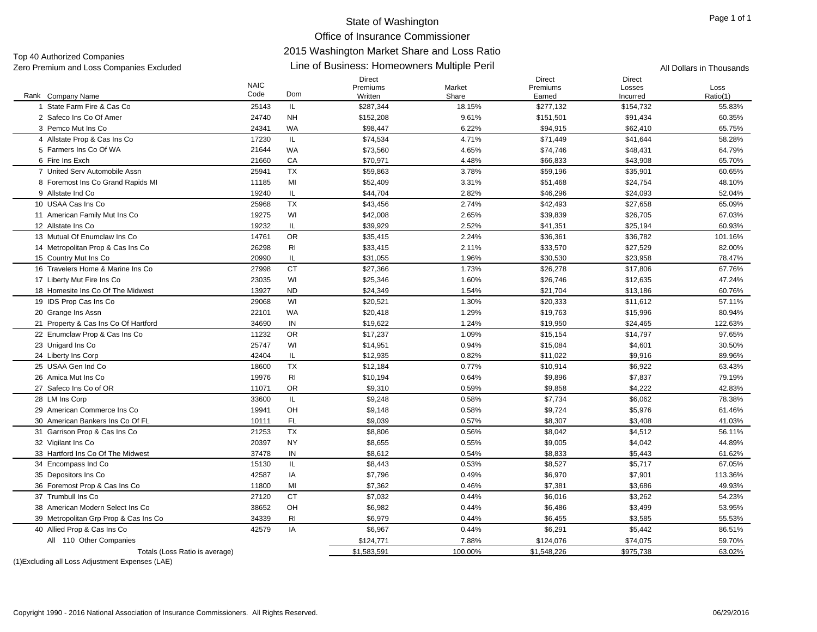Line of Business: Homeowners Multiple Peril Zero Premium and Loss Companies Excluded All Dollars in Thousands Top 40 Authorized Companies

#### Rank Company Name NAIC CodeDirect Premiums WrittenMarketShareDirect PremiumsEarnedDirectLossesIncurredLossRatio(1) k Company Name **Solution Come** Code Dom Written Written Share Share Earned Incurred Ratio(1) 1 State Farm Fire & Cas Co 25143 IL \$287,344 18.15% \$277,132 \$154,732 55.83% 2 Safeco Ins Co Of Amer 24740 NH \$152,208 9.61% \$151,501 \$91,434 60.35% 3 Pemco Mut Ins Co 24341 WA \$98,447 6.22% \$94,915 \$62,410 65.75% 4 Allstate Prop & Cas Ins Co 17230 IL \$74,534 4.71% \$71,449 \$41,644 58.28% 5 Farmers Ins Co Of WA 21644 WAA \$73,560 4.65% \$74,746 \$48,431 64.79% 6 Fire Ins Exch 21660 CA \$70,971 4.48% \$66,833 \$43,908 65.70% 7 United Serv Automobile Assn 25941 TX $\times$   $\times$  \$59,863  $\times$  3.78%  $\times$  \$59,196  $\times$  \$35,901 60.65% 8 Foremost Ins Co Grand Rapids MI 11185 MI \$52,409 \$3.1% \$51,468 \$24,754 48.10% 9 Allstate Ind Co 9 Allstate Ind Co 19240 IL \$44,704 2.82% \$46,296 \$24,093 52.04% 10 USAA Cas Ins Co 25968 TX \$43,456 2.74% \$42,493 \$27,658 65.09% 11 American Family Mut Ins Co 19275 WI \$42,008 \$2.65% \$39,839 \$26,705 67.03% 12 Allstate Ins Co 2 Allstate Ins Co 1923 19232 IL \$39,929 2.52% \$41,351 \$25,194 \$25,194 60.93% \$25,194 60.93% 13 Mutual Of Enumclaw Ins Co 14761 ORR \$35,415 2.24% \$36,361 \$36,782 101.16% 14 Metropolitan Prop & Cas Ins Co 26298 RI \$33,415 \$21,570 \$27,529 82.00% 15 Country Mut Ins Co 5 Country Mut Ins Co 20990 IL \$31,055 1.96% \$30,530 \$23,958 78.47% 16 Travelers Home & Marine Ins Co 27998 CT \$27,366 1.73% \$26,278 \$17,806 67.76% 17 Liberty Mut Fire Ins Co 7 Liberty Mut Fire Ins Co 23035 WI \$25,346 \$1.60% \$26,746 \$12,635 47.24% 18 Homesite Ins Co Of The Midwest 13927 ND \$24,349 1.54% \$21,704 \$13,186 60.76% 19 IDS Prop Cas Ins Co 9 IDS Prop Cas Ins Co 29068 WI \$20,521 1.30% \$20,333 \$11,612 57.11% 20 Grange Ins Assn 0 Grange Ins Assn 22101 WA \$20,418 1.29% \$19,763 \$15,996 80.94% 21 Property & Cas Ins Co Of Hartford 34690 IN \$19,622 1.24% \$19,950 \$24,465 122.63% 22 Enumclaw Prop & Cas Ins Co 11232 OR \$17,237 1.09% \$15,154 \$14,797 97.65% 23 Unigard Ins Co 3 Unigard Ins Co 25747 WI \$14,951 \$15,084 \$4,601 30.50% 24 Liberty Ins Corp 4 Liberty Ins Corp 42404 IL \$12,935 0.82% \$11,022 \$9,916 89.96% 25 USAA Gen Ind Co 18600 TX \$12,184 0.77% \$10,914 \$6,922 63.43% 26 Amica Mut Ins Co. 6 Amica Mut Ins Co 19976 RI \$10,194 0.64% \$9,896 \$7,837 79.19% 27 Safeco Ins Co of OR 11071 OR $89,310$   $0.59\%$   $39,858$   $422$   $42.83\%$ 28 LM Ins Corp 8 LM Ins Corp 33600 IL \$9,248 0.58% \$7,734 \$6,062 78.38% 29 American Commerce Ins Co 19941 OH \$9,148 0.58% \$9,724 \$5,976 61.46% 30 American Bankers Ins Co Of FL 10111 FL \$9,039 0.57% \$8,307 \$3,408 41.03% 31 Garrison Prop & Cas Ins Co 21253 TX \$8,806 \$8,042 \$4,512 56.11% 32 Vigilant Ins Co 2 Vigilant Ins Co 20397 NY \$8,655 0.55% \$9,005 \$4,042 44.89% 33 Hartford Ins Co Of The Midwest 37478 IN \$8,612 0.54% \$8,833 \$5,443 61.62% 34 Encompass Ind Co 4 Encompass Ind Co 15130 IL \$8,443 0.53% \$8,527 \$5,717 67.05% 35 Depositors Ins Co 5 Depositors Ins Co 42587 IA \$7,796 0.49% \$6,970 \$7,901 113.36% 36 Foremost Prop & Cas Ins Co 11800 MI \$7,362 \$7,381 \$3,686 49.93% 37 Trumbull Ins Co 27120 CT \$7,032 0.44% \$6,016 \$3,262 54.23% 38 American Modern Select Ins Co 38652 OH \$6,982 0.44% \$6,486 \$3,499 53.95% 39 Metropolitan Grp Prop & Cas Ins Co 34339 RI \$6,979 0.44% \$6,455 \$3,585 55.53% 40 Allied Prop & Cas Ins Co 42579 IA \$6,967 \$6,291 \$5,442 86.51% \$124,771 7.88% \$124,076 \$74,075 59.70% Totals (Loss Ratio is average) 63.02% \$1,583,591 51,583,591 51,583,591 51,548,226 \$975,738 5975,738 63.02% All 110 Other Companies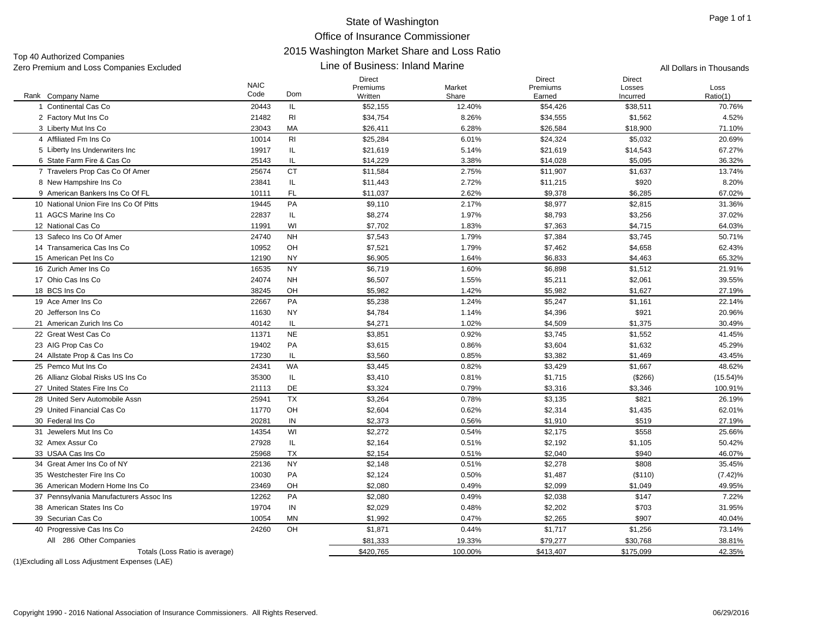Top 40 Authorized Companies Zero Premium and Loss Companies Excluded **All Dollars in Thousands All Dollars in Thousands All Dollars in Thousands** 

#### Line of Business: Inland Marine

| Rank Company Name                       | <b>NAIC</b><br>Code | Dom            | Direct<br>Premiums<br>Written | Market<br>Share | Direct<br>Premiums<br>Earned | Direct<br>Losses<br>Incurred | Loss<br>Ratio(1) |
|-----------------------------------------|---------------------|----------------|-------------------------------|-----------------|------------------------------|------------------------------|------------------|
| 1 Continental Cas Co                    | 20443               | IL             | \$52,155                      | 12.40%          | \$54,426                     | \$38,511                     | 70.76%           |
| 2 Factory Mut Ins Co                    | 21482               | R <sub>l</sub> | \$34,754                      | 8.26%           | \$34,555                     | \$1,562                      | 4.52%            |
| 3 Liberty Mut Ins Co                    | 23043               | MA             | \$26,411                      | 6.28%           | \$26,584                     | \$18,900                     | 71.10%           |
| 4 Affiliated Fm Ins Co                  | 10014               | R <sub>l</sub> | \$25,284                      | 6.01%           | \$24,324                     | \$5,032                      | 20.69%           |
| 5 Liberty Ins Underwriters Inc          | 19917               | IL.            | \$21,619                      | 5.14%           | \$21,619                     | \$14,543                     | 67.27%           |
| 6 State Farm Fire & Cas Co              | 25143               | IL             | \$14,229                      | 3.38%           | \$14,028                     | \$5,095                      | 36.32%           |
| 7 Travelers Prop Cas Co Of Amer         | 25674               | <b>CT</b>      | \$11,584                      | 2.75%           | \$11,907                     | \$1,637                      | 13.74%           |
| 8 New Hampshire Ins Co                  | 23841               | IL.            | \$11,443                      | 2.72%           | \$11,215                     | \$920                        | 8.20%            |
| 9 American Bankers Ins Co Of FL         | 10111               | FL.            | \$11,037                      | 2.62%           | \$9,378                      | \$6,285                      | 67.02%           |
| 10 National Union Fire Ins Co Of Pitts  | 19445               | PA             | \$9,110                       | 2.17%           | \$8,977                      | \$2,815                      | 31.36%           |
| 11 AGCS Marine Ins Co                   | 22837               | IL.            | \$8,274                       | 1.97%           | \$8,793                      | \$3,256                      | 37.02%           |
| 12 National Cas Co                      | 11991               | WI             | \$7,702                       | 1.83%           | \$7,363                      | \$4,715                      | 64.03%           |
| 13 Safeco Ins Co Of Amer                | 24740               | <b>NH</b>      | \$7,543                       | 1.79%           | \$7,384                      | \$3,745                      | 50.71%           |
| 14 Transamerica Cas Ins Co              | 10952               | OH             | \$7,521                       | 1.79%           | \$7,462                      | \$4,658                      | 62.43%           |
| 15 American Pet Ins Co                  | 12190               | <b>NY</b>      | \$6,905                       | 1.64%           | \$6,833                      | \$4,463                      | 65.32%           |
| 16 Zurich Amer Ins Co                   | 16535               | <b>NY</b>      | \$6,719                       | 1.60%           | \$6,898                      | \$1,512                      | 21.91%           |
| 17 Ohio Cas Ins Co                      | 24074               | <b>NH</b>      | \$6,507                       | 1.55%           | \$5,211                      | \$2,061                      | 39.55%           |
| 18 BCS Ins Co                           | 38245               | OH             | \$5,982                       | 1.42%           | \$5,982                      | \$1,627                      | 27.19%           |
| 19 Ace Amer Ins Co                      | 22667               | PA             | \$5,238                       | 1.24%           | \$5,247                      | \$1,161                      | 22.14%           |
| 20 Jefferson Ins Co                     | 11630               | <b>NY</b>      | \$4,784                       | 1.14%           | \$4,396                      | \$921                        | 20.96%           |
| 21 American Zurich Ins Co               | 40142               | IL.            | \$4,271                       | 1.02%           | \$4,509                      | \$1,375                      | 30.49%           |
| 22 Great West Cas Co                    | 11371               | <b>NE</b>      | \$3,851                       | 0.92%           | \$3,745                      | \$1,552                      | 41.45%           |
| 23 AIG Prop Cas Co                      | 19402               | PA             | \$3,615                       | 0.86%           | \$3,604                      | \$1,632                      | 45.29%           |
| 24 Allstate Prop & Cas Ins Co           | 17230               | IL.            | \$3,560                       | 0.85%           | \$3,382                      | \$1,469                      | 43.45%           |
| 25 Pemco Mut Ins Co.                    | 24341               | WA             | \$3,445                       | 0.82%           | \$3,429                      | \$1,667                      | 48.62%           |
| 26 Allianz Global Risks US Ins Co       | 35300               | IL             | \$3,410                       | 0.81%           | \$1,715                      | (\$266)                      | $(15.54)\%$      |
| 27 United States Fire Ins Co            | 21113               | DE             | \$3,324                       | 0.79%           | \$3,316                      | \$3,346                      | 100.91%          |
| 28 United Serv Automobile Assn          | 25941               | TX             | \$3,264                       | 0.78%           | \$3,135                      | \$821                        | 26.19%           |
| 29 United Financial Cas Co              | 11770               | OH             | \$2,604                       | 0.62%           | \$2,314                      | \$1,435                      | 62.01%           |
| 30 Federal Ins Co                       | 20281               | IN             | \$2,373                       | 0.56%           | \$1,910                      | \$519                        | 27.19%           |
| 31 Jewelers Mut Ins Co                  | 14354               | WI             | \$2,272                       | 0.54%           | \$2,175                      | \$558                        | 25.66%           |
| 32 Amex Assur Co                        | 27928               | IL.            | \$2,164                       | 0.51%           | \$2,192                      | \$1,105                      | 50.42%           |
| 33 USAA Cas Ins Co                      | 25968               | <b>TX</b>      | \$2,154                       | 0.51%           | \$2,040                      | \$940                        | 46.07%           |
| 34 Great Amer Ins Co of NY              | 22136               | <b>NY</b>      | \$2,148                       | 0.51%           | \$2,278                      | \$808                        | 35.45%           |
| 35 Westchester Fire Ins Co              | 10030               | PA             | \$2,124                       | 0.50%           | \$1,487                      | (\$110)                      | $(7.42)\%$       |
| 36 American Modern Home Ins Co          | 23469               | OH             | \$2,080                       | 0.49%           | \$2,099                      | \$1,049                      | 49.95%           |
| 37 Pennsylvania Manufacturers Assoc Ins | 12262               | PA             | \$2,080                       | 0.49%           | \$2,038                      | \$147                        | 7.22%            |
| 38 American States Ins Co               | 19704               | IN             | \$2,029                       | 0.48%           | \$2,202                      | \$703                        | 31.95%           |
| 39 Securian Cas Co                      | 10054               | <b>MN</b>      | \$1,992                       | 0.47%           | \$2,265                      | \$907                        | 40.04%           |
| 40 Progressive Cas Ins Co               | 24260               | OH             | \$1,871                       | 0.44%           | \$1,717                      | \$1,256                      | 73.14%           |
| All 286 Other Companies                 |                     |                | \$81,333                      | 19.33%          | \$79,277                     | \$30,768                     | 38.81%           |
| Totals (Loss Ratio is average)          |                     |                | \$420,765                     | 100.00%         | \$413,407                    | \$175,099                    | 42.35%           |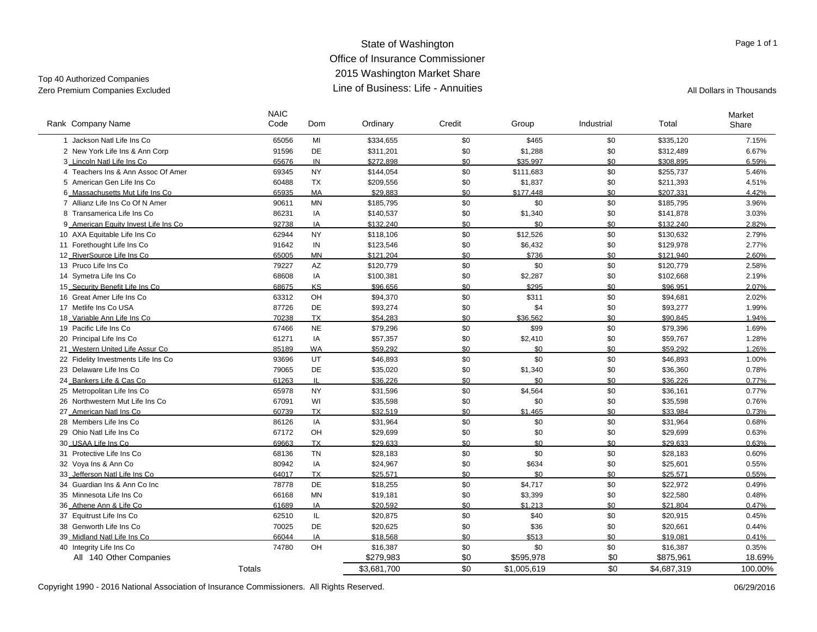#### State of Washington Office of Insurance Commissioner 2015 Washington Market Share Line of Business: Life - AnnuitiesZero Premium Companies Excluded **All Dollars in Thousands** Line of Business: Life - Annuities All Dollars in Thousands

Top 40 Authorized Companies

 $\overline{\phantom{a}}$ 

| Rank Company Name                    | <b>NAIC</b><br>Code | Dom          | Ordinary    | Credit | Group       | Industrial | Total       | Market<br>Share |
|--------------------------------------|---------------------|--------------|-------------|--------|-------------|------------|-------------|-----------------|
| 1 Jackson Natl Life Ins Co           | 65056               | MI           | \$334,655   | \$0    | \$465       | \$0        | \$335,120   | 7.15%           |
| 2 New York Life Ins & Ann Corp       | 91596               | DE           | \$311,201   | \$0    | \$1,288     | \$0        | \$312,489   | 6.67%           |
| 3 Lincoln Natl Life Ins Co           | 65676               | IN           | \$272.898   | \$0    | \$35.997    | \$0        | \$308.895   | 6.59%           |
| 4 Teachers Ins & Ann Assoc Of Amer   | 69345               | <b>NY</b>    | \$144,054   | \$0    | \$111,683   | \$0        | \$255,737   | 5.46%           |
| 5 American Gen Life Ins Co           | 60488               | <b>TX</b>    | \$209,556   | \$0    | \$1,837     | \$0        | \$211,393   | 4.51%           |
| 6_Massachusetts Mut Life Ins Co      | 65935               | MA           | \$29.883    | \$0    | \$177.448   | \$0        | \$207.331   | 4.42%           |
| 7 Allianz Life Ins Co Of N Amer      | 90611               | MN           | \$185,795   | \$0    | \$0         | \$0        | \$185,795   | 3.96%           |
| 8 Transamerica Life Ins Co           | 86231               | IA           | \$140,537   | \$0    | \$1,340     | \$0        | \$141,878   | 3.03%           |
| 9_American Equity Invest Life Ins Co | 92738               | IA           | \$132.240   | \$0    | \$0         | \$0        | \$132.240   | 2.82%           |
| 10 AXA Equitable Life Ins Co         | 62944               | <b>NY</b>    | \$118,106   | \$0    | \$12,526    | \$0        | \$130,632   | 2.79%           |
| 11 Forethought Life Ins Co           | 91642               | IN           | \$123,546   | \$0    | \$6,432     | \$0        | \$129,978   | 2.77%           |
| 12_RiverSource Life Ins Co           | 65005               | <b>MN</b>    | \$121.204   | \$0    | \$736       | \$0        | \$121.940   | 2.60%           |
| 13 Pruco Life Ins Co                 | 79227               | AZ           | \$120,779   | \$0    | \$0         | \$0        | \$120,779   | 2.58%           |
| 14 Symetra Life Ins Co               | 68608               | IA           | \$100,381   | \$0    | \$2,287     | \$0        | \$102,668   | 2.19%           |
| 15_Security Benefit Life Ins Co      | 68675               | KS           | \$96,656    | \$0    | \$295       | \$0        | \$96.951    | 2.07%           |
| 16 Great Amer Life Ins Co            | 63312               | OH           | \$94,370    | \$0    | \$311       | \$0        | \$94,681    | 2.02%           |
| 17 Metlife Ins Co USA                | 87726               | DE           | \$93,274    | \$0    | \$4         | \$0        | \$93,277    | 1.99%           |
| 18 Variable Ann Life Ins Co          | 70238               | <b>TX</b>    | \$54.283    | \$0    | \$36.562    | \$0        | \$90.845    | 1.94%           |
| 19 Pacific Life Ins Co               | 67466               | <b>NE</b>    | \$79,296    | \$0    | \$99        | \$0        | \$79,396    | 1.69%           |
| 20 Principal Life Ins Co             | 61271               | IA           | \$57,357    | \$0    | \$2,410     | \$0        | \$59,767    | 1.28%           |
| 21 Western United Life Assur Co      | 85189               | <b>WA</b>    | \$59.292    | \$0    | \$0         | \$0        | \$59.292    | 1.26%           |
| 22 Fidelity Investments Life Ins Co  | 93696               | UT           | \$46,893    | \$0    | \$0         | \$0        | \$46,893    | 1.00%           |
| 23 Delaware Life Ins Co              | 79065               | DE           | \$35,020    | \$0    | \$1,340     | \$0        | \$36,360    | 0.78%           |
| 24 Bankers Life & Cas Co             | 61263               | $\mathbf{H}$ | \$36.226    | \$0    | \$0         | \$0        | \$36.226    | 0.77%           |
| 25 Metropolitan Life Ins Co          | 65978               | <b>NY</b>    | \$31,596    | \$0    | \$4,564     | \$0        | \$36,161    | 0.77%           |
| 26 Northwestern Mut Life Ins Co      | 67091               | WI           | \$35,598    | \$0    | \$0         | \$0        | \$35,598    | 0.76%           |
| 27_American Natl Ins Co              | 60739               | <b>TX</b>    | \$32.519    | \$0    | \$1.465     | \$0        | \$33.984    | 0.73%           |
| 28 Members Life Ins Co.              | 86126               | IA           | \$31,964    | \$0    | \$0         | \$0        | \$31,964    | 0.68%           |
| 29 Ohio Natl Life Ins Co             | 67172               | OH           | \$29,699    | \$0    | \$0         | \$0        | \$29,699    | 0.63%           |
| 30 USAA Life Ins Co                  | 69663               | <b>TX</b>    | \$29.633    | \$0    | \$0         | \$0        | \$29.633    | 0.63%           |
| 31 Protective Life Ins Co            | 68136               | <b>TN</b>    | \$28,183    | \$0    | \$0         | \$0        | \$28,183    | 0.60%           |
| 32 Voya Ins & Ann Co                 | 80942               | IA           | \$24,967    | \$0    | \$634       | \$0        | \$25,601    | 0.55%           |
| 33 Jefferson Natl Life Ins Co        | 64017               | <b>TX</b>    | \$25.571    | \$0    | \$0         | \$0        | \$25.571    | 0.55%           |
| 34 Guardian Ins & Ann Co Inc.        | 78778               | DE           | \$18,255    | \$0    | \$4,717     | \$0        | \$22,972    | 0.49%           |
| 35 Minnesota Life Ins Co             | 66168               | MN           | \$19,181    | \$0    | \$3,399     | \$0        | \$22,580    | 0.48%           |
| 36 Athene Ann & Life Co              | 61689               | IA           | \$20.592    | \$0    | \$1.213     | \$0        | \$21.804    | 0.47%           |
| 37 Equitrust Life Ins Co             | 62510               | IL           | \$20,875    | \$0    | \$40        | \$0        | \$20,915    | 0.45%           |
| 38 Genworth Life Ins Co              | 70025               | DE           | \$20,625    | \$0    | \$36        | \$0        | \$20,661    | 0.44%           |
| 39 Midland Natl Life Ins Co          | 66044               | IA           | \$18.568    | \$0    | \$513       | \$0        | \$19,081    | 0.41%           |
| 40 Integrity Life Ins Co             | 74780               | OH           | \$16,387    | \$0    | \$0         | \$0        | \$16,387    | 0.35%           |
| All 140 Other Companies              |                     |              | \$279,983   | \$0    | \$595,978   | \$0        | \$875,961   | 18.69%          |
|                                      | <b>Totals</b>       |              | \$3,681,700 | \$0    | \$1,005,619 | \$0        | \$4,687,319 | 100.00%         |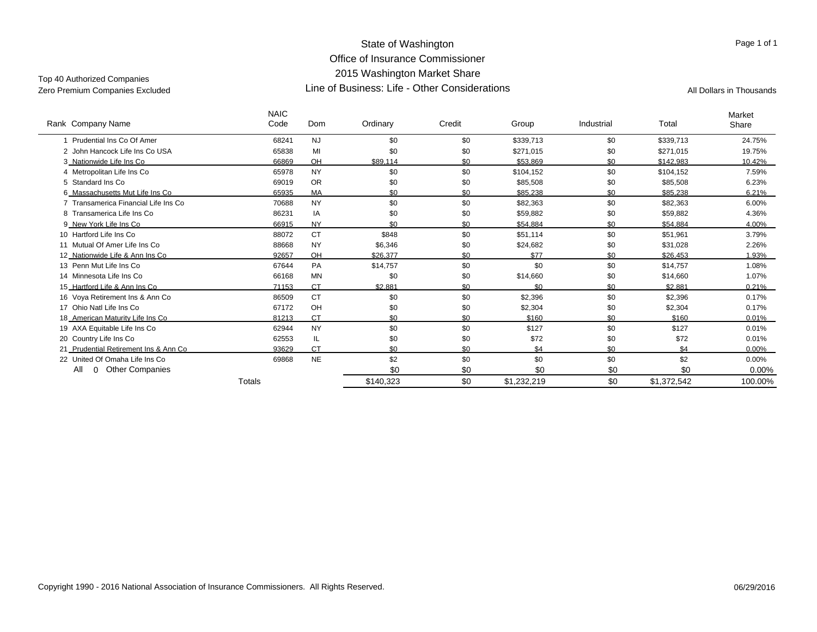#### State of Washington Office of Insurance Commissioner 2015 Washington Market Share Line of Business: Life - Other ConsiderationsZero Premium Companies Excluded Companies All Dollars in Thousands (All Dollars in Thousands All Dollars in Thousands

Top 40 Authorized Companies

| Rank Company Name                     | <b>NAIC</b><br>Code | Dom       | Ordinary  | Credit | Group       | Industrial | Total       | Market<br>Share |
|---------------------------------------|---------------------|-----------|-----------|--------|-------------|------------|-------------|-----------------|
| 1 Prudential Ins Co Of Amer           | 68241               | <b>NJ</b> | \$0       | \$0    | \$339,713   | \$0        | \$339,713   | 24.75%          |
| 2 John Hancock Life Ins Co USA        | 65838               | MI        | \$0       | \$0    | \$271,015   | \$0        | \$271,015   | 19.75%          |
| 3 Nationwide Life Ins Co              | 66869               | OH        | \$89,114  | \$0    | \$53.869    | \$0        | \$142,983   | 10.42%          |
| 4 Metropolitan Life Ins Co            | 65978               | <b>NY</b> | \$0       | \$0    | \$104,152   | \$0        | \$104,152   | 7.59%           |
| 5 Standard Ins Co                     | 69019               | <b>OR</b> | \$0       | \$0    | \$85,508    | \$0        | \$85,508    | 6.23%           |
| 6_Massachusetts Mut Life Ins Co       | 65935               | <b>MA</b> | \$0       | \$0    | \$85.238    | \$0        | \$85.238    | 6.21%           |
| 7 Transamerica Financial Life Ins Co  | 70688               | <b>NY</b> | \$0       | \$0    | \$82,363    | \$0        | \$82,363    | 6.00%           |
| 8 Transamerica Life Ins Co            | 86231               | IA        | \$0       | \$0    | \$59,882    | \$0        | \$59,882    | 4.36%           |
| 9 New York Life Ins Co                | 66915               | <b>NY</b> | \$0       | \$0    | \$54.884    | \$0        | \$54.884    | 4.00%           |
| 10 Hartford Life Ins Co               | 88072               | <b>CT</b> | \$848     | \$0    | \$51,114    | \$0        | \$51,961    | 3.79%           |
| 11 Mutual Of Amer Life Ins Co         | 88668               | <b>NY</b> | \$6,346   | \$0    | \$24,682    | \$0        | \$31,028    | 2.26%           |
| 12_Nationwide Life & Ann Ins Co       | 92657               | OH        | \$26.377  | \$0    | \$77        | \$0        | \$26.453    | 1.93%           |
| 13 Penn Mut Life Ins Co               | 67644               | <b>PA</b> | \$14,757  | \$0    | \$0         | \$0        | \$14,757    | 1.08%           |
| 14 Minnesota Life Ins Co              | 66168               | <b>MN</b> | \$0       | \$0    | \$14,660    | \$0        | \$14,660    | 1.07%           |
| 15_Hartford Life & Ann Ins Co         | 71153               | <b>CT</b> | \$2.881   | \$0    | \$0         | \$0        | \$2.881     | 0.21%           |
| 16 Voya Retirement Ins & Ann Co       | 86509               | <b>CT</b> | \$0       | \$0    | \$2,396     | \$0        | \$2,396     | 0.17%           |
| 17 Ohio Natl Life Ins Co              | 67172               | OH        | \$0       | \$0    | \$2,304     | \$0        | \$2,304     | 0.17%           |
| 18 American Maturity Life Ins Co      | 81213               | <b>CT</b> | \$0       | \$0    | \$160       | \$0        | \$160       | 0.01%           |
| 19 AXA Equitable Life Ins Co          | 62944               | <b>NY</b> | \$0       | \$0    | \$127       | \$0        | \$127       | 0.01%           |
| 20 Country Life Ins Co                | 62553               | IL        | \$0       | \$0    | \$72        | \$0        | \$72        | 0.01%           |
| 21 Prudential Retirement Ins & Ann Co | 93629               | <b>CT</b> | \$0       | \$0    | \$4         | \$0        | \$4         | 0.00%           |
| 22 United Of Omaha Life Ins Co        | 69868               | <b>NE</b> | \$2       | \$0    | \$0         | \$0        | \$2         | $0.00\%$        |
| <b>Other Companies</b><br>All<br>0    |                     |           | \$0       | \$0    | \$0         | \$0        | \$0         | 0.00%           |
|                                       | Totals              |           | \$140,323 | \$0    | \$1,232,219 | \$0        | \$1,372,542 | 100.00%         |
|                                       |                     |           |           |        |             |            |             |                 |

Page 1 of 1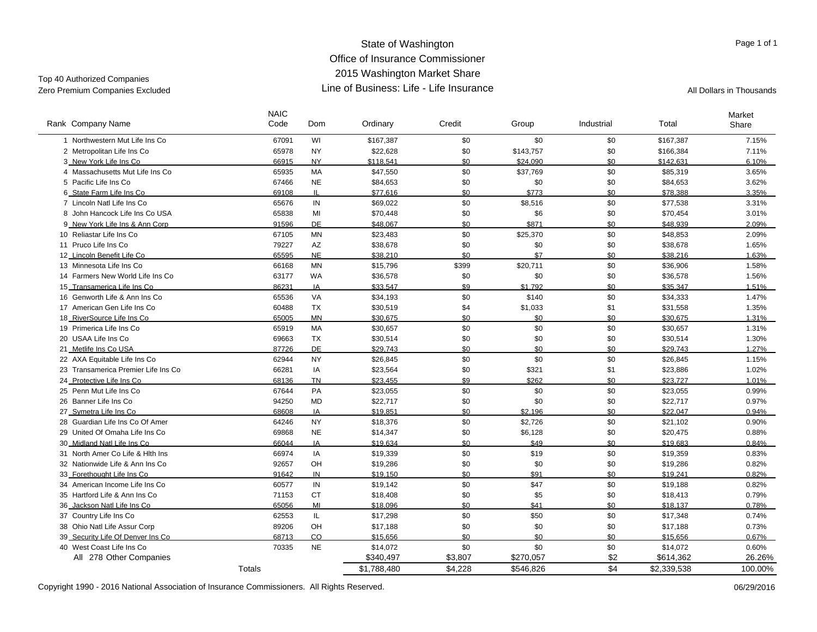#### State of Washington Office of Insurance Commissioner 2015 Washington Market Share Line of Business: Life - Life InsuranceZero Premium Companies Excluded **All Dollars in Thousands** Line of Business: Life - Life Insurance

Top 40 Authorized Companies

 $\overline{\phantom{0}}$ 

| Rank Company Name                   | <b>NAIC</b><br>Code | Dom          | Ordinary    | Credit  | Group     | Industrial | Total       | Market<br>Share |
|-------------------------------------|---------------------|--------------|-------------|---------|-----------|------------|-------------|-----------------|
| 1 Northwestern Mut Life Ins Co      | 67091               | WI           | \$167,387   | \$0     | \$0       | \$0        | \$167,387   | 7.15%           |
| 2 Metropolitan Life Ins Co          | 65978               | <b>NY</b>    | \$22,628    | \$0     | \$143,757 | \$0        | \$166,384   | 7.11%           |
| 3 New York Life Ins Co.             | 66915               | <b>NY</b>    | \$118.541   | \$0     | \$24.090  | \$0        | \$142,631   | 6.10%           |
| 4 Massachusetts Mut Life Ins Co.    | 65935               | <b>MA</b>    | \$47,550    | \$0     | \$37,769  | \$0        | \$85,319    | 3.65%           |
| 5 Pacific Life Ins Co               | 67466               | <b>NE</b>    | \$84,653    | \$0     | \$0       | \$0        | \$84,653    | 3.62%           |
| 6_State Farm Life Ins Co            | 69108               | $\mathbf{H}$ | \$77.616    | \$0     | \$773     | \$0        | \$78,388    | 3.35%           |
| 7 Lincoln Natl Life Ins Co          | 65676               | IN           | \$69,022    | \$0     | \$8,516   | \$0        | \$77,538    | 3.31%           |
| 8 John Hancock Life Ins Co USA      | 65838               | MI           | \$70,448    | \$0     | \$6       | \$0        | \$70,454    | 3.01%           |
| 9 New York Life Ins & Ann Corp      | 91596               | <b>DE</b>    | \$48,067    | \$0     | \$871     | \$0        | \$48.939    | 2.09%           |
| 10 Reliastar Life Ins Co            | 67105               | <b>MN</b>    | \$23,483    | \$0     | \$25,370  | \$0        | \$48,853    | 2.09%           |
| 11 Pruco Life Ins Co                | 79227               | AZ           | \$38,678    | \$0     | \$0       | \$0        | \$38,678    | 1.65%           |
| 12 Lincoln Benefit Life Co          | 65595               | <b>NE</b>    | \$38,210    | \$0     | \$7       | \$0        | \$38,216    | 1.63%           |
| 13 Minnesota Life Ins Co            | 66168               | <b>MN</b>    | \$15,796    | \$399   | \$20,711  | \$0        | \$36,906    | 1.58%           |
| 14 Farmers New World Life Ins Co    | 63177               | <b>WA</b>    | \$36,578    | \$0     | \$0       | \$0        | \$36,578    | 1.56%           |
| 15_Transamerica Life Ins Co         | 86231               | IA           | \$33.547    | \$9     | \$1.792   | \$0        | \$35.347    | 1.51%           |
| 16 Genworth Life & Ann Ins Co       | 65536               | VA           | \$34.193    | \$0     | \$140     | \$0        | \$34.333    | 1.47%           |
| 17 American Gen Life Ins Co         | 60488               | <b>TX</b>    | \$30,519    | \$4     | \$1,033   | \$1        | \$31,558    | 1.35%           |
| 18 RiverSource Life Ins Co          | 65005               | <b>MN</b>    | \$30.675    | \$0     | \$0       | \$0        | \$30.675    | 1.31%           |
| 19 Primerica Life Ins Co            | 65919               | MA           | \$30,657    | \$0     | \$0       | \$0        | \$30,657    | 1.31%           |
| 20 USAA Life Ins Co                 | 69663               | <b>TX</b>    | \$30,514    | \$0     | \$0       | \$0        | \$30,514    | 1.30%           |
| 21 Metlife Ins Co USA               | 87726               | <b>DE</b>    | \$29.743    | \$0     | \$0       | \$0        | \$29.743    | 1.27%           |
| 22 AXA Equitable Life Ins Co        | 62944               | <b>NY</b>    | \$26,845    | \$0     | \$0       | \$0        | \$26,845    | 1.15%           |
| 23 Transamerica Premier Life Ins Co | 66281               | IA           | \$23,564    | \$0     | \$321     | \$1        | \$23,886    | 1.02%           |
| 24 Protective Life Ins Co           | 68136               | <b>TN</b>    | \$23.455    | \$9     | \$262     | \$0        | \$23.727    | 1.01%           |
| 25 Penn Mut Life Ins Co             | 67644               | PA           | \$23,055    | \$0     | \$0       | \$0        | \$23,055    | 0.99%           |
| 26 Banner Life Ins Co               | 94250               | <b>MD</b>    | \$22,717    | \$0     | \$0       | \$0        | \$22,717    | 0.97%           |
| 27 Symetra Life Ins Co              | 68608               | IA           | \$19.851    | \$0     | \$2.196   | \$0        | \$22.047    | 0.94%           |
| 28 Guardian Life Ins Co Of Amer     | 64246               | <b>NY</b>    | \$18,376    | \$0     | \$2,726   | \$0        | \$21,102    | 0.90%           |
| 29 United Of Omaha Life Ins Co      | 69868               | <b>NE</b>    | \$14,347    | \$0     | \$6,128   | \$0        | \$20,475    | 0.88%           |
| 30 Midland Natl Life Ins Co         | 66044               | IA           | \$19.634    | \$0     | \$49      | \$0        | \$19.683    | 0.84%           |
| 31 North Amer Co Life & Hith Ins    | 66974               | IA           | \$19,339    | \$0     | \$19      | \$0        | \$19,359    | 0.83%           |
| 32 Nationwide Life & Ann Ins Co     | 92657               | OH           | \$19,286    | \$0     | \$0       | \$0        | \$19,286    | 0.82%           |
| 33 Forethought Life Ins Co          | 91642               | IN           | \$19.150    | \$0     | \$91      | \$0        | \$19.241    | 0.82%           |
| 34 American Income Life Ins Co      | 60577               | IN           | \$19,142    | \$0     | \$47      | \$0        | \$19,188    | 0.82%           |
| 35 Hartford Life & Ann Ins Co       | 71153               | <b>CT</b>    | \$18,408    | \$0     | \$5       | \$0        | \$18,413    | 0.79%           |
| 36 Jackson Natl Life Ins Co         | 65056               | MI           | \$18,096    | \$0     | \$41      | \$0        | \$18,137    | 0.78%           |
| 37 Country Life Ins Co              | 62553               | IL           | \$17,298    | \$0     | \$50      | \$0        | \$17,348    | 0.74%           |
| 38 Ohio Natl Life Assur Corp        | 89206               | OH           | \$17,188    | \$0     | \$0       | \$0        | \$17,188    | 0.73%           |
| 39 Security Life Of Denver Ins Co   | 68713               | CO           | \$15,656    | \$0     | \$0       | \$0        | \$15,656    | 0.67%           |
| 40 West Coast Life Ins Co           | 70335               | <b>NE</b>    | \$14,072    | \$0     | \$0       | \$0        | \$14,072    | 0.60%           |
| All 278 Other Companies             |                     |              | \$340,497   | \$3,807 | \$270,057 | \$2        | \$614,362   | 26.26%          |
|                                     | Totals              |              | \$1,788,480 | \$4.228 | \$546,826 | \$4        | \$2,339,538 | 100.00%         |

Copyright 1990 - 2016 National Association of Insurance Commissioners. All Rights Reserved. 06/29/2016 06/29/2016

Page 1 of 1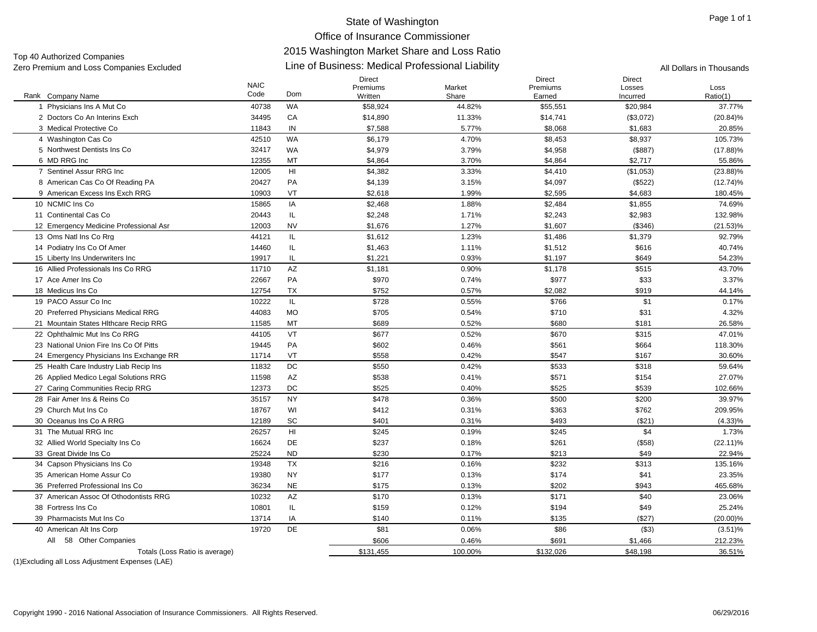#### Line of Business: Medical Professional Liability Zero Premium and Loss Companies Excluded All Dollars in Thousands Top 40 Authorized Companies<br>Zero Premium and Loss Companies Excluded

|                                                  | <b>NAIC</b><br>Code | Dom       | <b>Direct</b><br>Premiums | Market  | <b>Direct</b><br>Premiums | <b>Direct</b><br>Losses | Loss        |
|--------------------------------------------------|---------------------|-----------|---------------------------|---------|---------------------------|-------------------------|-------------|
| Rank Company Name                                |                     |           | Written                   | Share   | Earned                    | Incurred                | Ratio(1)    |
| 1 Physicians Ins A Mut Co.                       | 40738               | WA        | \$58,924                  | 44.82%  | \$55,551                  | \$20,984                | 37.77%      |
| 2 Doctors Co An Interins Exch                    | 34495               | CA        | \$14,890                  | 11.33%  | \$14,741                  | (\$3,072)               | $(20.84)\%$ |
| 3 Medical Protective Co                          | 11843               | IN        | \$7,588                   | 5.77%   | \$8,068                   | \$1,683                 | 20.85%      |
| 4 Washington Cas Co                              | 42510               | <b>WA</b> | \$6,179                   | 4.70%   | \$8,453                   | \$8,937                 | 105.73%     |
| 5 Northwest Dentists Ins Co                      | 32417               | <b>WA</b> | \$4,979                   | 3.79%   | \$4,958                   | (\$887)                 | $(17.88)\%$ |
| 6 MD RRG Inc                                     | 12355               | МT        | \$4,864                   | 3.70%   | \$4,864                   | \$2,717                 | 55.86%      |
| 7 Sentinel Assur RRG Inc                         | 12005               | HI        | \$4,382                   | 3.33%   | \$4,410                   | (\$1,053)               | $(23.88)\%$ |
| 8 American Cas Co Of Reading PA                  | 20427               | PA        | \$4,139                   | 3.15%   | \$4,097                   | (\$522)                 | $(12.74)\%$ |
| 9 American Excess Ins Exch RRG                   | 10903               | VT        | \$2,618                   | 1.99%   | \$2,595                   | \$4,683                 | 180.45%     |
| 10 NCMIC Ins Co                                  | 15865               | IA        | \$2,468                   | 1.88%   | \$2,484                   | \$1,855                 | 74.69%      |
| 11 Continental Cas Co                            | 20443               | IL        | \$2,248                   | 1.71%   | \$2,243                   | \$2,983                 | 132.98%     |
| 12 Emergency Medicine Professional Asr           | 12003               | <b>NV</b> | \$1,676                   | 1.27%   | \$1,607                   | (\$346)                 | $(21.53)\%$ |
| 13 Oms Natl Ins Co Rrg                           | 44121               | IL        | \$1,612                   | 1.23%   | \$1,486                   | \$1,379                 | 92.79%      |
| 14 Podiatry Ins Co Of Amer                       | 14460               | IL        | \$1,463                   | 1.11%   | \$1,512                   | \$616                   | 40.74%      |
| 15 Liberty Ins Underwriters Inc                  | 19917               | IL        | \$1,221                   | 0.93%   | \$1,197                   | \$649                   | 54.23%      |
| 16 Allied Professionals Ins Co RRG               | 11710               | AZ        | \$1,181                   | 0.90%   | \$1,178                   | \$515                   | 43.70%      |
| 17 Ace Amer Ins Co                               | 22667               | PA        | \$970                     | 0.74%   | \$977                     | \$33                    | 3.37%       |
| 18 Medicus Ins Co                                | 12754               | <b>TX</b> | \$752                     | 0.57%   | \$2.082                   | \$919                   | 44.14%      |
| 19 PACO Assur Co Inc                             | 10222               | IL        | \$728                     | 0.55%   | \$766                     | \$1                     | 0.17%       |
| 20 Preferred Physicians Medical RRG              | 44083               | <b>MO</b> | \$705                     | 0.54%   | \$710                     | \$31                    | 4.32%       |
| 21 Mountain States Hithcare Recip RRG            | 11585               | MT        | \$689                     | 0.52%   | \$680                     | \$181                   | 26.58%      |
| 22 Ophthalmic Mut Ins Co RRG                     | 44105               | VT        | \$677                     | 0.52%   | \$670                     | \$315                   | 47.01%      |
| 23 National Union Fire Ins Co Of Pitts           | 19445               | PA        | \$602                     | 0.46%   | \$561                     | \$664                   | 118.30%     |
| 24 Emergency Physicians Ins Exchange RR          | 11714               | VT        | \$558                     | 0.42%   | \$547                     | \$167                   | 30.60%      |
| 25 Health Care Industry Liab Recip Ins           | 11832               | DC        | \$550                     | 0.42%   | \$533                     | \$318                   | 59.64%      |
| 26 Applied Medico Legal Solutions RRG            | 11598               | AZ        | \$538                     | 0.41%   | \$571                     | \$154                   | 27.07%      |
| 27 Caring Communities Recip RRG                  | 12373               | DC        | \$525                     | 0.40%   | \$525                     | \$539                   | 102.66%     |
| 28 Fair Amer Ins & Reins Co                      | 35157               | <b>NY</b> | \$478                     | 0.36%   | \$500                     | \$200                   | 39.97%      |
| 29 Church Mut Ins Co                             | 18767               | WI        | \$412                     | 0.31%   | \$363                     | \$762                   | 209.95%     |
| 30 Oceanus Ins Co A RRG                          | 12189               | SC        | \$401                     | 0.31%   | \$493                     | (\$21)                  | $(4.33)\%$  |
| 31 The Mutual RRG Inc                            | 26257               | HI        | \$245                     | 0.19%   | \$245                     | \$4                     | 1.73%       |
| 32 Allied World Specialty Ins Co.                | 16624               | <b>DE</b> | \$237                     | 0.18%   | \$261                     | ( \$58)                 | $(22.11)\%$ |
| 33 Great Divide Ins Co                           | 25224               | <b>ND</b> | \$230                     | 0.17%   | \$213                     | \$49                    | 22.94%      |
| 34 Capson Physicians Ins Co                      | 19348               | <b>TX</b> | \$216                     | 0.16%   | \$232                     | \$313                   | 135.16%     |
| 35 American Home Assur Co                        | 19380               | <b>NY</b> | \$177                     | 0.13%   | \$174                     | \$41                    | 23.35%      |
| 36 Preferred Professional Ins Co                 | 36234               | <b>NE</b> | \$175                     | 0.13%   | \$202                     | \$943                   | 465.68%     |
| 37 American Assoc Of Othodontists RRG            | 10232               | AZ        | \$170                     | 0.13%   | \$171                     | \$40                    | 23.06%      |
| 38 Fortress Ins Co                               | 10801               | IL        | \$159                     | 0.12%   | \$194                     | \$49                    | 25.24%      |
| 39 Pharmacists Mut Ins Co                        | 13714               | IA        | \$140                     | 0.11%   | \$135                     | (\$27)                  | $(20.00)\%$ |
| 40 American Alt Ins Corp                         | 19720               | <b>DE</b> | \$81                      | 0.06%   | \$86                      | ( \$3)                  | $(3.51)\%$  |
| All<br>58 Other Companies                        |                     |           | \$606                     | 0.46%   | \$691                     | \$1,466                 | 212.23%     |
| Totals (Loss Ratio is average)                   |                     |           | \$131.455                 | 100.00% | \$132.026                 | \$48.198                | 36.51%      |
| (1) Excluding all Loss Adjustment Expenses (LAE) |                     |           |                           |         |                           |                         |             |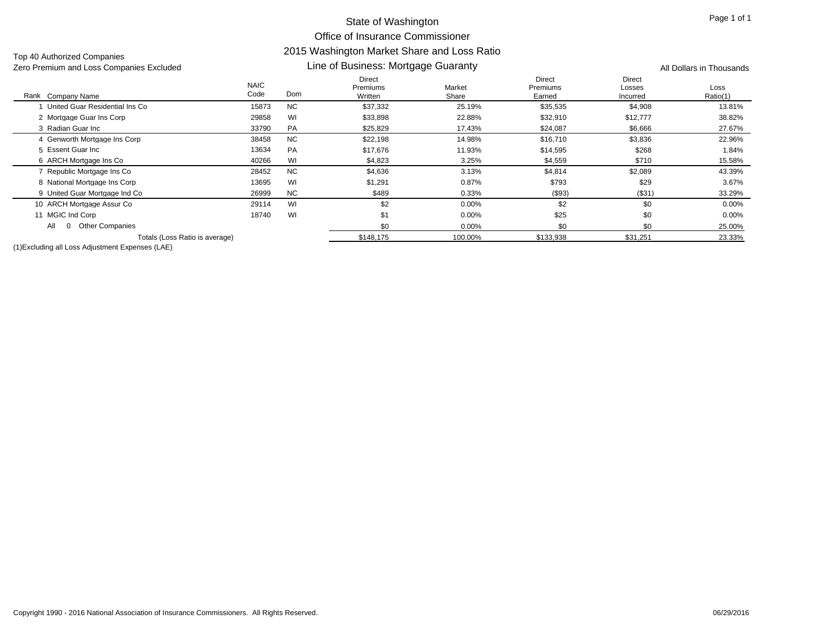Top 40 Authorized Companies<br>Zero Premium and Loss Companies Excluded

#### NAICDirectPremiumsMarketLine of Business: Mortgage Guaranty Zero Premium and Loss Companies Excluded All Dollars in Thousands

| Rank Company Name                  | <b>NAIC</b><br>Code | Dom       | Direct<br><b>Premiums</b><br>Written | Market<br>Share | Direct<br>Premiums<br>Earned | Direct<br>Losses<br>Incurred | Loss<br>Ratio(1) |
|------------------------------------|---------------------|-----------|--------------------------------------|-----------------|------------------------------|------------------------------|------------------|
| United Guar Residential Ins Co     | 15873               | <b>NC</b> | \$37,332                             | 25.19%          | \$35,535                     | \$4,908                      | 13.81%           |
| 2 Mortgage Guar Ins Corp           | 29858               | WI        | \$33,898                             | 22.88%          | \$32,910                     | \$12,777                     | 38.82%           |
| 3 Radian Guar Inc                  | 33790               | <b>PA</b> | \$25,829                             | 17.43%          | \$24,087                     | \$6,666                      | 27.67%           |
| 4 Genworth Mortgage Ins Corp       | 38458               | <b>NC</b> | \$22,198                             | 14.98%          | \$16,710                     | \$3,836                      | 22.96%           |
| 5 Essent Guar Inc                  | 13634               | <b>PA</b> | \$17,676                             | 11.93%          | \$14,595                     | \$268                        | 1.84%            |
| 6 ARCH Mortgage Ins Co             | 40266               | WI        | \$4,823                              | 3.25%           | \$4,559                      | \$710                        | 15.58%           |
| Republic Mortgage Ins Co           | 28452               | <b>NC</b> | \$4,636                              | 3.13%           | \$4,814                      | \$2,089                      | 43.39%           |
| 8 National Mortgage Ins Corp       | 13695               | WI        | \$1,291                              | 0.87%           | \$793                        | \$29                         | 3.67%            |
| 9 United Guar Mortgage Ind Co      | 26999               | <b>NC</b> | \$489                                | 0.33%           | (\$93)                       | (\$31)                       | 33.29%           |
| 10 ARCH Mortgage Assur Co          | 29114               | WI        | \$2                                  | 0.00%           | \$2                          | \$0                          | 0.00%            |
| 11 MGIC Ind Corp                   | 18740               | WI        | \$1                                  | $0.00\%$        | \$25                         | \$0                          | 0.00%            |
| <b>Other Companies</b><br>All<br>0 |                     |           | \$0                                  | $0.00\%$        | \$0                          | \$0                          | 25.00%           |
| Totals (Loss Ratio is average)     |                     |           | \$148,175                            | 100.00%         | \$133,938                    | \$31,251                     | 23.33%           |
|                                    |                     |           |                                      |                 |                              |                              |                  |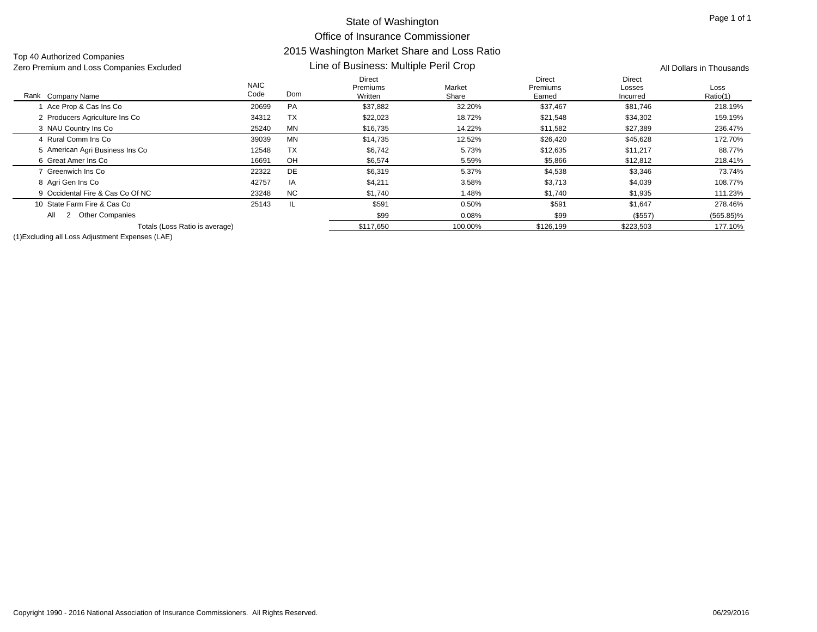Top 40 Authorized Companies

#### Rank Company Name NAIC Code Direct Premiums Written Market Share Direct Premiums Earned Direct LossesIncurred LossRatio(1) k Company Name **Solution Come** Code Dom Written Written Share Share Earned Incurred Ratio(1) Line of Business: Multiple Peril Crop Zero Premium and Loss Companies Excluded All Dollars in Thousands 1 Ace Prop & Cas Ins Co 20699 PA \$37,882 32.20% \$37,467 \$81,746 218.19% 2 Producers Agriculture Ins Co 34312 TX \$22,023 \$22,528 \$34,302 159.19% 3 NAU Country Ins Co 3 NAU Country Ins Co 25240 MN \$16,735 14.22% \$11,582 \$27,389 236.47% 4 Rural Comm Ins Co 39039 MN \$14,735 12.52% \$26,420 \$45,628 172.70% 5 American Agri Business Ins Co 12548 TX \$6,742 5.73% \$12,635 \$11,217 88.77% 6 Great Amer Ins Co 16691 OHH \$6,574 5.59% \$5,866 \$12,812 218.41% 7 Greenwich Ins Co 22322 DEE \$6,319 5.37% \$4,538 \$3,346 73.74% 8 Agri Gen Ins Co 8 Agri Gen Ins Co 42757 IA \$4,211 3.58% \$3,713 \$4,039 108.77% 9 Occidental Fire & Cas Co Of NC 23248 NC $\textsf{C}$  \$1,740 1.48% \$1,740 \$1,935 111.23% 10 State Farm Fire & Cas Co 25143 IL \$591 0.50% \$591 \$1,647 278.46% \$99 0.08% \$99 (\$557) (565.85)% Totals (Loss Ratio is average)  $$117,650$   $$126,199$   $$223,503$   $$223,503$   $$177.10%$ All 2 Other Companies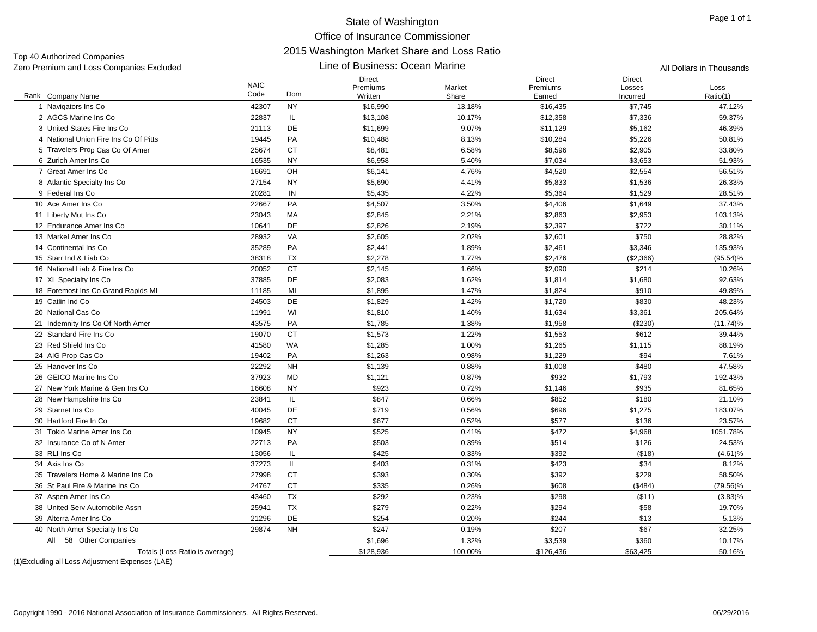Top 40 Authorized Companies Zero Premium and Loss Companies Excluded **All Dollars in Thousands Line of Business: Ocean Marine** All Dollars in Thousands

#### Line of Business: Ocean Marine

|                                       | <b>NAIC</b> |           | Direct<br>Premiums | Market  | Direct<br>Premiums | <b>Direct</b><br>Losses |                  |
|---------------------------------------|-------------|-----------|--------------------|---------|--------------------|-------------------------|------------------|
| Rank Company Name                     | Code        | Dom       | Written            | Share   | Earned             | Incurred                | Loss<br>Ratio(1) |
| 1 Navigators Ins Co                   | 42307       | <b>NY</b> | \$16,990           | 13.18%  | \$16,435           | \$7,745                 | 47.12%           |
| 2 AGCS Marine Ins Co                  | 22837       | IL.       | \$13,108           | 10.17%  | \$12,358           | \$7,336                 | 59.37%           |
| 3 United States Fire Ins Co           | 21113       | <b>DE</b> | \$11,699           | 9.07%   | \$11,129           | \$5,162                 | 46.39%           |
| 4 National Union Fire Ins Co Of Pitts | 19445       | PA        | \$10,488           | 8.13%   | \$10,284           | \$5,226                 | 50.81%           |
| 5 Travelers Prop Cas Co Of Amer       | 25674       | <b>CT</b> | \$8,481            | 6.58%   | \$8,596            | \$2,905                 | 33.80%           |
| 6 Zurich Amer Ins Co                  | 16535       | <b>NY</b> | \$6,958            | 5.40%   | \$7,034            | \$3,653                 | 51.93%           |
| 7 Great Amer Ins Co                   | 16691       | OH        | \$6,141            | 4.76%   | \$4,520            | \$2,554                 | 56.51%           |
| 8 Atlantic Specialty Ins Co.          | 27154       | <b>NY</b> | \$5,690            | 4.41%   | \$5,833            | \$1,536                 | 26.33%           |
| 9 Federal Ins Co                      | 20281       | IN        | \$5,435            | 4.22%   | \$5,364            | \$1,529                 | 28.51%           |
| 10 Ace Amer Ins Co                    | 22667       | PA        | \$4,507            | 3.50%   | \$4,406            | \$1,649                 | 37.43%           |
| 11 Liberty Mut Ins Co                 | 23043       | MA        | \$2,845            | 2.21%   | \$2,863            | \$2,953                 | 103.13%          |
| 12 Endurance Amer Ins Co              | 10641       | <b>DE</b> | \$2,826            | 2.19%   | \$2,397            | \$722                   | 30.11%           |
| 13 Markel Amer Ins Co.                | 28932       | VA        | \$2,605            | 2.02%   | \$2,601            | \$750                   | 28.82%           |
| 14 Continental Ins Co.                | 35289       | PA        | \$2,441            | 1.89%   | \$2,461            | \$3,346                 | 135.93%          |
| 15 Starr Ind & Liab Co                | 38318       | <b>TX</b> | \$2,278            | 1.77%   | \$2,476            | (\$2,366)               | $(95.54)\%$      |
| 16 National Liab & Fire Ins Co        | 20052       | <b>CT</b> | \$2,145            | 1.66%   | \$2,090            | \$214                   | 10.26%           |
| 17 XL Specialty Ins Co                | 37885       | DE        | \$2,083            | 1.62%   | \$1,814            | \$1,680                 | 92.63%           |
| 18 Foremost Ins Co Grand Rapids MI    | 11185       | MI        | \$1,895            | 1.47%   | \$1,824            | \$910                   | 49.89%           |
| 19 Catlin Ind Co                      | 24503       | DE        | \$1,829            | 1.42%   | \$1,720            | \$830                   | 48.23%           |
| 20 National Cas Co                    | 11991       | WI        | \$1,810            | 1.40%   | \$1,634            | \$3,361                 | 205.64%          |
| 21 Indemnity Ins Co Of North Amer     | 43575       | PA        | \$1,785            | 1.38%   | \$1,958            | (\$230)                 | $(11.74)\%$      |
| 22 Standard Fire Ins Co               | 19070       | <b>CT</b> | \$1,573            | 1.22%   | \$1,553            | \$612                   | 39.44%           |
| 23 Red Shield Ins Co                  | 41580       | WA        | \$1,285            | 1.00%   | \$1,265            | \$1,115                 | 88.19%           |
| 24 AIG Prop Cas Co                    | 19402       | PA        | \$1,263            | 0.98%   | \$1,229            | \$94                    | 7.61%            |
| 25 Hanover Ins Co                     | 22292       | <b>NH</b> | \$1,139            | 0.88%   | \$1,008            | \$480                   | 47.58%           |
| 26 GEICO Marine Ins Co.               | 37923       | <b>MD</b> | \$1,121            | 0.87%   | \$932              | \$1,793                 | 192.43%          |
| 27 New York Marine & Gen Ins Co       | 16608       | <b>NY</b> | \$923              | 0.72%   | \$1,146            | \$935                   | 81.65%           |
| 28 New Hampshire Ins Co               | 23841       | IL.       | \$847              | 0.66%   | \$852              | \$180                   | 21.10%           |
| 29 Starnet Ins Co                     | 40045       | <b>DE</b> | \$719              | 0.56%   | \$696              | \$1,275                 | 183.07%          |
| 30 Hartford Fire In Co.               | 19682       | <b>CT</b> | \$677              | 0.52%   | \$577              | \$136                   | 23.57%           |
| 31 Tokio Marine Amer Ins Co           | 10945       | <b>NY</b> | \$525              | 0.41%   | \$472              | \$4,968                 | 1051.78%         |
| 32 Insurance Co of N Amer             | 22713       | PA        | \$503              | 0.39%   | \$514              | \$126                   | 24.53%           |
| 33 RLI Ins Co                         | 13056       | IL        | \$425              | 0.33%   | \$392              | (\$18)                  | (4.61)%          |
| 34 Axis Ins Co                        | 37273       | IL        | \$403              | 0.31%   | \$423              | \$34                    | 8.12%            |
| 35 Travelers Home & Marine Ins Co     | 27998       | <b>CT</b> | \$393              | 0.30%   | \$392              | \$229                   | 58.50%           |
| 36 St Paul Fire & Marine Ins Co       | 24767       | <b>CT</b> | \$335              | 0.26%   | \$608              | ( \$484)                | $(79.56)\%$      |
| 37 Aspen Amer Ins Co                  | 43460       | <b>TX</b> | \$292              | 0.23%   | \$298              | ( \$11)                 | $(3.83)\%$       |
| 38 United Serv Automobile Assn        | 25941       | <b>TX</b> | \$279              | 0.22%   | \$294              | \$58                    | 19.70%           |
| 39 Alterra Amer Ins Co                | 21296       | DE        | \$254              | 0.20%   | \$244              | \$13                    | 5.13%            |
| 40 North Amer Specialty Ins Co        | 29874       | <b>NH</b> | \$247              | 0.19%   | \$207              | \$67                    | 32.25%           |
| 58 Other Companies<br>All             |             |           | \$1,696            | 1.32%   | \$3,539            | \$360                   | 10.17%           |
| Totals (Loss Ratio is average)        |             |           | \$128,936          | 100.00% | \$126,436          | \$63,425                | 50.16%           |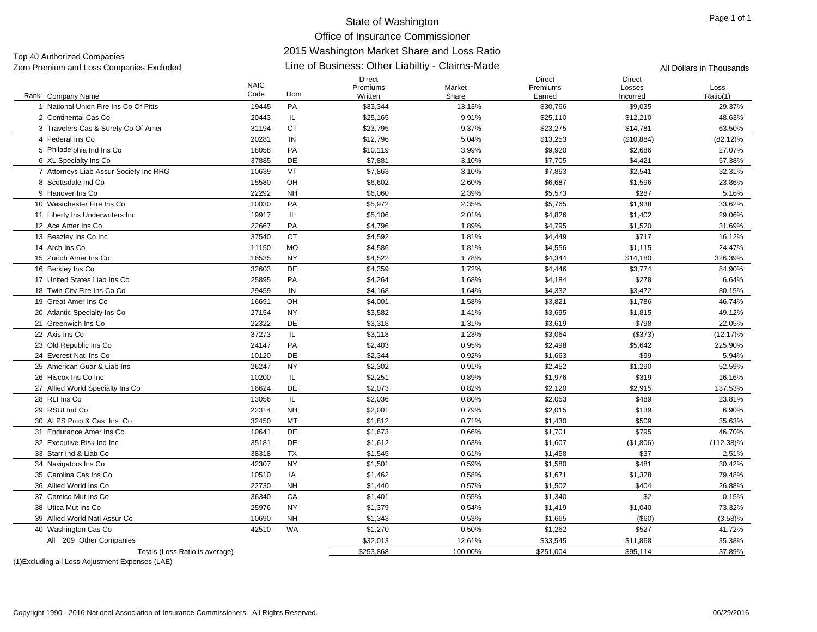Direct

\$1,379 0.54% \$1,419 \$1,040 73.32%

\$1,343 0.53% \$1,665 (\$60) (3.58)%

 $$32,013$   $12.61\%$   $$33,545$   $$11,868$   $35.38\%$ 

Direct

Direct

Line of Business: Other Liabiltiy - Claims-Made Zero Premium and Loss Companies Excluded All Dollars in Thousands Top 40 Authorized Companies

#### Rank Company Name NAIC Code PremiumsWrittenMarketShare PremiumsEarnedLossesIncurredk Company Name **Solution Come** Code Dom Written Written Share Share Earned Incurred Ratio(1) 1 National Union Fire Ins Co Of Pitts 19445 PAA \$33,344 13.13% \$30,766 \$9,035 29.37% 2 Continental Cas Co 2 Continental Cas Co 20443 IL \$25,165 9.91% \$25,110 \$12,210 48.63% 3 Travelers Cas & Surety Co Of Amer 31194 CT \$23,795 9.37% \$23,275 \$14,781 63.50% 4 Federal Ins Co 20281 IN \$12,796 5.04% \$13,253 (\$10,884) (82.12)% 5 Philadelphia Ind Ins Co 5 Philadelphia Ind Ins Co 1805 PA \$10,119 3.99% \$9,920 \$9,920 \$2,686 \$9,920 \$2,686 27.07% 6 XL Specialty Ins Co 6 XL Specialty Ins Co 37885 DE \$7,881 3.10% \$7,705 \$4,421 57.38% 7 Attorneys Liab Assur Society Inc RRG 10639 VT \$7,863 \$7,863 \$2,541 32.31% 8 Scottsdale Ind Co 15580 OH \$6,602 2.60% \$6,687 \$1,596 23.86% 9 Hanover Ins Co 22292 NH \$6,060 2.39% \$5,573 \$287 5.16% 10 Westchester Fire Ins Co 10030 PA \$5,972 2.35% \$5,765 \$1,938 33.62% 11 Liberty Ins Underwriters Inc 19917 IL \$5,106 2.01% \$4,826 \$1,402 29.06% 12 Ace Amer Ins Co 22667 PA \$4,796 1.89% \$4,795 \$1,520 31.69% 13 Beazley Ins Co Inc 3 Beazley Ins Co Inc 37540 CT \$4,592 1.81% \$4,449 \$717 16.12% 14 Arch Ins Co 11150 MO \$4,586 1.81% \$4,556 \$1,115 24.47% 15 Zurich Amer Ins Co 16535 NY \$4,522 1.78% \$4,344 \$14,180 326.39% 16 Berkley Ins Co 6 Berkley Ins Co 32603 DE \$4,359 1.72% \$4,446 \$3,774 84.90% 17 United States Liab Ins Co 25895 PAA \$4,264 1.68% \$4,184 \$278 6.64% 18 Twin City Fire Ins Co Co 8 Twin City Fire Ins Co Co 29459 IN \$4,168 1.64% \$4,332 \$3,472 80.15% 19 Great Amer Ins Co 16691 OHH \$4,001 1.58% \$3,821 \$1,786 46.74% 20 Atlantic Specialty Ins Co 0 Atlantic Specialty Ins Co 27154 NY \$3,582 1.41% \$3,695 \$1,815 49.12% 21 Greenwich Ins Co 22322 DE \$3,318 1.31% \$3,619 \$798 22.05% 22 Axis Ins Co 2 Axis Ins Co 37273 IL \$3,118 1.23% \$3,064 (\$373) (12.17)% 23 Old Republic Ins Co 3 Old Republic Ins Co 24147 PA \$2,403 0.95% \$2,498 \$5,642 225.90% 24 Everest Natl Ins Co 10120 DE \$2,344 0.92% \$1,663 \$99 5.94% 25 American Guar & Liab Ins 26247 NY \$2,302 0.91% \$2,452 \$1,290 52.59% 26 Hiscox Ins Co Inc. 6 Hiscox Ins Co Inc 10200 IL \$2,251 0.89% \$1,976 \$319 16.16% 27 Allied World Specialty Ins Co 16624 DE \$2,073 \$2,2% \$2,120 \$2,915 137.53% 28 RLI Ins Co 8 RLI Ins Co 13056 IL \$2,036 0.80% \$2,053 \$489 23.81% 29 RSUI Ind Co 22314 NH \$2,001 0.79% \$2,015 \$139 6.90% 30 ALPS Prop & Cas Ins Co 32450 MT \$1,812 \$1,430 \$5.63% \$509 35.63% 31 Endurance Amer Ins Co 10641 DE \$1,673 0.66% \$1,701 \$795 46.70% 32 Executive Risk Ind Inc 35181 DE \$1,612 0.63% \$1,607 (\$1,806) (112.38)% 33 Starr Ind & Liab Co 38318 TX $\textsf{X} \hspace{1.5mm} \textsf{S}1,545$   $\textsf{S}1,545$   $\textsf{S}10\%$   $\textsf{S}1,458$   $\textsf{S}37$   $\textsf{S}37$   $\textsf{S}37$   $\textsf{S}37$ 34 Navigators Ins Co 4 Navigators Ins Co 42307 NY \$1,501 \$1,580 \$481 30.42% 35 Carolina Cas Ins Co 10510 IAA \$1,462 0.58% \$1,671 \$1,328 79.48% 36 Allied World Ins Co 22730 NH \$1,440 0.57% \$1,502 \$404 26.88% 37 Camico Mut Ins Co 36340 CAA \$1,401 0.55% \$1,340 \$2 0.15%

0 Washington Cas Co 42510 WA \$1,270 0.50% \$1,262 \$527 41.72%

Totals (Loss Ratio is average)  $$253,868$   $$100.00\%$   $$251.004$   $$95,114$   $$37.89\%$ 

(1)Excluding all Loss Adjustment Expenses (LAE)

All 209 Other Companies

40 Washington Cas Co

38 Utica Mut Ins Co 25976 NY

39 Allied World Natl Assur Co 10690 NH

LossRatio(1)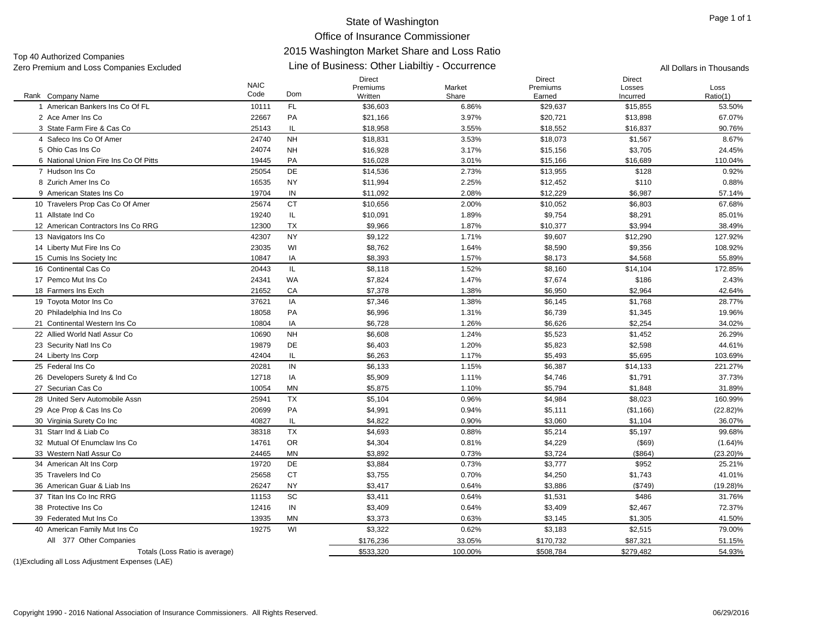Top 40 Authorized Companies<br>Zero Premium and Loss Companies Excluded

| Zero Premium and Loss Companies Excluded         |                     | Line of Business: Other Liabiltiy - Occurrence | All Dollars in Thousands      |                 |                                     |                                     |                  |
|--------------------------------------------------|---------------------|------------------------------------------------|-------------------------------|-----------------|-------------------------------------|-------------------------------------|------------------|
| Rank Company Name                                | <b>NAIC</b><br>Code | Dom                                            | Direct<br>Premiums<br>Written | Market<br>Share | <b>Direct</b><br>Premiums<br>Earned | <b>Direct</b><br>Losses<br>Incurred | Loss<br>Ratio(1) |
| 1 American Bankers Ins Co Of FL                  | 10111               | <b>FL</b>                                      | \$36,603                      | 6.86%           | \$29,637                            | \$15,855                            | 53.50%           |
| 2 Ace Amer Ins Co                                | 22667               | PA                                             | \$21,166                      | 3.97%           | \$20,721                            | \$13,898                            | 67.07%           |
| 3 State Farm Fire & Cas Co                       | 25143               | IL.                                            | \$18,958                      | 3.55%           | \$18,552                            | \$16,837                            | 90.76%           |
| 4 Safeco Ins Co Of Amer                          | 24740               | <b>NH</b>                                      | \$18,831                      | 3.53%           | \$18,073                            | \$1,567                             | 8.67%            |
| 5 Ohio Cas Ins Co                                | 24074               | <b>NH</b>                                      | \$16,928                      | 3.17%           | \$15,156                            | \$3,705                             | 24.45%           |
| 6 National Union Fire Ins Co Of Pitts            | 19445               | PA                                             | \$16,028                      | 3.01%           | \$15,166                            | \$16,689                            | 110.04%          |
| 7 Hudson Ins Co                                  | 25054               | DE                                             | \$14,536                      | 2.73%           | \$13,955                            | \$128                               | 0.92%            |
| 8 Zurich Amer Ins Co                             | 16535               | <b>NY</b>                                      | \$11,994                      | 2.25%           | \$12,452                            | \$110                               | 0.88%            |
| 9 American States Ins Co                         | 19704               | IN                                             | \$11,092                      | 2.08%           | \$12,229                            | \$6,987                             | 57.14%           |
| 10 Travelers Prop Cas Co Of Amer                 | 25674               | <b>CT</b>                                      | \$10,656                      | 2.00%           | \$10,052                            | \$6,803                             | 67.68%           |
| 11 Allstate Ind Co                               | 19240               | IL.                                            | \$10,091                      | 1.89%           | \$9,754                             | \$8,291                             | 85.01%           |
| 12 American Contractors Ins Co RRG               | 12300               | <b>TX</b>                                      | \$9,966                       | 1.87%           | \$10,377                            | \$3,994                             | 38.49%           |
| 13 Navigators Ins Co                             | 42307               | <b>NY</b>                                      | \$9,122                       | 1.71%           | \$9,607                             | \$12,290                            | 127.92%          |
| 14 Liberty Mut Fire Ins Co                       | 23035               | WI                                             | \$8,762                       | 1.64%           | \$8,590                             | \$9,356                             | 108.92%          |
| 15 Cumis Ins Society Inc                         | 10847               | IA                                             | \$8,393                       | 1.57%           | \$8,173                             | \$4,568                             | 55.89%           |
| 16 Continental Cas Co                            | 20443               | IL.                                            | \$8,118                       | 1.52%           | \$8,160                             | \$14,104                            | 172.85%          |
| 17 Pemco Mut Ins Co                              | 24341               | WA                                             | \$7,824                       | 1.47%           | \$7,674                             | \$186                               | 2.43%            |
| 18 Farmers Ins Exch                              | 21652               | CA                                             | \$7,378                       | 1.38%           | \$6,950                             | \$2,964                             | 42.64%           |
| 19 Toyota Motor Ins Co                           | 37621               | IA                                             | \$7,346                       | 1.38%           | \$6,145                             | \$1,768                             | 28.77%           |
| 20 Philadelphia Ind Ins Co                       | 18058               | PA                                             | \$6,996                       | 1.31%           | \$6,739                             | \$1,345                             | 19.96%           |
| 21 Continental Western Ins Co                    | 10804               | IA                                             | \$6,728                       | 1.26%           | \$6,626                             | \$2,254                             | 34.02%           |
| 22 Allied World Natl Assur Co                    | 10690               | <b>NH</b>                                      | \$6,608                       | 1.24%           | \$5,523                             | \$1,452                             | 26.29%           |
| 23 Security Natl Ins Co                          | 19879               | DE                                             | \$6,403                       | 1.20%           | \$5,823                             | \$2,598                             | 44.61%           |
| 24 Liberty Ins Corp                              | 42404               | IL.                                            | \$6,263                       | 1.17%           | \$5,493                             | \$5,695                             | 103.69%          |
| 25 Federal Ins Co                                | 20281               | IN                                             | \$6,133                       | 1.15%           | \$6,387                             | \$14,133                            | 221.27%          |
| 26 Developers Surety & Ind Co                    | 12718               | IA                                             | \$5,909                       | 1.11%           | \$4,746                             | \$1,791                             | 37.73%           |
| 27 Securian Cas Co                               | 10054               | <b>MN</b>                                      | \$5,875                       | 1.10%           | \$5,794                             | \$1,848                             | 31.89%           |
| 28 United Serv Automobile Assn                   | 25941               | <b>TX</b>                                      | \$5,104                       | 0.96%           | \$4,984                             | \$8,023                             | 160.99%          |
| 29 Ace Prop & Cas Ins Co                         | 20699               | PA                                             | \$4,991                       | 0.94%           | \$5,111                             | (\$1,166)                           | $(22.82)\%$      |
| 30 Virginia Surety Co Inc                        | 40827               | IL                                             | \$4,822                       | 0.90%           | \$3,060                             | \$1,104                             | 36.07%           |
| 31 Starr Ind & Liab Co                           | 38318               | <b>TX</b>                                      | \$4,693                       | 0.88%           | \$5,214                             | \$5,197                             | 99.68%           |
| 32 Mutual Of Enumclaw Ins Co                     | 14761               | <b>OR</b>                                      | \$4,304                       | 0.81%           | \$4,229                             | (\$69)                              | (1.64)%          |
| 33 Western Natl Assur Co                         | 24465               | <b>MN</b>                                      | \$3,892                       | 0.73%           | \$3,724                             | (\$864)                             | $(23.20)\%$      |
| 34 American Alt Ins Corp                         | 19720               | DE                                             | \$3,884                       | 0.73%           | \$3,777                             | \$952                               | 25.21%           |
| 35 Travelers Ind Co                              | 25658               | <b>CT</b>                                      | \$3,755                       | 0.70%           | \$4,250                             | \$1,743                             | 41.01%           |
| 36 American Guar & Liab Ins                      | 26247               | <b>NY</b>                                      | \$3,417                       | 0.64%           | \$3,886                             | (\$749)                             | $(19.28)\%$      |
| 37 Titan Ins Co Inc RRG                          | 11153               | SC                                             | \$3,411                       | 0.64%           | \$1,531                             | \$486                               | 31.76%           |
| 38 Protective Ins Co                             | 12416               | $\sf IN$                                       | \$3,409                       | 0.64%           | \$3,409                             | \$2,467                             | 72.37%           |
| 39 Federated Mut Ins Co                          | 13935               | <b>MN</b>                                      | \$3,373                       | 0.63%           | \$3,145                             | \$1,305                             | 41.50%           |
| 40 American Family Mut Ins Co                    | 19275               | WI                                             | \$3,322                       | 0.62%           | \$3,183                             | \$2,515                             | 79.00%           |
| All 377 Other Companies                          |                     |                                                | \$176,236                     | 33.05%          | \$170,732                           | \$87,321                            | 51.15%           |
| Totals (Loss Ratio is average)                   |                     |                                                | \$533,320                     | 100.00%         | \$508,784                           | \$279,482                           | 54.93%           |
| (1) Excluding all Loss Adjustment Expenses (LAE) |                     |                                                |                               |                 |                                     |                                     |                  |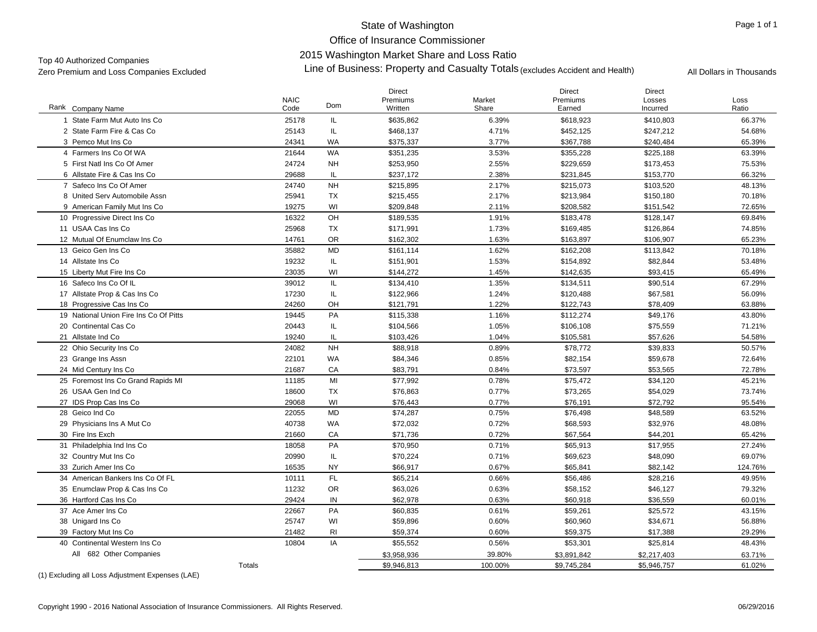## State of Washington

Office of Insurance Commissioner2015 Washington Market Share and Loss Ratio

Top 40 Authorized Companies<br>Zo is Washington Market Share and Loss Ratio<br>Zero Premium and Loss Companies Excluded **All Dollars in Thousands** Accident and Health) All Dollars in Thousands

|                                                                                                                                                                                                                                                                                                              | <b>NAIC</b>   | <b>Dom</b> | <b>Direct</b><br>Premiums | Market  | <b>Direct</b><br>Premiums | <b>Direct</b><br>Losses | Loss    |
|--------------------------------------------------------------------------------------------------------------------------------------------------------------------------------------------------------------------------------------------------------------------------------------------------------------|---------------|------------|---------------------------|---------|---------------------------|-------------------------|---------|
| Rank<br>Company Name                                                                                                                                                                                                                                                                                         | Code          |            | Written                   | Share   | Earned                    | Incurred                | Ratio   |
| State Farm Mut Auto Ins Co                                                                                                                                                                                                                                                                                   | 25178         | IL.        | \$635,862                 | 6.39%   | \$618,923                 | \$410,803               | 66.37%  |
| 2 State Farm Fire & Cas Co                                                                                                                                                                                                                                                                                   | 25143         | IL         | \$468,137                 | 4.71%   | \$452,125                 | \$247,212               | 54.68%  |
| 3 Pemco Mut Ins Co                                                                                                                                                                                                                                                                                           | 24341         | WA         | \$375,337                 | 3.77%   | \$367,788                 | \$240,484               | 65.39%  |
| 4 Farmers Ins Co Of WA                                                                                                                                                                                                                                                                                       | 21644         | <b>WA</b>  | \$351,235                 | 3.53%   | \$355,228                 | \$225,188               | 63.39%  |
| 5 First Natl Ins Co Of Amer                                                                                                                                                                                                                                                                                  | 24724         | <b>NH</b>  | \$253,950                 | 2.55%   | \$229,659                 | \$173,453               | 75.53%  |
| 6 Allstate Fire & Cas Ins Co                                                                                                                                                                                                                                                                                 | 29688         | IL         | \$237,172                 | 2.38%   | \$231,845                 | \$153,770               | 66.32%  |
| 7 Safeco Ins Co Of Amer                                                                                                                                                                                                                                                                                      | 24740         | <b>NH</b>  | \$215,895                 | 2.17%   | \$215,073                 | \$103,520               | 48.13%  |
| 8 United Serv Automobile Assn                                                                                                                                                                                                                                                                                | 25941         | <b>TX</b>  | \$215,455                 | 2.17%   | \$213,984                 | \$150,180               | 70.18%  |
| 9 American Family Mut Ins Co                                                                                                                                                                                                                                                                                 | 19275         | WI         | \$209,848                 | 2.11%   | \$208,582                 | \$151,542               | 72.65%  |
| 10 Progressive Direct Ins Co                                                                                                                                                                                                                                                                                 | 16322         | OH         | \$189,535                 | 1.91%   | \$183,478                 | \$128,147               | 69.84%  |
| 11 USAA Cas Ins Co                                                                                                                                                                                                                                                                                           | 25968         | <b>TX</b>  | \$171,991                 | 1.73%   | \$169,485                 | \$126,864               | 74.85%  |
| 12 Mutual Of Enumclaw Ins Co                                                                                                                                                                                                                                                                                 | 14761         | <b>OR</b>  | \$162,302                 | 1.63%   | \$163,897                 | \$106,907               | 65.23%  |
| 13 Geico Gen Ins Co                                                                                                                                                                                                                                                                                          | 35882         | <b>MD</b>  | \$161,114                 | 1.62%   | \$162,208                 | \$113,842               | 70.18%  |
| 14 Allstate Ins Co                                                                                                                                                                                                                                                                                           | 19232         | IL         | \$151,901                 | 1.53%   | \$154,892                 | \$82,844                | 53.48%  |
| 15 Liberty Mut Fire Ins Co                                                                                                                                                                                                                                                                                   | 23035         | WI         | \$144,272                 | 1.45%   | \$142,635                 | \$93,415                | 65.49%  |
| 16 Safeco Ins Co Of IL                                                                                                                                                                                                                                                                                       | 39012         | IL.        | \$134,410                 | 1.35%   | \$134,511                 | \$90,514                | 67.29%  |
| 17 Allstate Prop & Cas Ins Co                                                                                                                                                                                                                                                                                | 17230         | IL.        | \$122,966                 | 1.24%   | \$120,488                 | \$67,581                | 56.09%  |
| 18 Progressive Cas Ins Co                                                                                                                                                                                                                                                                                    | 24260         | OH         | \$121,791                 | 1.22%   | \$122,743                 | \$78,409                | 63.88%  |
| 19 National Union Fire Ins Co Of Pitts                                                                                                                                                                                                                                                                       | 19445         | PA         | \$115,338                 | 1.16%   | \$112,274                 | \$49,176                | 43.80%  |
| 20 Continental Cas Co                                                                                                                                                                                                                                                                                        | 20443         | IL         | \$104,566                 | 1.05%   | \$106,108                 | \$75,559                | 71.21%  |
| 21 Allstate Ind Co                                                                                                                                                                                                                                                                                           | 19240         | IL         | \$103,426                 | 1.04%   | \$105,581                 | \$57,626                | 54.58%  |
| 22 Ohio Security Ins Co                                                                                                                                                                                                                                                                                      | 24082         | <b>NH</b>  | \$88,918                  | 0.89%   | \$78,772                  | \$39,833                | 50.57%  |
| 23 Grange Ins Assn                                                                                                                                                                                                                                                                                           | 22101         | WA         | \$84,346                  | 0.85%   | \$82,154                  | \$59,678                | 72.64%  |
| 24 Mid Century Ins Co                                                                                                                                                                                                                                                                                        | 21687         | CA         | \$83,791                  | 0.84%   | \$73,597                  | \$53,565                | 72.78%  |
| 25 Foremost Ins Co Grand Rapids MI                                                                                                                                                                                                                                                                           | 11185         | MI         | \$77,992                  | 0.78%   | \$75,472                  | \$34,120                | 45.21%  |
| 26 USAA Gen Ind Co                                                                                                                                                                                                                                                                                           | 18600         | <b>TX</b>  | \$76,863                  | 0.77%   | \$73,265                  | \$54,029                | 73.74%  |
| 27 IDS Prop Cas Ins Co                                                                                                                                                                                                                                                                                       | 29068         | WI         | \$76,443                  | 0.77%   | \$76,191                  | \$72,792                | 95.54%  |
| 28 Geico Ind Co                                                                                                                                                                                                                                                                                              | 22055         | <b>MD</b>  | \$74,287                  | 0.75%   | \$76,498                  | \$48,589                | 63.52%  |
| 29 Physicians Ins A Mut Co                                                                                                                                                                                                                                                                                   | 40738         | WA         | \$72,032                  | 0.72%   | \$68,593                  | \$32,976                | 48.08%  |
| 30 Fire Ins Exch                                                                                                                                                                                                                                                                                             | 21660         | CA         | \$71,736                  | 0.72%   | \$67,564                  | \$44,201                | 65.42%  |
| 31 Philadelphia Ind Ins Co                                                                                                                                                                                                                                                                                   | 18058         | PA         | \$70,950                  | 0.71%   | \$65,913                  | \$17,955                | 27.24%  |
| 32 Country Mut Ins Co                                                                                                                                                                                                                                                                                        | 20990         | IL         | \$70,224                  | 0.71%   | \$69,623                  | \$48,090                | 69.07%  |
| 33 Zurich Amer Ins Co                                                                                                                                                                                                                                                                                        | 16535         | <b>NY</b>  | \$66,917                  | 0.67%   | \$65,841                  | \$82,142                | 124.76% |
| 34 American Bankers Ins Co Of FL                                                                                                                                                                                                                                                                             | 10111         | FL         | \$65,214                  | 0.66%   | \$56,486                  | \$28,216                | 49.95%  |
| 35 Enumclaw Prop & Cas Ins Co                                                                                                                                                                                                                                                                                | 11232         | <b>OR</b>  | \$63,026                  | 0.63%   | \$58,152                  | \$46,127                | 79.32%  |
| 36 Hartford Cas Ins Co                                                                                                                                                                                                                                                                                       | 29424         | IN         | \$62,978                  | 0.63%   | \$60,918                  | \$36,559                | 60.01%  |
| 37 Ace Amer Ins Co                                                                                                                                                                                                                                                                                           | 22667         | PA         | \$60,835                  | 0.61%   | \$59,261                  | \$25,572                | 43.15%  |
| 38 Unigard Ins Co                                                                                                                                                                                                                                                                                            | 25747         | WI         | \$59,896                  | 0.60%   | \$60,960                  | \$34,671                | 56.88%  |
| 39 Factory Mut Ins Co                                                                                                                                                                                                                                                                                        | 21482         | RI         | \$59,374                  | 0.60%   | \$59,375                  | \$17,388                | 29.29%  |
| 40 Continental Western Ins Co                                                                                                                                                                                                                                                                                | 10804         | IA         | \$55,552                  | 0.56%   | \$53,301                  | \$25,814                | 48.43%  |
| All 682 Other Companies                                                                                                                                                                                                                                                                                      |               |            | \$3,958,936               | 39.80%  | \$3,891,842               | \$2,217,403             | 63.71%  |
|                                                                                                                                                                                                                                                                                                              | <b>Totals</b> |            | \$9,946,813               | 100.00% | \$9,745,284               | \$5,946,757             | 61.02%  |
| $(4)$ $\blacksquare$ $\blacksquare$ $\blacksquare$ $\blacksquare$ $\blacksquare$ $\blacksquare$ $\blacksquare$ $\blacksquare$ $\blacksquare$ $\blacksquare$ $\blacksquare$ $\blacksquare$ $\blacksquare$ $\blacksquare$ $\blacksquare$ $\blacksquare$ $\blacksquare$ $\blacksquare$<br>$\left(1, 0.7\right)$ |               |            |                           |         |                           |                         |         |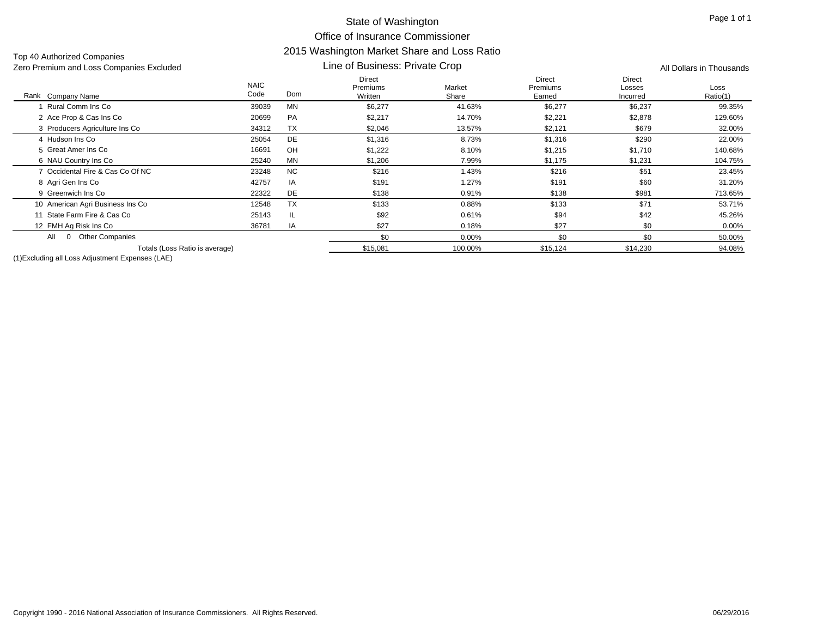Top 40 Authorized Companies

#### Line of Business: Private Crop Zero Premium and Loss Companies Excluded All Dollars in Thousands

| Rank Company Name                  | <b>NAIC</b><br>Code | Dom       | <b>Direct</b><br>Premiums<br>Written | Market<br>Share | <b>Direct</b><br><b>Premiums</b><br>Earned | <b>Direct</b><br>Losses<br>Incurred | Loss<br>Ratio(1) |
|------------------------------------|---------------------|-----------|--------------------------------------|-----------------|--------------------------------------------|-------------------------------------|------------------|
| Rural Comm Ins Co                  | 39039               | <b>MN</b> | \$6,277                              | 41.63%          | \$6,277                                    | \$6,237                             | 99.35%           |
| 2 Ace Prop & Cas Ins Co            | 20699               | <b>PA</b> | \$2,217                              | 14.70%          | \$2,221                                    | \$2,878                             | 129.60%          |
| 3 Producers Agriculture Ins Co     | 34312               | <b>TX</b> | \$2,046                              | 13.57%          | \$2,121                                    | \$679                               | 32.00%           |
| 4 Hudson Ins Co                    | 25054               | <b>DE</b> | \$1,316                              | 8.73%           | \$1,316                                    | \$290                               | 22.00%           |
| 5 Great Amer Ins Co                | 16691               | OH        | \$1,222                              | 8.10%           | \$1,215                                    | \$1,710                             | 140.68%          |
| 6 NAU Country Ins Co               | 25240               | <b>MN</b> | \$1,206                              | 7.99%           | \$1,175                                    | \$1,231                             | 104.75%          |
| 7 Occidental Fire & Cas Co Of NC   | 23248               | <b>NC</b> | \$216                                | 1.43%           | \$216                                      | \$51                                | 23.45%           |
| 8 Agri Gen Ins Co                  | 42757               | IA        | \$191                                | 1.27%           | \$191                                      | \$60                                | 31.20%           |
| 9 Greenwich Ins Co                 | 22322               | <b>DE</b> | \$138                                | 0.91%           | \$138                                      | \$981                               | 713.65%          |
| 10 American Agri Business Ins Co   | 12548               | <b>TX</b> | \$133                                | 0.88%           | \$133                                      | \$71                                | 53.71%           |
| State Farm Fire & Cas Co           | 25143               | IL.       | \$92                                 | 0.61%           | \$94                                       | \$42                                | 45.26%           |
| 12 FMH Ag Risk Ins Co              | 36781               | IA        | \$27                                 | 0.18%           | \$27                                       | \$0                                 | $0.00\%$         |
| <b>Other Companies</b><br>All<br>0 |                     |           | \$0                                  | 0.00%           | \$0                                        | \$0                                 | 50.00%           |
| Totals (Loss Ratio is average)     |                     |           | \$15,081                             | 100.00%         | \$15,124                                   | \$14,230                            | 94.08%           |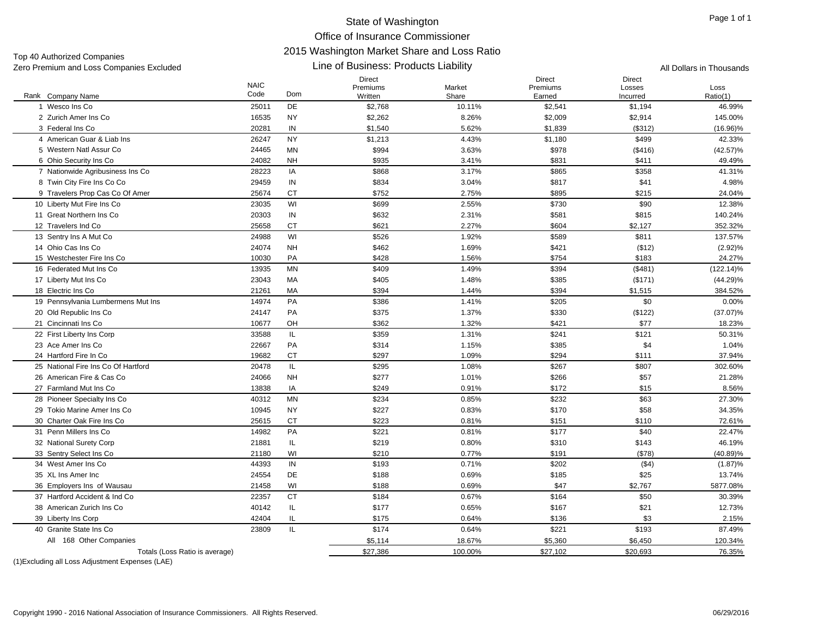## State of Washington Office of Insurance Commissioner 2015 Washington Market Share and Loss Ratio Line of Business: Products Liability

Top 40 Authorized Companies Zero Premium and Loss Companies Excluded **All Dollars in Thousands All Dollars in Thousands All Dollars in Thousands** 

| Rank Company Name                   | <b>NAIC</b><br>Code | Dom       | Direct<br>Premiums<br>Written | Market<br>Share | Direct<br>Premiums<br>Earned | <b>Direct</b><br>Losses<br>Incurred | Loss<br>Ratio(1) |
|-------------------------------------|---------------------|-----------|-------------------------------|-----------------|------------------------------|-------------------------------------|------------------|
| 1 Wesco Ins Co                      | 25011               | DE        | \$2,768                       | 10.11%          | \$2,541                      | \$1,194                             | 46.99%           |
| 2 Zurich Amer Ins Co                | 16535               | <b>NY</b> | \$2,262                       | 8.26%           | \$2,009                      | \$2,914                             | 145.00%          |
| 3 Federal Ins Co                    | 20281               | IN        | \$1,540                       | 5.62%           | \$1,839                      | (\$312)                             | $(16.96)\%$      |
| 4 American Guar & Liab Ins          | 26247               | <b>NY</b> | \$1,213                       | 4.43%           | \$1,180                      | \$499                               | 42.33%           |
| 5 Western Natl Assur Co             | 24465               | MN        | \$994                         | 3.63%           | \$978                        | (\$416)                             | $(42.57)\%$      |
| 6 Ohio Security Ins Co              | 24082               | <b>NH</b> | \$935                         | 3.41%           | \$831                        | \$411                               | 49.49%           |
| 7 Nationwide Agribusiness Ins Co    | 28223               | IA        | \$868                         | 3.17%           | \$865                        | \$358                               | 41.31%           |
| 8 Twin City Fire Ins Co Co          | 29459               | IN        | \$834                         | 3.04%           | \$817                        | \$41                                | 4.98%            |
| 9 Travelers Prop Cas Co Of Amer     | 25674               | <b>CT</b> | \$752                         | 2.75%           | \$895                        | \$215                               | 24.04%           |
| 10 Liberty Mut Fire Ins Co          | 23035               | WI        | \$699                         | 2.55%           | \$730                        | \$90                                | 12.38%           |
| 11 Great Northern Ins Co            | 20303               | IN        | \$632                         | 2.31%           | \$581                        | \$815                               | 140.24%          |
| 12 Travelers Ind Co                 | 25658               | <b>CT</b> | \$621                         | 2.27%           | \$604                        | \$2,127                             | 352.32%          |
| 13 Sentry Ins A Mut Co              | 24988               | WI        | \$526                         | 1.92%           | \$589                        | \$811                               | 137.57%          |
| 14 Ohio Cas Ins Co                  | 24074               | <b>NH</b> | \$462                         | 1.69%           | \$421                        | (\$12)                              | (2.92)%          |
| 15 Westchester Fire Ins Co          | 10030               | PA        | \$428                         | 1.56%           | \$754                        | \$183                               | 24.27%           |
| 16 Federated Mut Ins Co.            | 13935               | <b>MN</b> | \$409                         | 1.49%           | \$394                        | (\$481)                             | $(122.14)\%$     |
| 17 Liberty Mut Ins Co               | 23043               | MA        | \$405                         | 1.48%           | \$385                        | (\$171)                             | $(44.29)\%$      |
| 18 Electric Ins Co                  | 21261               | MA        | \$394                         | 1.44%           | \$394                        | \$1,515                             | 384.52%          |
| 19 Pennsylvania Lumbermens Mut Ins  | 14974               | PA        | \$386                         | 1.41%           | \$205                        | \$0                                 | 0.00%            |
| 20 Old Republic Ins Co              | 24147               | PA        | \$375                         | 1.37%           | \$330                        | (\$122)                             | $(37.07)\%$      |
| 21 Cincinnati Ins Co                | 10677               | OH        | \$362                         | 1.32%           | \$421                        | \$77                                | 18.23%           |
| 22 First Liberty Ins Corp           | 33588               | IL.       | \$359                         | 1.31%           | \$241                        | \$121                               | 50.31%           |
| 23 Ace Amer Ins Co                  | 22667               | PA        | \$314                         | 1.15%           | \$385                        | \$4                                 | 1.04%            |
| 24 Hartford Fire In Co.             | 19682               | <b>CT</b> | \$297                         | 1.09%           | \$294                        | \$111                               | 37.94%           |
| 25 National Fire Ins Co Of Hartford | 20478               | IL.       | \$295                         | 1.08%           | \$267                        | \$807                               | 302.60%          |
| 26 American Fire & Cas Co           | 24066               | <b>NH</b> | \$277                         | 1.01%           | \$266                        | \$57                                | 21.28%           |
| 27 Farmland Mut Ins Co              | 13838               | IA        | \$249                         | 0.91%           | \$172                        | \$15                                | 8.56%            |
| 28 Pioneer Specialty Ins Co         | 40312               | <b>MN</b> | \$234                         | 0.85%           | \$232                        | \$63                                | 27.30%           |
| 29 Tokio Marine Amer Ins Co         | 10945               | <b>NY</b> | \$227                         | 0.83%           | \$170                        | \$58                                | 34.35%           |
| 30 Charter Oak Fire Ins Co          | 25615               | <b>CT</b> | \$223                         | 0.81%           | \$151                        | \$110                               | 72.61%           |
| 31 Penn Millers Ins Co              | 14982               | PA        | \$221                         | 0.81%           | \$177                        | \$40                                | 22.47%           |
| 32 National Surety Corp             | 21881               | IL.       | \$219                         | 0.80%           | \$310                        | \$143                               | 46.19%           |
| 33 Sentry Select Ins Co             | 21180               | WI        | \$210                         | 0.77%           | \$191                        | (\$78)                              | $(40.89)\%$      |
| 34 West Amer Ins Co                 | 44393               | IN        | \$193                         | 0.71%           | \$202                        | ( \$4)                              | $(1.87)\%$       |
| 35 XL Ins Amer Inc                  | 24554               | DE        | \$188                         | 0.69%           | \$185                        | \$25                                | 13.74%           |
| 36 Employers Ins of Wausau          | 21458               | WI        | \$188                         | 0.69%           | \$47                         | \$2,767                             | 5877.08%         |
| 37 Hartford Accident & Ind Co.      | 22357               | <b>CT</b> | \$184                         | 0.67%           | \$164                        | \$50                                | 30.39%           |
| 38 American Zurich Ins Co           | 40142               | IL.       | \$177                         | 0.65%           | \$167                        | \$21                                | 12.73%           |
| 39 Liberty Ins Corp                 | 42404               | IL        | \$175                         | 0.64%           | \$136                        | \$3                                 | 2.15%            |
| 40 Granite State Ins Co             | 23809               | IL        | \$174                         | 0.64%           | \$221                        | \$193                               | 87.49%           |
| All 168 Other Companies             |                     |           | \$5,114                       | 18.67%          | \$5,360                      | \$6,450                             | 120.34%          |
| Totals (Loss Ratio is average)      |                     |           | \$27,386                      | 100.00%         | \$27,102                     | \$20,693                            | 76.35%           |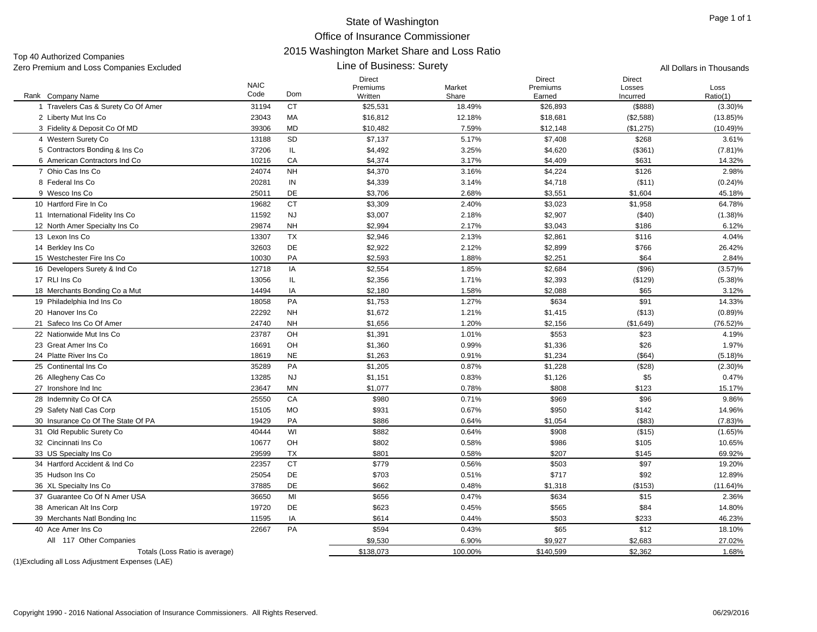Line of Business: Surety

Top 40 Authorized Companies Zero Premium and Loss Companies Excluded All Dollars in Thousands

|                                     | <b>NAIC</b> |           | <b>Direct</b><br>Premiums | Market  | Direct<br>Premiums | <b>Direct</b><br>Losses | Loss        |
|-------------------------------------|-------------|-----------|---------------------------|---------|--------------------|-------------------------|-------------|
| Rank Company Name                   | Code        | Dom       | Written                   | Share   | Earned             | Incurred                | Ratio(1)    |
| 1 Travelers Cas & Surety Co Of Amer | 31194       | <b>CT</b> | \$25,531                  | 18.49%  | \$26,893           | (\$888)                 | $(3.30)\%$  |
| 2 Liberty Mut Ins Co                | 23043       | MA        | \$16,812                  | 12.18%  | \$18,681           | (\$2,588)               | $(13.85)\%$ |
| 3 Fidelity & Deposit Co Of MD       | 39306       | <b>MD</b> | \$10,482                  | 7.59%   | \$12,148           | (\$1,275)               | $(10.49)\%$ |
| 4 Western Surety Co                 | 13188       | SD        | \$7,137                   | 5.17%   | \$7,408            | \$268                   | 3.61%       |
| 5 Contractors Bonding & Ins Co.     | 37206       | IL        | \$4,492                   | 3.25%   | \$4,620            | (\$361)                 | $(7.81)\%$  |
| 6 American Contractors Ind Co       | 10216       | CA        | \$4,374                   | 3.17%   | \$4,409            | \$631                   | 14.32%      |
| 7 Ohio Cas Ins Co                   | 24074       | <b>NH</b> | \$4,370                   | 3.16%   | \$4,224            | \$126                   | 2.98%       |
| 8 Federal Ins Co                    | 20281       | IN        | \$4,339                   | 3.14%   | \$4,718            | (\$11)                  | (0.24)%     |
| 9 Wesco Ins Co                      | 25011       | DE        | \$3,706                   | 2.68%   | \$3,551            | \$1,604                 | 45.18%      |
| 10 Hartford Fire In Co.             | 19682       | <b>CT</b> | \$3,309                   | 2.40%   | \$3,023            | \$1,958                 | 64.78%      |
| 11 International Fidelity Ins Co    | 11592       | <b>NJ</b> | \$3,007                   | 2.18%   | \$2,907            | (\$40)                  | $(1.38)\%$  |
| 12 North Amer Specialty Ins Co      | 29874       | <b>NH</b> | \$2,994                   | 2.17%   | \$3,043            | \$186                   | 6.12%       |
| 13 Lexon Ins Co                     | 13307       | <b>TX</b> | \$2,946                   | 2.13%   | \$2,861            | \$116                   | 4.04%       |
| 14 Berkley Ins Co                   | 32603       | DE        | \$2,922                   | 2.12%   | \$2,899            | \$766                   | 26.42%      |
| 15 Westchester Fire Ins Co          | 10030       | PA        | \$2,593                   | 1.88%   | \$2,251            | \$64                    | 2.84%       |
| 16 Developers Surety & Ind Co       | 12718       | IA        | \$2,554                   | 1.85%   | \$2,684            | (\$96)                  | (3.57)%     |
| 17 RLI Ins Co                       | 13056       | IL        | \$2,356                   | 1.71%   | \$2,393            | (\$129)                 | $(5.38)\%$  |
| 18 Merchants Bonding Co a Mut       | 14494       | IA        | \$2,180                   | 1.58%   | \$2,088            | \$65                    | 3.12%       |
| 19 Philadelphia Ind Ins Co          | 18058       | PA        | \$1,753                   | 1.27%   | \$634              | \$91                    | 14.33%      |
| 20 Hanover Ins Co                   | 22292       | <b>NH</b> | \$1,672                   | 1.21%   | \$1,415            | (\$13)                  | (0.89)%     |
| 21 Safeco Ins Co Of Amer            | 24740       | <b>NH</b> | \$1,656                   | 1.20%   | \$2,156            | (\$1,649)               | $(76.52)\%$ |
| 22 Nationwide Mut Ins Co            | 23787       | OH        | \$1,391                   | 1.01%   | \$553              | \$23                    | 4.19%       |
| 23 Great Amer Ins Co                | 16691       | OH        | \$1,360                   | 0.99%   | \$1,336            | \$26                    | 1.97%       |
| 24 Platte River Ins Co              | 18619       | <b>NE</b> | \$1,263                   | 0.91%   | \$1,234            | (\$64)                  | $(5.18)\%$  |
| 25 Continental Ins Co               | 35289       | PA        | \$1,205                   | 0.87%   | \$1,228            | (\$28)                  | $(2.30)\%$  |
| 26 Allegheny Cas Co                 | 13285       | <b>NJ</b> | \$1,151                   | 0.83%   | \$1,126            | \$5                     | 0.47%       |
| 27 Ironshore Ind Inc                | 23647       | <b>MN</b> | \$1,077                   | 0.78%   | \$808              | \$123                   | 15.17%      |
| 28 Indemnity Co Of CA               | 25550       | CA        | \$980                     | 0.71%   | \$969              | \$96                    | 9.86%       |
| 29 Safety Natl Cas Corp             | 15105       | <b>MO</b> | \$931                     | 0.67%   | \$950              | \$142                   | 14.96%      |
| 30 Insurance Co Of The State Of PA  | 19429       | PA        | \$886                     | 0.64%   | \$1,054            | (\$83)                  | $(7.83)\%$  |
| 31 Old Republic Surety Co           | 40444       | WI        | \$882                     | 0.64%   | \$908              | (\$15)                  | $(1.65)\%$  |
| 32 Cincinnati Ins Co                | 10677       | OH        | \$802                     | 0.58%   | \$986              | \$105                   | 10.65%      |
| 33 US Specialty Ins Co.             | 29599       | TX        | \$801                     | 0.58%   | \$207              | \$145                   | 69.92%      |
| 34 Hartford Accident & Ind Co.      | 22357       | <b>CT</b> | \$779                     | 0.56%   | \$503              | \$97                    | 19.20%      |
| 35 Hudson Ins Co                    | 25054       | DE        | \$703                     | 0.51%   | \$717              | \$92                    | 12.89%      |
| 36 XL Specialty Ins Co.             | 37885       | DE        | \$662                     | 0.48%   | \$1,318            | (\$153)                 | $(11.64)\%$ |
| 37 Guarantee Co Of N Amer USA       | 36650       | MI        | \$656                     | 0.47%   | \$634              | \$15                    | 2.36%       |
| 38 American Alt Ins Corp            | 19720       | DE        | \$623                     | 0.45%   | \$565              | \$84                    | 14.80%      |
| 39 Merchants Natl Bonding Inc       | 11595       | IA        | \$614                     | 0.44%   | \$503              | \$233                   | 46.23%      |
| 40 Ace Amer Ins Co                  | 22667       | PA        | \$594                     | 0.43%   | \$65               | \$12                    | 18.10%      |
| All 117 Other Companies             |             |           | \$9,530                   | 6.90%   | \$9,927            | \$2,683                 | 27.02%      |
| Totals (Loss Ratio is average)      |             |           | \$138,073                 | 100.00% | \$140,599          | \$2,362                 | 1.68%       |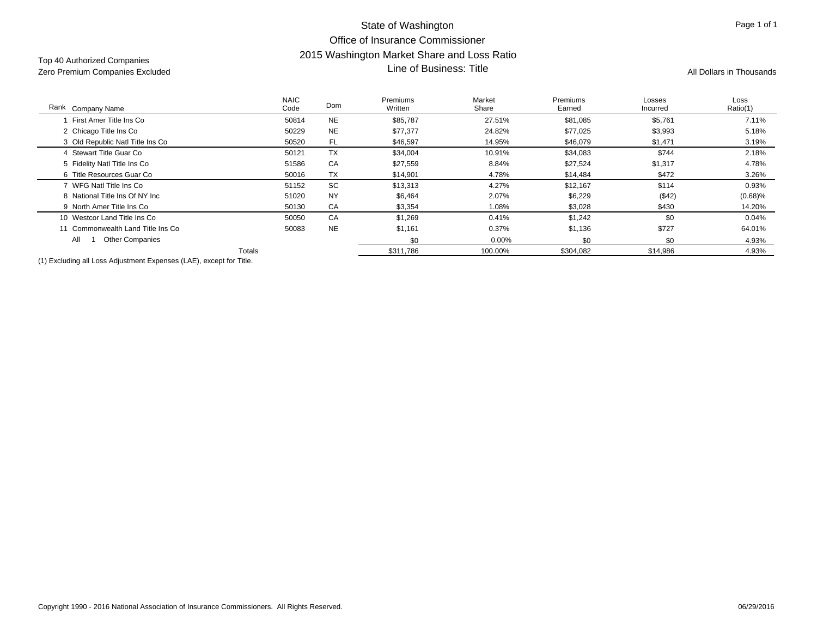## State of Washington Office of Insurance Commissioner2015 Washington Market Share and Loss Ratio Line of Business: Title and Loss Ration Market Strate and Loss Ration Market Strate Area and Loss Ration Market<br>Zero Premium Companies Excluded All Dollars in Thousands **All Dollars in Thousands** All Dollars in Thousands

| Rank Company Name                                                              | <b>NAIC</b><br>Code | Dom       | Premiums<br>Written | Market<br>Share | <b>Premiums</b><br>Earned | Losses<br>Incurred | Loss<br>Ratio(1) |
|--------------------------------------------------------------------------------|---------------------|-----------|---------------------|-----------------|---------------------------|--------------------|------------------|
| First Amer Title Ins Co                                                        | 50814               | <b>NE</b> | \$85,787            | 27.51%          | \$81,085                  | \$5,761            | 7.11%            |
| 2 Chicago Title Ins Co                                                         | 50229               | <b>NE</b> | \$77,377            | 24.82%          | \$77,025                  | \$3,993            | 5.18%            |
| 3 Old Republic Natl Title Ins Co                                               | 50520               | FL        | \$46,597            | 14.95%          | \$46,079                  | \$1,471            | 3.19%            |
| 4 Stewart Title Guar Co                                                        | 50121               | <b>TX</b> | \$34,004            | 10.91%          | \$34,083                  | \$744              | 2.18%            |
| 5 Fidelity Natl Title Ins Co                                                   | 51586               | CA        | \$27,559            | 8.84%           | \$27,524                  | \$1,317            | 4.78%            |
| 6 Title Resources Guar Co                                                      | 50016               | <b>TX</b> | \$14,901            | 4.78%           | \$14,484                  | \$472              | 3.26%            |
| 7 WFG Natl Title Ins Co                                                        | 51152               | SC        | \$13,313            | 4.27%           | \$12,167                  | \$114              | 0.93%            |
| 8 National Title Ins Of NY Inc                                                 | 51020               | <b>NY</b> | \$6,464             | 2.07%           | \$6,229                   | (\$42)             | $(0.68)\%$       |
| 9 North Amer Title Ins Co                                                      | 50130               | CA        | \$3,354             | 1.08%           | \$3,028                   | \$430              | 14.20%           |
| 10 Westcor Land Title Ins Co                                                   | 50050               | CA        | \$1,269             | 0.41%           | \$1,242                   | \$0                | 0.04%            |
| 11 Commonwealth Land Title Ins Co                                              | 50083               | <b>NE</b> | \$1,161             | 0.37%           | \$1,136                   | \$727              | 64.01%           |
| All<br><b>Other Companies</b>                                                  |                     |           | \$0                 | $0.00\%$        | \$0                       | \$0                | 4.93%            |
|                                                                                | Totals              |           | \$311,786           | 100.00%         | \$304,082                 | \$14,986           | 4.93%            |
| (4) Excellentia and the age Anti-catalogue Express and AEV proposal from Title |                     |           |                     |                 |                           |                    |                  |

(1) Excluding all Loss Adjustment Expenses (LAE), except for Title.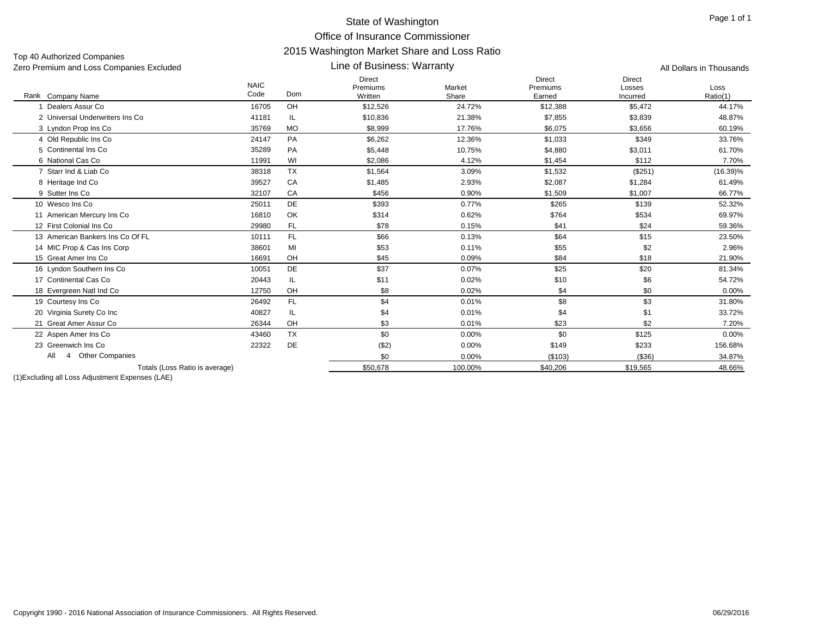Line of Business: Warranty

Top 40 Authorized Companies Zero Premium and Loss Companies Excluded All Dollars in Thousands

|                                    | <b>NAIC</b> |           | <b>Direct</b><br>Premiums | Market  | <b>Direct</b><br>Premiums | <b>Direct</b><br>Losses | Loss        |
|------------------------------------|-------------|-----------|---------------------------|---------|---------------------------|-------------------------|-------------|
| Rank Company Name                  | Code        | Dom       | Written                   | Share   | Earned                    | Incurred                | Ratio(1)    |
| Dealers Assur Co                   | 16705       | OH        | \$12,526                  | 24.72%  | \$12,388                  | \$5,472                 | 44.17%      |
| 2 Universal Underwriters Ins Co    | 41181       | IL.       | \$10,836                  | 21.38%  | \$7,855                   | \$3,839                 | 48.87%      |
| 3 Lyndon Prop Ins Co               | 35769       | <b>MO</b> | \$8,999                   | 17.76%  | \$6,075                   | \$3,656                 | 60.19%      |
| 4 Old Republic Ins Co              | 24147       | PA        | \$6,262                   | 12.36%  | \$1,033                   | \$349                   | 33.76%      |
| 5 Continental Ins Co               | 35289       | PA        | \$5,448                   | 10.75%  | \$4,880                   | \$3,011                 | 61.70%      |
| 6 National Cas Co                  | 11991       | WI        | \$2,086                   | 4.12%   | \$1,454                   | \$112                   | 7.70%       |
| 7 Starr Ind & Liab Co              | 38318       | <b>TX</b> | \$1,564                   | 3.09%   | \$1.532                   | (\$251)                 | $(16.39)\%$ |
| 8 Heritage Ind Co                  | 39527       | CA        | \$1,485                   | 2.93%   | \$2,087                   | \$1,284                 | 61.49%      |
| 9 Sutter Ins Co.                   | 32107       | CA        | \$456                     | 0.90%   | \$1,509                   | \$1,007                 | 66.77%      |
| 10 Wesco Ins Co                    | 25011       | <b>DE</b> | \$393                     | 0.77%   | \$265                     | \$139                   | 52.32%      |
| 11 American Mercury Ins Co         | 16810       | OK        | \$314                     | 0.62%   | \$764                     | \$534                   | 69.97%      |
| 12 First Colonial Ins Co           | 29980       | FL.       | \$78                      | 0.15%   | \$41                      | \$24                    | 59.36%      |
| 13 American Bankers Ins Co Of FL   | 10111       | FL.       | \$66                      | 0.13%   | \$64                      | \$15                    | 23.50%      |
| 14 MIC Prop & Cas Ins Corp         | 38601       | MI        | \$53                      | 0.11%   | \$55                      | \$2                     | 2.96%       |
| 15 Great Amer Ins Co               | 16691       | OH        | \$45                      | 0.09%   | \$84                      | \$18                    | 21.90%      |
| 16 Lyndon Southern Ins Co          | 10051       | DE        | \$37                      | 0.07%   | \$25                      | \$20                    | 81.34%      |
| 17 Continental Cas Co              | 20443       | IL        | \$11                      | 0.02%   | \$10                      | \$6                     | 54.72%      |
| 18 Evergreen Natl Ind Co           | 12750       | OH        | \$8                       | 0.02%   | \$4                       | \$0                     | 0.00%       |
| 19 Courtesy Ins Co                 | 26492       | FL.       | \$4                       | 0.01%   | \$8                       | \$3                     | 31.80%      |
| 20 Virginia Surety Co Inc          | 40827       | IL.       | \$4                       | 0.01%   | \$4                       | \$1                     | 33.72%      |
| Great Amer Assur Co<br>21          | 26344       | OH        | \$3                       | 0.01%   | \$23                      | \$2                     | 7.20%       |
| 22 Aspen Amer Ins Co               | 43460       | <b>TX</b> | \$0                       | 0.00%   | \$0                       | \$125                   | 0.00%       |
| 23 Greenwich Ins Co                | 22322       | DE        | ( \$2)                    | 0.00%   | \$149                     | \$233                   | 156.68%     |
| <b>Other Companies</b><br>All<br>4 |             |           | \$0                       | 0.00%   | (\$103)                   | ( \$36)                 | 34.87%      |
| Totals (Loss Ratio is average)     |             |           | \$50,678                  | 100.00% | \$40,206                  | \$19,565                | 48.66%      |